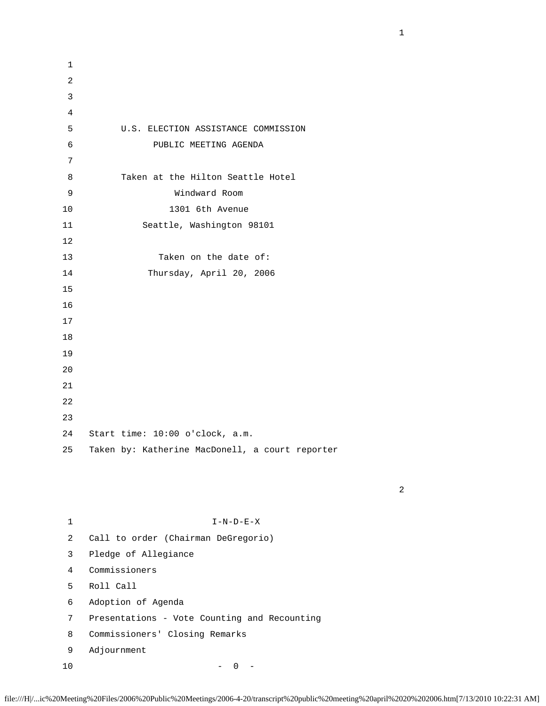| 1  |                                                 |
|----|-------------------------------------------------|
| 2  |                                                 |
| 3  |                                                 |
| 4  |                                                 |
| 5  | U.S. ELECTION ASSISTANCE COMMISSION             |
| 6  | PUBLIC MEETING AGENDA                           |
| 7  |                                                 |
| 8  | Taken at the Hilton Seattle Hotel               |
| 9  | Windward Room                                   |
| 10 | 1301 6th Avenue                                 |
| 11 | Seattle, Washington 98101                       |
| 12 |                                                 |
| 13 | Taken on the date of:                           |
| 14 | Thursday, April 20, 2006                        |
| 15 |                                                 |
| 16 |                                                 |
| 17 |                                                 |
| 18 |                                                 |
| 19 |                                                 |
| 20 |                                                 |
| 21 |                                                 |
| 22 |                                                 |
| 23 |                                                 |
|    | 24 Start time: 10:00 o'clock, a.m.              |
| 25 | Taken by: Katherine MacDonell, a court reporter |
|    |                                                 |

2

1  $I-N-D-E-X$  2 Call to order (Chairman DeGregorio) 3 Pledge of Allegiance 4 Commissioners 5 Roll Call 6 Adoption of Agenda 7 Presentations - Vote Counting and Recounting 8 Commissioners' Closing Remarks 9 Adjournment

 $10$  - 0 -

file:///H|/...ic%20Meeting%20Files/2006%20Public%20Meetings/2006-4-20/transcript%20public%20meeting%20april%2020%202006.htm[7/13/2010 10:22:31 AM]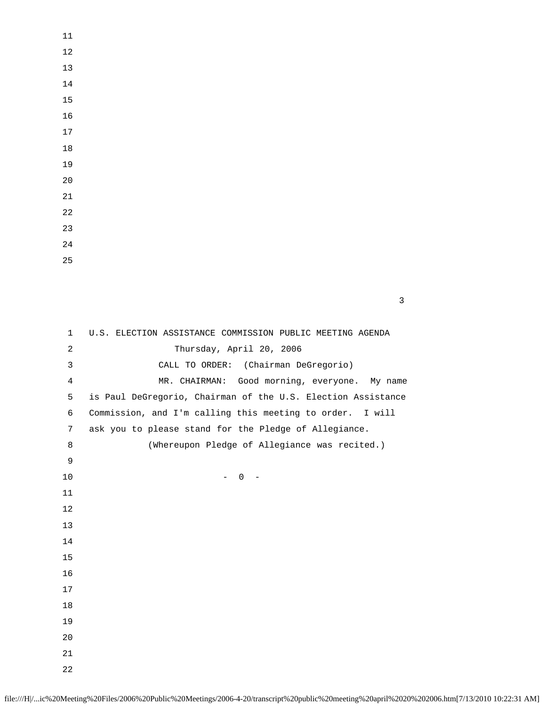- 
- 
- 
- 
- 
- 
- 
- 

| $\mathbf{1}$   | U.S. ELECTION ASSISTANCE COMMISSION PUBLIC MEETING AGENDA    |
|----------------|--------------------------------------------------------------|
| 2              | Thursday, April 20, 2006                                     |
| $\mathbf{3}$   | CALL TO ORDER:<br>(Chairman DeGregorio)                      |
| $\overline{4}$ | MR. CHAIRMAN: Good morning, everyone. My name                |
| 5              | is Paul DeGregorio, Chairman of the U.S. Election Assistance |
| 6              | Commission, and I'm calling this meeting to order. I will    |
| 7              | ask you to please stand for the Pledge of Allegiance.        |
| 8              | (Whereupon Pledge of Allegiance was recited.)                |
| 9              |                                                              |
| 10             | $\Omega$                                                     |
| 11             |                                                              |
| 12             |                                                              |
| 13             |                                                              |
| 14             |                                                              |
| 15             |                                                              |
| 16             |                                                              |
| 17             |                                                              |
| 18             |                                                              |
| 19             |                                                              |
| 20             |                                                              |
| 21             |                                                              |
| 22             |                                                              |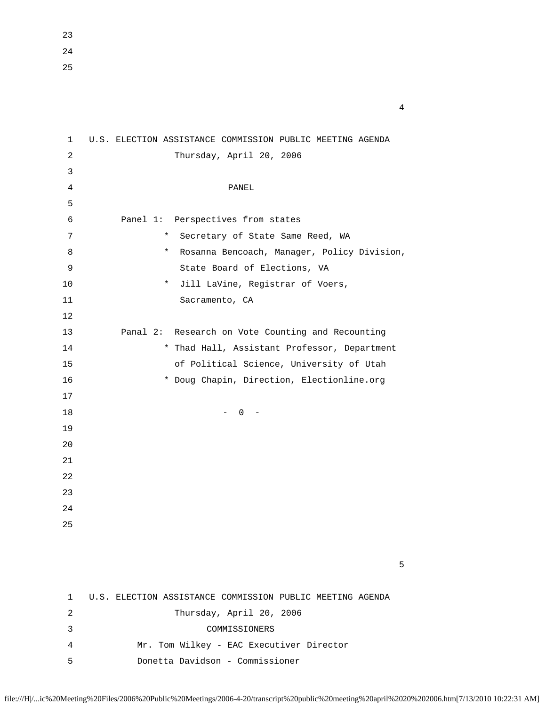23 24

25

| $\mathbf 1$    | U.S. ELECTION ASSISTANCE COMMISSION PUBLIC MEETING AGENDA |
|----------------|-----------------------------------------------------------|
| $\overline{a}$ | Thursday, April 20, 2006                                  |
| 3              |                                                           |
| 4              | $\texttt{PANEL}$                                          |
| 5              |                                                           |
| 6              | Panel 1:<br>Perspectives from states                      |
| 7              | Secretary of State Same Reed, WA<br>$\star$               |
| 8              | $\star$<br>Rosanna Bencoach, Manager, Policy Division,    |
| 9              | State Board of Elections, VA                              |
| 10             | Jill LaVine, Registrar of Voers,<br>$\star$               |
| 11             | Sacramento, CA                                            |
| 12             |                                                           |
| 13             | Research on Vote Counting and Recounting<br>Panal 2:      |
| 14             | * Thad Hall, Assistant Professor, Department              |
| 15             | of Political Science, University of Utah                  |
| 16             | * Doug Chapin, Direction, Electionline.org                |
| 17             |                                                           |
| $18\,$         | $- 0$                                                     |
| 19             |                                                           |
| 20             |                                                           |
| 21             |                                                           |
| 22             |                                                           |
| 23             |                                                           |
| 24             |                                                           |
| 25             |                                                           |
|                |                                                           |
|                | 5                                                         |
|                |                                                           |

 1 U.S. ELECTION ASSISTANCE COMMISSION PUBLIC MEETING AGENDA 2 Thursday, April 20, 2006 3 COMMISSIONERS 4 Mr. Tom Wilkey - EAC Executiver Director 5 Donetta Davidson - Commissioner

file:///H|/...ic%20Meeting%20Files/2006%20Public%20Meetings/2006-4-20/transcript%20public%20meeting%20april%2020%202006.htm[7/13/2010 10:22:31 AM]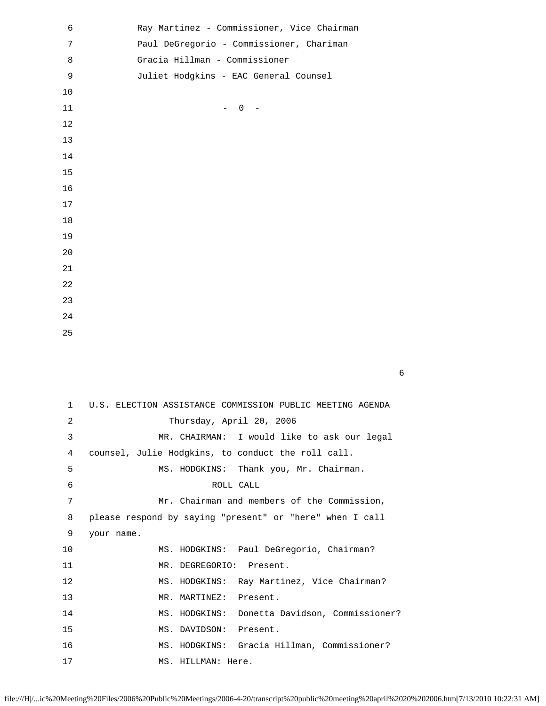| 6              | Ray Martinez - Commissioner, Vice Chairman |
|----------------|--------------------------------------------|
| $\overline{7}$ | Paul DeGregorio - Commissioner, Chariman   |
| $\,8\,$        | Gracia Hillman - Commissioner              |
| 9              | Juliet Hodgkins - EAC General Counsel      |
| $10$           |                                            |
| 11             | $\overline{0}$<br>$\overline{\phantom{0}}$ |
| 12             |                                            |
| 13             |                                            |
| 14             |                                            |
| $15$           |                                            |
| 16             |                                            |
| 17             |                                            |
| $18\,$         |                                            |
| 19             |                                            |
| 20             |                                            |
| 21             |                                            |
| 22             |                                            |
| 23             |                                            |
| 24             |                                            |
| 25             |                                            |
|                |                                            |

 1 U.S. ELECTION ASSISTANCE COMMISSION PUBLIC MEETING AGENDA 2 Thursday, April 20, 2006 3 MR. CHAIRMAN: I would like to ask our legal 4 counsel, Julie Hodgkins, to conduct the roll call. 5 MS. HODGKINS: Thank you, Mr. Chairman. 6 ROLL CALL 7 Mr. Chairman and members of the Commission, 8 please respond by saying "present" or "here" when I call 9 your name. 10 MS. HODGKINS: Paul DeGregorio, Chairman? 11 MR. DEGREGORIO: Present. 12 MS. HODGKINS: Ray Martinez, Vice Chairman? 13 MR. MARTINEZ: Present. 14 MS. HODGKINS: Donetta Davidson, Commissioner? 15 MS. DAVIDSON: Present. 16 MS. HODGKINS: Gracia Hillman, Commissioner? 17 MS. HILLMAN: Here.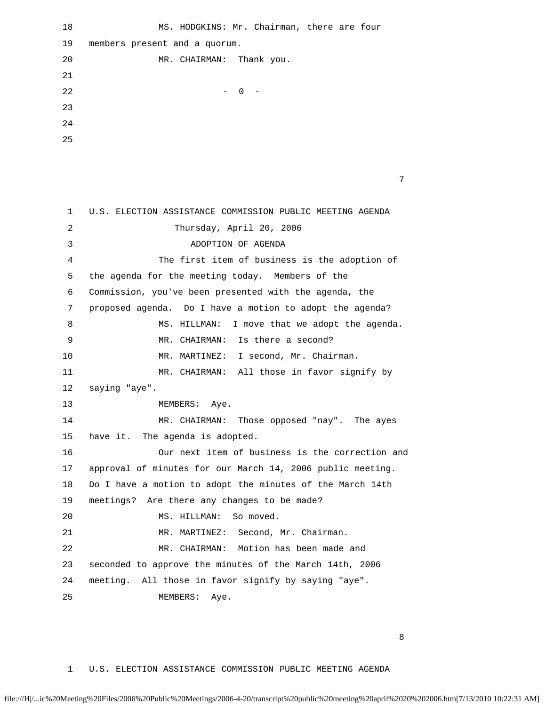| 18 | MS. HODGKINS: Mr. Chairman, there are four                  |
|----|-------------------------------------------------------------|
| 19 | members present and a quorum.                               |
| 20 | MR. CHAIRMAN:<br>Thank you.                                 |
| 21 |                                                             |
| 22 | $\overline{\phantom{0}}$ $\overline{\phantom{0}}$<br>$\sim$ |
| 23 |                                                             |
| 24 |                                                             |
| 25 |                                                             |

7

| $\mathbf{1}$ | U.S. ELECTION ASSISTANCE COMMISSION PUBLIC MEETING AGENDA  |
|--------------|------------------------------------------------------------|
| 2            | Thursday, April 20, 2006                                   |
| 3            | ADOPTION OF AGENDA                                         |
| 4            | The first item of business is the adoption of              |
| 5            | the agenda for the meeting today. Members of the           |
| 6            | Commission, you've been presented with the agenda, the     |
| 7            | proposed agenda. Do I have a motion to adopt the agenda?   |
| 8            | MS. HILLMAN:<br>I move that we adopt the agenda.           |
| 9            | MR. CHAIRMAN: Is there a second?                           |
| 10           | MR. MARTINEZ: I second, Mr. Chairman.                      |
| 11           | MR. CHAIRMAN: All those in favor signify by                |
| 12           | saying "aye".                                              |
| 13           | MEMBERS: Aye.                                              |
| 14           | MR. CHAIRMAN: Those opposed "nay". The ayes                |
| 15           | have it. The agenda is adopted.                            |
| 16           | Our next item of business is the correction and            |
| 17           | approval of minutes for our March 14, 2006 public meeting. |
| 18           | Do I have a motion to adopt the minutes of the March 14th  |
| 19           | meetings? Are there any changes to be made?                |
| 20           | MS. HILLMAN:<br>So moved.                                  |
| 21           | MR. MARTINEZ: Second, Mr. Chairman.                        |
| 22           | MR. CHAIRMAN: Motion has been made and                     |
| 23           | seconded to approve the minutes of the March 14th, 2006    |
| 24           | meeting. All those in favor signify by saying "aye".       |
| 25           | MEMBERS:<br>Aye.                                           |
|              |                                                            |

en andere en de la provincia de la provincia de la provincia de la provincia de la provincia de la provincia d

### 1 U.S. ELECTION ASSISTANCE COMMISSION PUBLIC MEETING AGENDA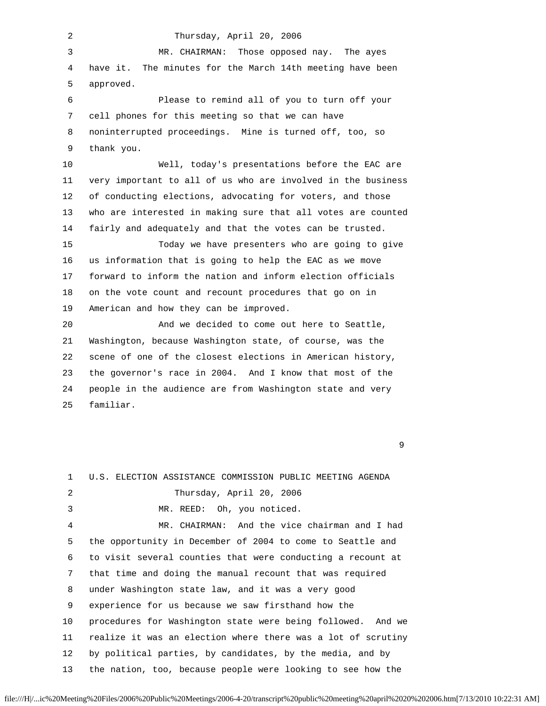2 Thursday, April 20, 2006 3 MR. CHAIRMAN: Those opposed nay. The ayes 4 have it. The minutes for the March 14th meeting have been 5 approved. 6 Please to remind all of you to turn off your 7 cell phones for this meeting so that we can have 8 noninterrupted proceedings. Mine is turned off, too, so 9 thank you. 10 Well, today's presentations before the EAC are 11 very important to all of us who are involved in the business 12 of conducting elections, advocating for voters, and those 13 who are interested in making sure that all votes are counted 14 fairly and adequately and that the votes can be trusted. 15 Today we have presenters who are going to give 16 us information that is going to help the EAC as we move 17 forward to inform the nation and inform election officials 18 on the vote count and recount procedures that go on in 19 American and how they can be improved. 20 And we decided to come out here to Seattle, 21 Washington, because Washington state, of course, was the 22 scene of one of the closest elections in American history, 23 the governor's race in 2004. And I know that most of the 24 people in the audience are from Washington state and very 25 familiar.

 $\sim$  9

| $\mathbf{1}$ | U.S. ELECTION ASSISTANCE COMMISSION PUBLIC MEETING AGENDA    |
|--------------|--------------------------------------------------------------|
| 2            | Thursday, April 20, 2006                                     |
| 3            | MR. REED: Oh, you noticed.                                   |
| 4            | MR. CHAIRMAN: And the vice chairman and I had                |
| 5            | the opportunity in December of 2004 to come to Seattle and   |
| 6            | to visit several counties that were conducting a recount at  |
| 7            | that time and doing the manual recount that was required     |
| 8            | under Washington state law, and it was a very good           |
| 9            | experience for us because we saw firsthand how the           |
| 10           | procedures for Washington state were being followed. And we  |
| 11           | realize it was an election where there was a lot of scrutiny |
| 12           | by political parties, by candidates, by the media, and by    |
| 13           | the nation, too, because people were looking to see how the  |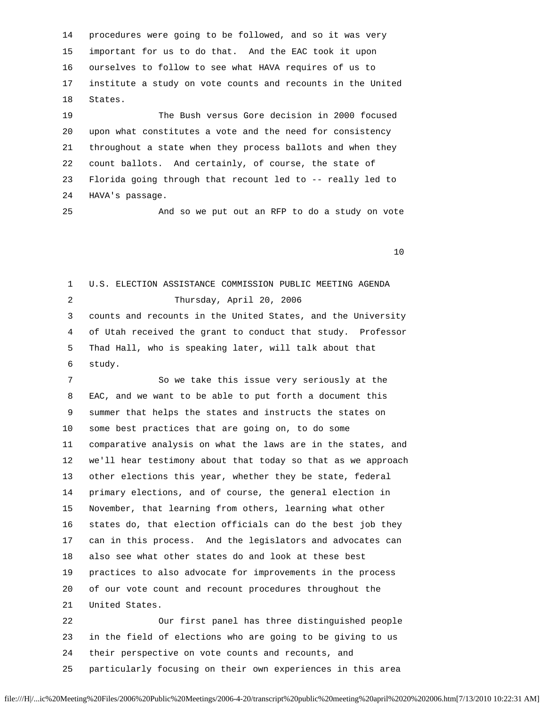14 procedures were going to be followed, and so it was very 15 important for us to do that. And the EAC took it upon 16 ourselves to follow to see what HAVA requires of us to 17 institute a study on vote counts and recounts in the United 18 States.

 19 The Bush versus Gore decision in 2000 focused 20 upon what constitutes a vote and the need for consistency 21 throughout a state when they process ballots and when they 22 count ballots. And certainly, of course, the state of 23 Florida going through that recount led to -- really led to 24 HAVA's passage.

25 And so we put out an RFP to do a study on vote

10

 1 U.S. ELECTION ASSISTANCE COMMISSION PUBLIC MEETING AGENDA 2 Thursday, April 20, 2006 3 counts and recounts in the United States, and the University 4 of Utah received the grant to conduct that study. Professor 5 Thad Hall, who is speaking later, will talk about that 6 study. 7 So we take this issue very seriously at the 8 EAC, and we want to be able to put forth a document this 9 summer that helps the states and instructs the states on 10 some best practices that are going on, to do some 11 comparative analysis on what the laws are in the states, and 12 we'll hear testimony about that today so that as we approach 13 other elections this year, whether they be state, federal 14 primary elections, and of course, the general election in 15 November, that learning from others, learning what other 16 states do, that election officials can do the best job they 17 can in this process. And the legislators and advocates can 18 also see what other states do and look at these best 19 practices to also advocate for improvements in the process 20 of our vote count and recount procedures throughout the 21 United States. 22 Our first panel has three distinguished people 23 in the field of elections who are going to be giving to us 24 their perspective on vote counts and recounts, and 25 particularly focusing on their own experiences in this area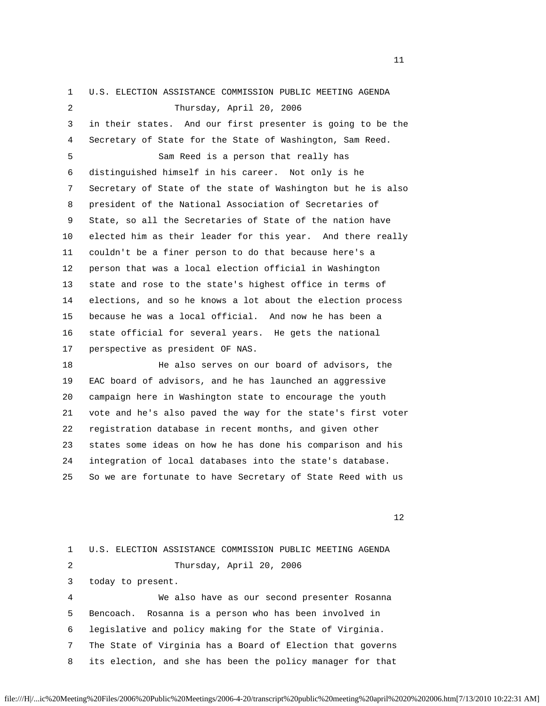1 U.S. ELECTION ASSISTANCE COMMISSION PUBLIC MEETING AGENDA 2 Thursday, April 20, 2006 3 in their states. And our first presenter is going to be the 4 Secretary of State for the State of Washington, Sam Reed. 5 Sam Reed is a person that really has 6 distinguished himself in his career. Not only is he 7 Secretary of State of the state of Washington but he is also 8 president of the National Association of Secretaries of 9 State, so all the Secretaries of State of the nation have 10 elected him as their leader for this year. And there really 11 couldn't be a finer person to do that because here's a 12 person that was a local election official in Washington 13 state and rose to the state's highest office in terms of 14 elections, and so he knows a lot about the election process 15 because he was a local official. And now he has been a 16 state official for several years. He gets the national 17 perspective as president OF NAS. 18 He also serves on our board of advisors, the 19 EAC board of advisors, and he has launched an aggressive 20 campaign here in Washington state to encourage the youth 21 vote and he's also paved the way for the state's first voter 22 registration database in recent months, and given other 23 states some ideas on how he has done his comparison and his 24 integration of local databases into the state's database.

25 So we are fortunate to have Secretary of State Reed with us

12

| $1 \quad$ | U.S. ELECTION ASSISTANCE COMMISSION PUBLIC MEETING AGENDA  |
|-----------|------------------------------------------------------------|
| 2         | Thursday, April 20, 2006                                   |
| 3         | today to present.                                          |
| 4         | We also have as our second presenter Rosanna               |
| 5.        | Bencoach. Rosanna is a person who has been involved in     |
| 6         | legislative and policy making for the State of Virginia.   |
| 7         | The State of Virginia has a Board of Election that governs |
| 8         | its election, and she has been the policy manager for that |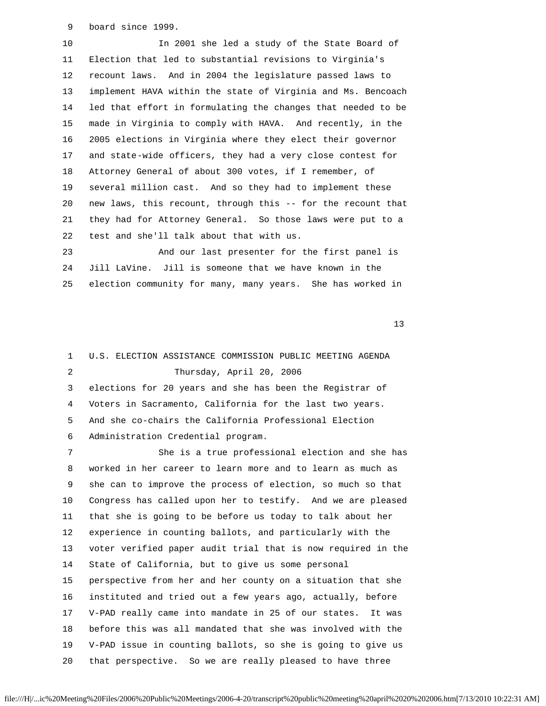9 board since 1999.

 10 In 2001 she led a study of the State Board of 11 Election that led to substantial revisions to Virginia's 12 recount laws. And in 2004 the legislature passed laws to 13 implement HAVA within the state of Virginia and Ms. Bencoach 14 led that effort in formulating the changes that needed to be 15 made in Virginia to comply with HAVA. And recently, in the 16 2005 elections in Virginia where they elect their governor 17 and state-wide officers, they had a very close contest for 18 Attorney General of about 300 votes, if I remember, of 19 several million cast. And so they had to implement these 20 new laws, this recount, through this -- for the recount that 21 they had for Attorney General. So those laws were put to a 22 test and she'll talk about that with us.

 23 And our last presenter for the first panel is 24 Jill LaVine. Jill is someone that we have known in the 25 election community for many, many years. She has worked in

13

 1 U.S. ELECTION ASSISTANCE COMMISSION PUBLIC MEETING AGENDA 2 Thursday, April 20, 2006 3 elections for 20 years and she has been the Registrar of 4 Voters in Sacramento, California for the last two years. 5 And she co-chairs the California Professional Election 6 Administration Credential program. 7 She is a true professional election and she has 8 worked in her career to learn more and to learn as much as 9 she can to improve the process of election, so much so that 10 Congress has called upon her to testify. And we are pleased 11 that she is going to be before us today to talk about her 12 experience in counting ballots, and particularly with the 13 voter verified paper audit trial that is now required in the 14 State of California, but to give us some personal 15 perspective from her and her county on a situation that she 16 instituted and tried out a few years ago, actually, before 17 V-PAD really came into mandate in 25 of our states. It was 18 before this was all mandated that she was involved with the 19 V-PAD issue in counting ballots, so she is going to give us 20 that perspective. So we are really pleased to have three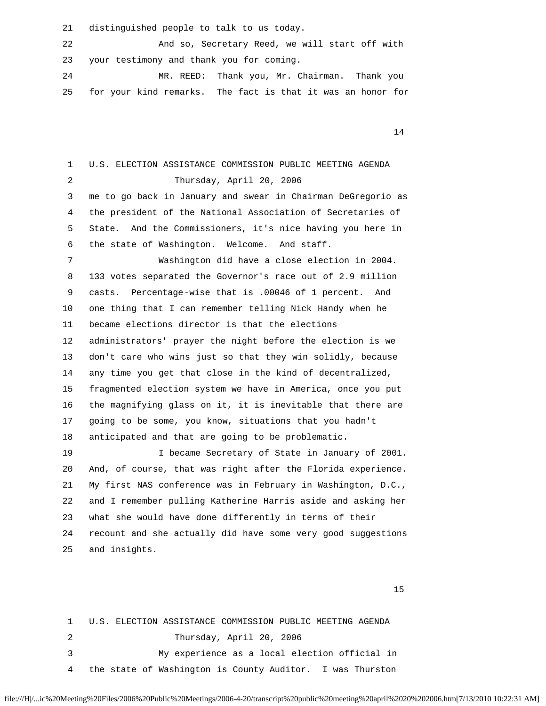21 distinguished people to talk to us today.

 22 And so, Secretary Reed, we will start off with 23 your testimony and thank you for coming. 24 MR. REED: Thank you, Mr. Chairman. Thank you

25 for your kind remarks. The fact is that it was an honor for

14

 1 U.S. ELECTION ASSISTANCE COMMISSION PUBLIC MEETING AGENDA 2 Thursday, April 20, 2006 3 me to go back in January and swear in Chairman DeGregorio as 4 the president of the National Association of Secretaries of 5 State. And the Commissioners, it's nice having you here in 6 the state of Washington. Welcome. And staff. 7 Washington did have a close election in 2004. 8 133 votes separated the Governor's race out of 2.9 million 9 casts. Percentage-wise that is .00046 of 1 percent. And 10 one thing that I can remember telling Nick Handy when he 11 became elections director is that the elections 12 administrators' prayer the night before the election is we 13 don't care who wins just so that they win solidly, because 14 any time you get that close in the kind of decentralized, 15 fragmented election system we have in America, once you put 16 the magnifying glass on it, it is inevitable that there are 17 going to be some, you know, situations that you hadn't 18 anticipated and that are going to be problematic. 19 I became Secretary of State in January of 2001. 20 And, of course, that was right after the Florida experience. 21 My first NAS conference was in February in Washington, D.C., 22 and I remember pulling Katherine Harris aside and asking her 23 what she would have done differently in terms of their 24 recount and she actually did have some very good suggestions 25 and insights.

15

 1 U.S. ELECTION ASSISTANCE COMMISSION PUBLIC MEETING AGENDA 2 Thursday, April 20, 2006 3 My experience as a local election official in 4 the state of Washington is County Auditor. I was Thurston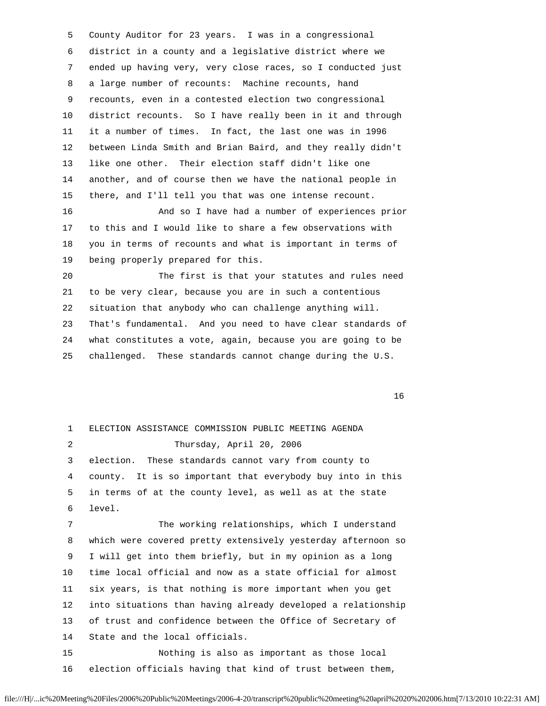5 County Auditor for 23 years. I was in a congressional 6 district in a county and a legislative district where we 7 ended up having very, very close races, so I conducted just 8 a large number of recounts: Machine recounts, hand 9 recounts, even in a contested election two congressional 10 district recounts. So I have really been in it and through 11 it a number of times. In fact, the last one was in 1996 12 between Linda Smith and Brian Baird, and they really didn't 13 like one other. Their election staff didn't like one 14 another, and of course then we have the national people in 15 there, and I'll tell you that was one intense recount. 16 And so I have had a number of experiences prior 17 to this and I would like to share a few observations with 18 you in terms of recounts and what is important in terms of 19 being properly prepared for this. 20 The first is that your statutes and rules need

 21 to be very clear, because you are in such a contentious 22 situation that anybody who can challenge anything will. 23 That's fundamental. And you need to have clear standards of 24 what constitutes a vote, again, because you are going to be 25 challenged. These standards cannot change during the U.S.

| 1  | ELECTION ASSISTANCE COMMISSION PUBLIC MEETING AGENDA         |
|----|--------------------------------------------------------------|
| 2  | Thursday, April 20, 2006                                     |
| 3  | election. These standards cannot vary from county to         |
| 4  | county. It is so important that everybody buy into in this   |
| 5  | in terms of at the county level, as well as at the state     |
| 6  | level.                                                       |
| 7  | The working relationships, which I understand                |
| 8  | which were covered pretty extensively yesterday afternoon so |
| 9  | I will get into them briefly, but in my opinion as a long    |
| 10 | time local official and now as a state official for almost   |
| 11 | six years, is that nothing is more important when you get    |
| 12 | into situations than having already developed a relationship |
| 13 | of trust and confidence between the Office of Secretary of   |
| 14 | State and the local officials.                               |
| 15 | Nothing is also as important as those local                  |
| 16 | election officials having that kind of trust between them,   |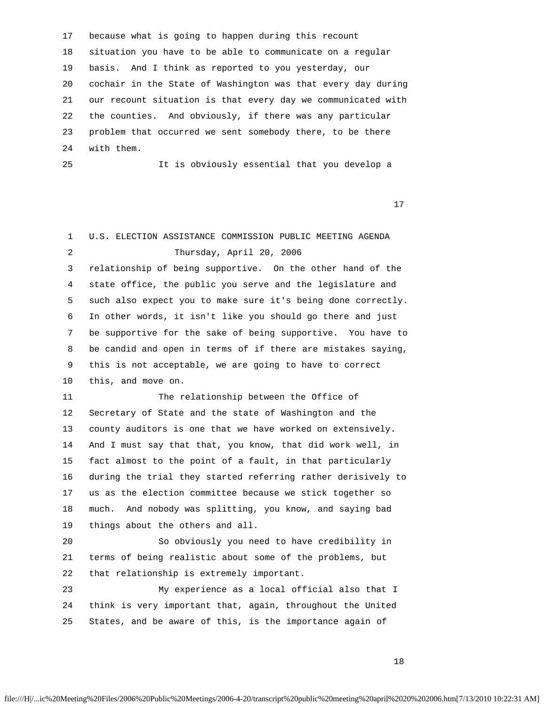17 because what is going to happen during this recount 18 situation you have to be able to communicate on a regular 19 basis. And I think as reported to you yesterday, our 20 cochair in the State of Washington was that every day during 21 our recount situation is that every day we communicated with 22 the counties. And obviously, if there was any particular 23 problem that occurred we sent somebody there, to be there 24 with them.

25 It is obviously essential that you develop a

17

| 1  | U.S. ELECTION ASSISTANCE COMMISSION PUBLIC MEETING AGENDA    |
|----|--------------------------------------------------------------|
| 2  | Thursday, April 20, 2006                                     |
| 3  | relationship of being supportive. On the other hand of the   |
| 4  | state office, the public you serve and the legislature and   |
| 5  | such also expect you to make sure it's being done correctly. |
| 6  | In other words, it isn't like you should go there and just   |
| 7  | be supportive for the sake of being supportive. You have to  |
| 8  | be candid and open in terms of if there are mistakes saying, |
| 9  | this is not acceptable, we are going to have to correct      |
| 10 | this, and move on.                                           |
| 11 | The relationship between the Office of                       |
| 12 | Secretary of State and the state of Washington and the       |
| 13 | county auditors is one that we have worked on extensively.   |
| 14 | And I must say that that, you know, that did work well, in   |
| 15 | fact almost to the point of a fault, in that particularly    |
| 16 | during the trial they started referring rather derisively to |
| 17 | us as the election committee because we stick together so    |
| 18 | And nobody was splitting, you know, and saying bad<br>much.  |
| 19 | things about the others and all.                             |
| 20 | So obviously you need to have credibility in                 |
| 21 | terms of being realistic about some of the problems, but     |
| 22 | that relationship is extremely important.                    |
| 23 | My experience as a local official also that I                |
| 24 | think is very important that, again, throughout the United   |
| 25 | States, and be aware of this, is the importance again of     |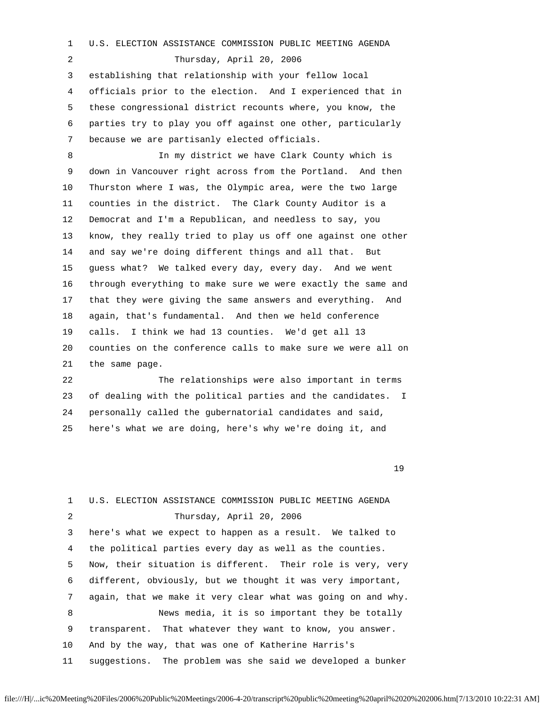1 U.S. ELECTION ASSISTANCE COMMISSION PUBLIC MEETING AGENDA 2 Thursday, April 20, 2006 3 establishing that relationship with your fellow local 4 officials prior to the election. And I experienced that in 5 these congressional district recounts where, you know, the 6 parties try to play you off against one other, particularly 7 because we are partisanly elected officials.

 8 In my district we have Clark County which is 9 down in Vancouver right across from the Portland. And then 10 Thurston where I was, the Olympic area, were the two large 11 counties in the district. The Clark County Auditor is a 12 Democrat and I'm a Republican, and needless to say, you 13 know, they really tried to play us off one against one other 14 and say we're doing different things and all that. But 15 guess what? We talked every day, every day. And we went 16 through everything to make sure we were exactly the same and 17 that they were giving the same answers and everything. And 18 again, that's fundamental. And then we held conference 19 calls. I think we had 13 counties. We'd get all 13 20 counties on the conference calls to make sure we were all on 21 the same page.

 22 The relationships were also important in terms 23 of dealing with the political parties and the candidates. I 24 personally called the gubernatorial candidates and said, 25 here's what we are doing, here's why we're doing it, and

|                 | 1 U.S. ELECTION ASSISTANCE COMMISSION PUBLIC MEETING AGENDA  |
|-----------------|--------------------------------------------------------------|
| 2               | Thursday, April 20, 2006                                     |
| 3               | here's what we expect to happen as a result. We talked to    |
| 4               | the political parties every day as well as the counties.     |
| 5               | Now, their situation is different. Their role is very, very  |
| 6               | different, obviously, but we thought it was very important,  |
| $7\overline{ }$ | again, that we make it very clear what was going on and why. |
| 8               | News media, it is so important they be totally               |
| 9               | transparent. That whatever they want to know, you answer.    |
| 10              | And by the way, that was one of Katherine Harris's           |
| 11              | suggestions. The problem was she said we developed a bunker  |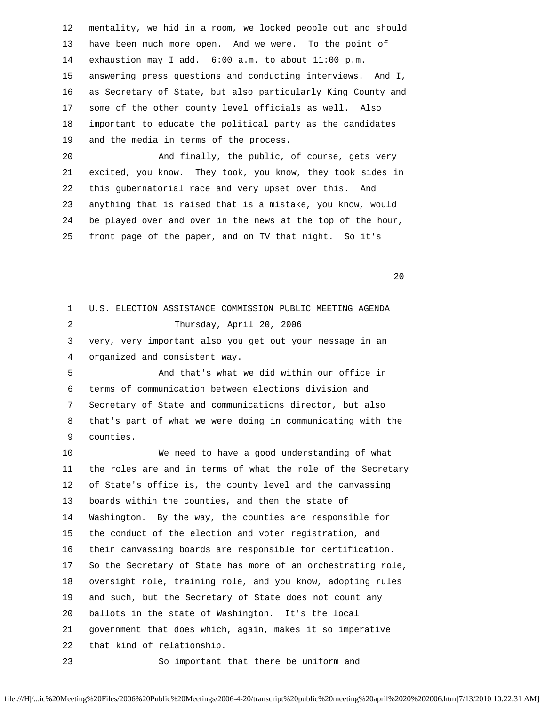12 mentality, we hid in a room, we locked people out and should 13 have been much more open. And we were. To the point of 14 exhaustion may I add. 6:00 a.m. to about 11:00 p.m. 15 answering press questions and conducting interviews. And I, 16 as Secretary of State, but also particularly King County and 17 some of the other county level officials as well. Also 18 important to educate the political party as the candidates 19 and the media in terms of the process.

 20 And finally, the public, of course, gets very 21 excited, you know. They took, you know, they took sides in 22 this gubernatorial race and very upset over this. And 23 anything that is raised that is a mistake, you know, would 24 be played over and over in the news at the top of the hour, 25 front page of the paper, and on TV that night. So it's

| 1  | U.S. ELECTION ASSISTANCE COMMISSION PUBLIC MEETING AGENDA    |
|----|--------------------------------------------------------------|
| 2  | Thursday, April 20, 2006                                     |
| 3  | very, very important also you get out your message in an     |
| 4  | organized and consistent way.                                |
| 5  | And that's what we did within our office in                  |
| 6  | terms of communication between elections division and        |
| 7  | Secretary of State and communications director, but also     |
| 8  | that's part of what we were doing in communicating with the  |
| 9  | counties.                                                    |
| 10 | We need to have a good understanding of what                 |
| 11 | the roles are and in terms of what the role of the Secretary |
| 12 | of State's office is, the county level and the canvassing    |
| 13 | boards within the counties, and then the state of            |
| 14 | Washington. By the way, the counties are responsible for     |
| 15 | the conduct of the election and voter registration, and      |
| 16 | their canvassing boards are responsible for certification.   |
| 17 | So the Secretary of State has more of an orchestrating role, |
| 18 | oversight role, training role, and you know, adopting rules  |
| 19 | and such, but the Secretary of State does not count any      |
| 20 | ballots in the state of Washington. It's the local           |
| 21 | government that does which, again, makes it so imperative    |
| 22 | that kind of relationship.                                   |
| 23 | So important that there be uniform and                       |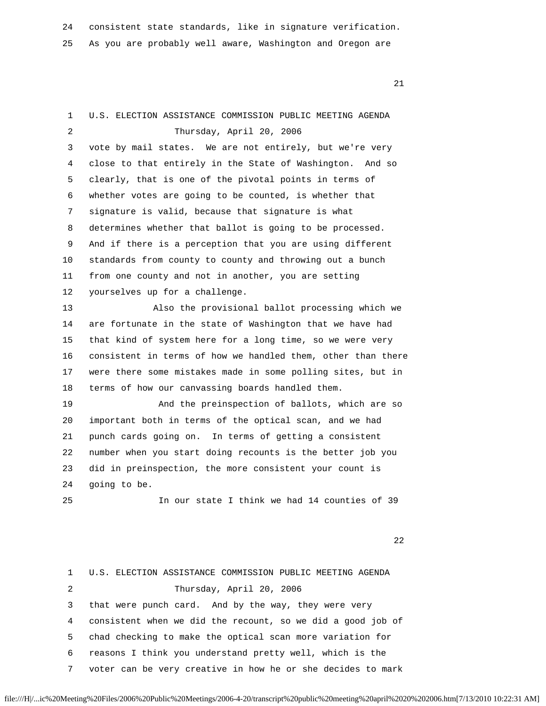24 consistent state standards, like in signature verification.

25 As you are probably well aware, Washington and Oregon are

1 U.S. ELECTION ASSISTANCE COMMISSION PUBLIC MEETING AGENDA

21 **21** 

 2 Thursday, April 20, 2006 3 vote by mail states. We are not entirely, but we're very 4 close to that entirely in the State of Washington. And so 5 clearly, that is one of the pivotal points in terms of 6 whether votes are going to be counted, is whether that 7 signature is valid, because that signature is what 8 determines whether that ballot is going to be processed. 9 And if there is a perception that you are using different 10 standards from county to county and throwing out a bunch 11 from one county and not in another, you are setting 12 yourselves up for a challenge. 13 Also the provisional ballot processing which we 14 are fortunate in the state of Washington that we have had 15 that kind of system here for a long time, so we were very 16 consistent in terms of how we handled them, other than there 17 were there some mistakes made in some polling sites, but in 18 terms of how our canvassing boards handled them. 19 And the preinspection of ballots, which are so 20 important both in terms of the optical scan, and we had 21 punch cards going on. In terms of getting a consistent 22 number when you start doing recounts is the better job you 23 did in preinspection, the more consistent your count is 24 going to be. 25 In our state I think we had 14 counties of 39 22 a contra de la contra de la contra de la contra de la contra de la contra de la contra de la contra de la c<br>22 a contra de la contra de la contra de la contra de la contra de la contra de la contra de la contra de la c 1 U.S. ELECTION ASSISTANCE COMMISSION PUBLIC MEETING AGENDA 2 Thursday, April 20, 2006 3 that were punch card. And by the way, they were very 4 consistent when we did the recount, so we did a good job of 5 chad checking to make the optical scan more variation for 6 reasons I think you understand pretty well, which is the 7 voter can be very creative in how he or she decides to mark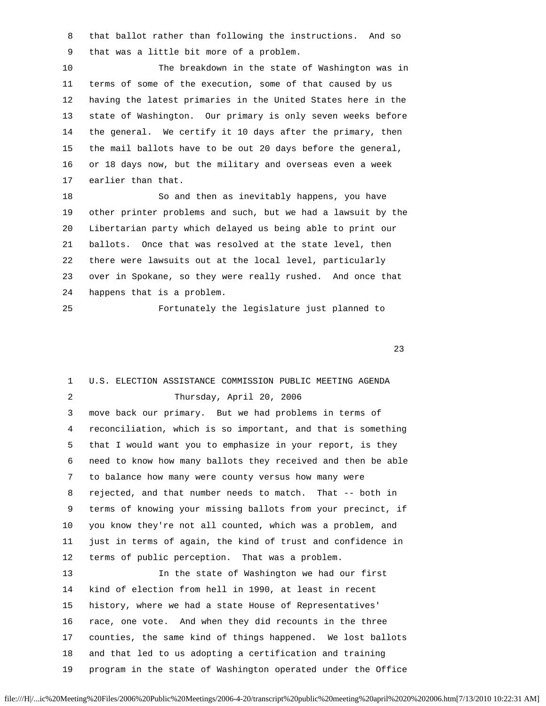8 that ballot rather than following the instructions. And so 9 that was a little bit more of a problem.

 10 The breakdown in the state of Washington was in 11 terms of some of the execution, some of that caused by us 12 having the latest primaries in the United States here in the 13 state of Washington. Our primary is only seven weeks before 14 the general. We certify it 10 days after the primary, then 15 the mail ballots have to be out 20 days before the general, 16 or 18 days now, but the military and overseas even a week 17 earlier than that.

 18 So and then as inevitably happens, you have 19 other printer problems and such, but we had a lawsuit by the 20 Libertarian party which delayed us being able to print our 21 ballots. Once that was resolved at the state level, then 22 there were lawsuits out at the local level, particularly 23 over in Spokane, so they were really rushed. And once that 24 happens that is a problem.

25 Fortunately the legislature just planned to

23

## 1 U.S. ELECTION ASSISTANCE COMMISSION PUBLIC MEETING AGENDA 2 Thursday, April 20, 2006 3 move back our primary. But we had problems in terms of 4 reconciliation, which is so important, and that is something 5 that I would want you to emphasize in your report, is they 6 need to know how many ballots they received and then be able 7 to balance how many were county versus how many were 8 rejected, and that number needs to match. That -- both in 9 terms of knowing your missing ballots from your precinct, if 10 you know they're not all counted, which was a problem, and 11 just in terms of again, the kind of trust and confidence in 12 terms of public perception. That was a problem. 13 In the state of Washington we had our first 14 kind of election from hell in 1990, at least in recent 15 history, where we had a state House of Representatives' 16 race, one vote. And when they did recounts in the three 17 counties, the same kind of things happened. We lost ballots 18 and that led to us adopting a certification and training 19 program in the state of Washington operated under the Office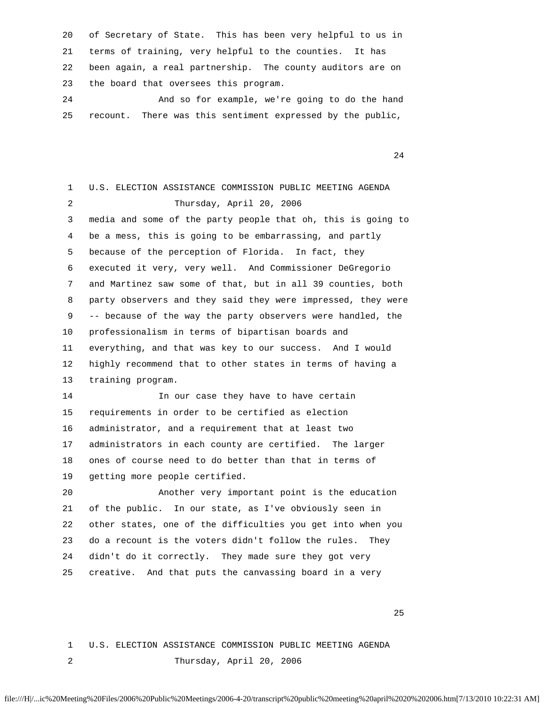20 of Secretary of State. This has been very helpful to us in 21 terms of training, very helpful to the counties. It has 22 been again, a real partnership. The county auditors are on 23 the board that oversees this program.

 24 And so for example, we're going to do the hand 25 recount. There was this sentiment expressed by the public,

24

 1 U.S. ELECTION ASSISTANCE COMMISSION PUBLIC MEETING AGENDA 2 Thursday, April 20, 2006 3 media and some of the party people that oh, this is going to 4 be a mess, this is going to be embarrassing, and partly 5 because of the perception of Florida. In fact, they 6 executed it very, very well. And Commissioner DeGregorio 7 and Martinez saw some of that, but in all 39 counties, both 8 party observers and they said they were impressed, they were 9 -- because of the way the party observers were handled, the 10 professionalism in terms of bipartisan boards and 11 everything, and that was key to our success. And I would 12 highly recommend that to other states in terms of having a 13 training program. 14 14 In our case they have to have certain 15 requirements in order to be certified as election 16 administrator, and a requirement that at least two 17 administrators in each county are certified. The larger 18 ones of course need to do better than that in terms of 19 getting more people certified. 20 Another very important point is the education 21 of the public. In our state, as I've obviously seen in 22 other states, one of the difficulties you get into when you 23 do a recount is the voters didn't follow the rules. They 24 didn't do it correctly. They made sure they got very 25 creative. And that puts the canvassing board in a very

25 and 25 and 25 and 25 and 25 and 25 and 25 and 25 and 25 and 25 and 25 and 25 and 25 and 25 and 25

 1 U.S. ELECTION ASSISTANCE COMMISSION PUBLIC MEETING AGENDA 2 Thursday, April 20, 2006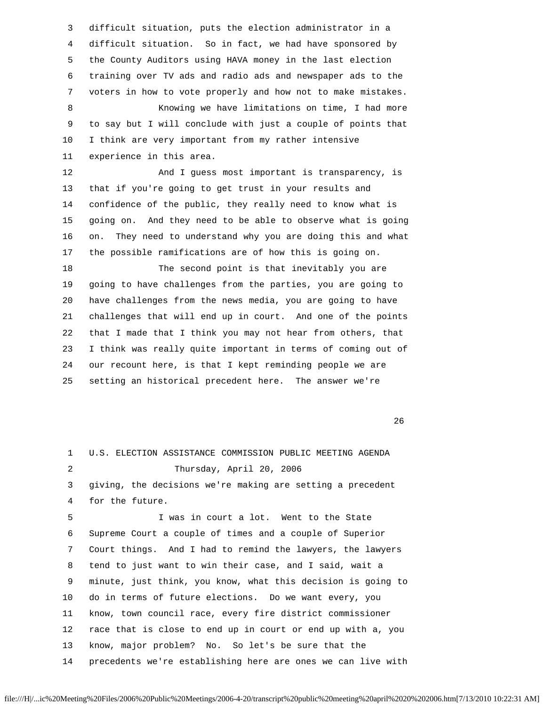3 difficult situation, puts the election administrator in a 4 difficult situation. So in fact, we had have sponsored by 5 the County Auditors using HAVA money in the last election 6 training over TV ads and radio ads and newspaper ads to the 7 voters in how to vote properly and how not to make mistakes. 8 Knowing we have limitations on time, I had more 9 to say but I will conclude with just a couple of points that 10 I think are very important from my rather intensive 11 experience in this area. 12 And I guess most important is transparency, is 13 that if you're going to get trust in your results and 14 confidence of the public, they really need to know what is

 15 going on. And they need to be able to observe what is going 16 on. They need to understand why you are doing this and what 17 the possible ramifications are of how this is going on.

 18 The second point is that inevitably you are 19 going to have challenges from the parties, you are going to 20 have challenges from the news media, you are going to have 21 challenges that will end up in court. And one of the points 22 that I made that I think you may not hear from others, that 23 I think was really quite important in terms of coming out of 24 our recount here, is that I kept reminding people we are 25 setting an historical precedent here. The answer we're

 $26$ 

 1 U.S. ELECTION ASSISTANCE COMMISSION PUBLIC MEETING AGENDA 2 Thursday, April 20, 2006 3 giving, the decisions we're making are setting a precedent 4 for the future. 5 I was in court a lot. Went to the State 6 Supreme Court a couple of times and a couple of Superior 7 Court things. And I had to remind the lawyers, the lawyers 8 tend to just want to win their case, and I said, wait a 9 minute, just think, you know, what this decision is going to 10 do in terms of future elections. Do we want every, you 11 know, town council race, every fire district commissioner 12 race that is close to end up in court or end up with a, you 13 know, major problem? No. So let's be sure that the 14 precedents we're establishing here are ones we can live with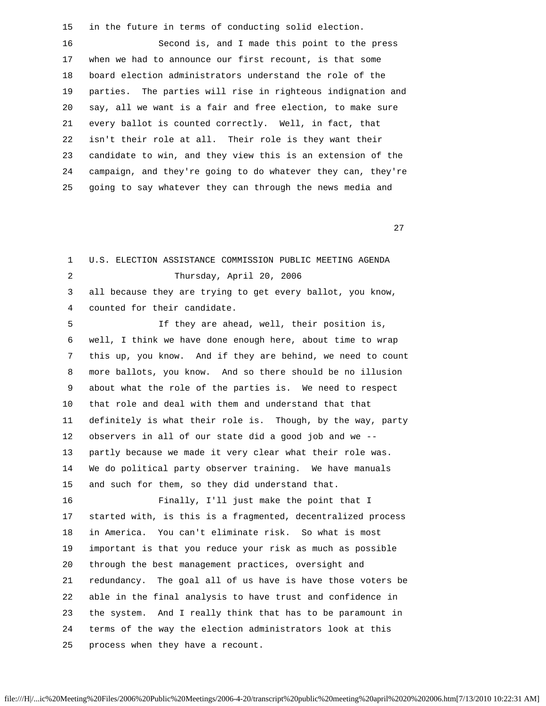15 in the future in terms of conducting solid election. 16 Second is, and I made this point to the press 17 when we had to announce our first recount, is that some 18 board election administrators understand the role of the 19 parties. The parties will rise in righteous indignation and 20 say, all we want is a fair and free election, to make sure 21 every ballot is counted correctly. Well, in fact, that 22 isn't their role at all. Their role is they want their 23 candidate to win, and they view this is an extension of the 24 campaign, and they're going to do whatever they can, they're 25 going to say whatever they can through the news media and

27 and 27 and 27 and 27 and 27 and 27 and 27 and 27 and 27 and 27 and 27 and 27 and 27 and 27 and 27

| 1  | U.S. ELECTION ASSISTANCE COMMISSION PUBLIC MEETING AGENDA    |
|----|--------------------------------------------------------------|
| 2  | Thursday, April 20, 2006                                     |
| 3  | all because they are trying to get every ballot, you know,   |
| 4  | counted for their candidate.                                 |
| 5  | If they are ahead, well, their position is,                  |
| 6  | well, I think we have done enough here, about time to wrap   |
| 7  | this up, you know. And if they are behind, we need to count  |
| 8  | more ballots, you know. And so there should be no illusion   |
| 9  | about what the role of the parties is. We need to respect    |
| 10 | that role and deal with them and understand that that        |
| 11 | definitely is what their role is. Though, by the way, party  |
| 12 | observers in all of our state did a good job and we --       |
| 13 | partly because we made it very clear what their role was.    |
| 14 | We do political party observer training. We have manuals     |
| 15 | and such for them, so they did understand that.              |
| 16 | Finally, I'll just make the point that I                     |
| 17 | started with, is this is a fragmented, decentralized process |
| 18 | in America. You can't eliminate risk. So what is most        |
| 19 | important is that you reduce your risk as much as possible   |
| 20 | through the best management practices, oversight and         |
| 21 | redundancy. The goal all of us have is have those voters be  |
| 22 | able in the final analysis to have trust and confidence in   |
| 23 | the system. And I really think that has to be paramount in   |
| 24 | terms of the way the election administrators look at this    |
| 25 | process when they have a recount.                            |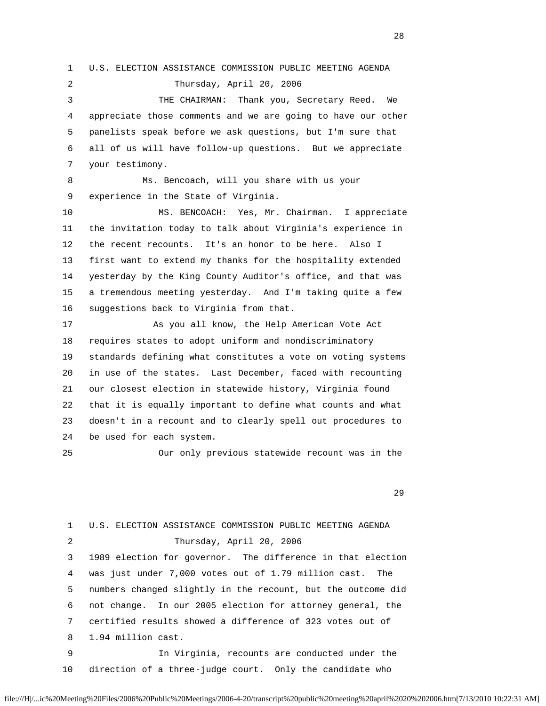1 U.S. ELECTION ASSISTANCE COMMISSION PUBLIC MEETING AGENDA

2 Thursday, April 20, 2006

 3 THE CHAIRMAN: Thank you, Secretary Reed. We 4 appreciate those comments and we are going to have our other 5 panelists speak before we ask questions, but I'm sure that 6 all of us will have follow-up questions. But we appreciate 7 your testimony.

 8 Ms. Bencoach, will you share with us your 9 experience in the State of Virginia.

 10 MS. BENCOACH: Yes, Mr. Chairman. I appreciate 11 the invitation today to talk about Virginia's experience in 12 the recent recounts. It's an honor to be here. Also I 13 first want to extend my thanks for the hospitality extended 14 yesterday by the King County Auditor's office, and that was 15 a tremendous meeting yesterday. And I'm taking quite a few 16 suggestions back to Virginia from that.

 17 As you all know, the Help American Vote Act 18 requires states to adopt uniform and nondiscriminatory 19 standards defining what constitutes a vote on voting systems 20 in use of the states. Last December, faced with recounting 21 our closest election in statewide history, Virginia found 22 that it is equally important to define what counts and what 23 doesn't in a recount and to clearly spell out procedures to 24 be used for each system.

25 Our only previous statewide recount was in the

 $29$ 

 1 U.S. ELECTION ASSISTANCE COMMISSION PUBLIC MEETING AGENDA 2 Thursday, April 20, 2006 3 1989 election for governor. The difference in that election 4 was just under 7,000 votes out of 1.79 million cast. The 5 numbers changed slightly in the recount, but the outcome did 6 not change. In our 2005 election for attorney general, the 7 certified results showed a difference of 323 votes out of 8 1.94 million cast. 9 In Virginia, recounts are conducted under the 10 direction of a three-judge court. Only the candidate who

28 and 28 and 28 and 28 and 28 and 28 and 28 and 28 and 28 and 28 and 28 and 28 and 28 and 28 and 28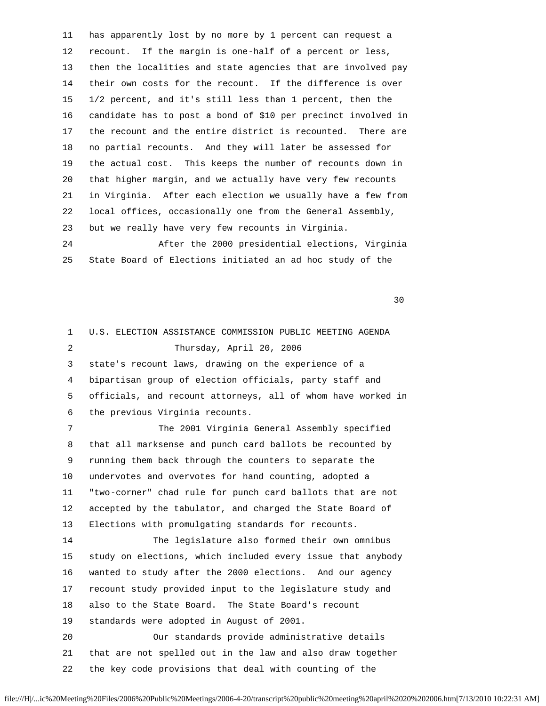11 has apparently lost by no more by 1 percent can request a 12 recount. If the margin is one-half of a percent or less, 13 then the localities and state agencies that are involved pay 14 their own costs for the recount. If the difference is over 15 1/2 percent, and it's still less than 1 percent, then the 16 candidate has to post a bond of \$10 per precinct involved in 17 the recount and the entire district is recounted. There are 18 no partial recounts. And they will later be assessed for 19 the actual cost. This keeps the number of recounts down in 20 that higher margin, and we actually have very few recounts 21 in Virginia. After each election we usually have a few from 22 local offices, occasionally one from the General Assembly, 23 but we really have very few recounts in Virginia. 24 After the 2000 presidential elections, Virginia 25 State Board of Elections initiated an ad hoc study of the

 $30<sup>3</sup>$ 

 1 U.S. ELECTION ASSISTANCE COMMISSION PUBLIC MEETING AGENDA 2 Thursday, April 20, 2006 3 state's recount laws, drawing on the experience of a 4 bipartisan group of election officials, party staff and 5 officials, and recount attorneys, all of whom have worked in 6 the previous Virginia recounts. 7 The 2001 Virginia General Assembly specified 8 that all marksense and punch card ballots be recounted by 9 running them back through the counters to separate the 10 undervotes and overvotes for hand counting, adopted a 11 "two-corner" chad rule for punch card ballots that are not 12 accepted by the tabulator, and charged the State Board of 13 Elections with promulgating standards for recounts. 14 The legislature also formed their own omnibus 15 study on elections, which included every issue that anybody 16 wanted to study after the 2000 elections. And our agency 17 recount study provided input to the legislature study and 18 also to the State Board. The State Board's recount 19 standards were adopted in August of 2001. 20 Our standards provide administrative details 21 that are not spelled out in the law and also draw together 22 the key code provisions that deal with counting of the

```
file:///H|/...ic%20Meeting%20Files/2006%20Public%20Meetings/2006-4-20/transcript%20public%20meeting%20april%2020%202006.htm[7/13/2010 10:22:31 AM]
```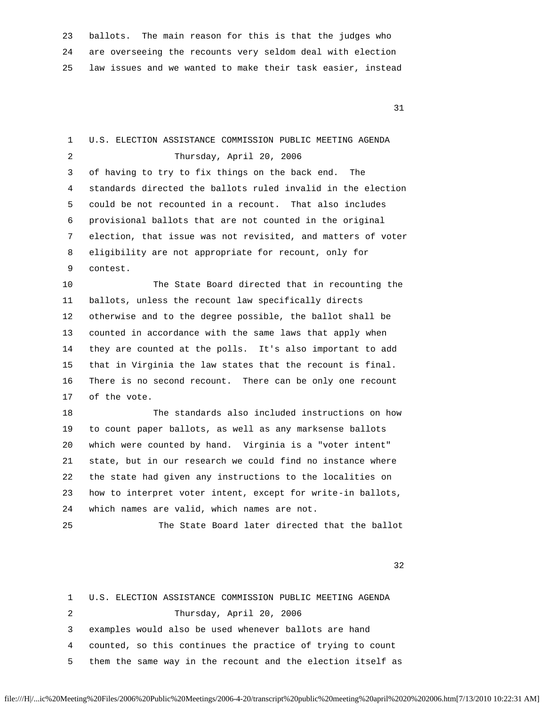23 ballots. The main reason for this is that the judges who 24 are overseeing the recounts very seldom deal with election 25 law issues and we wanted to make their task easier, instead

31

 1 U.S. ELECTION ASSISTANCE COMMISSION PUBLIC MEETING AGENDA 2 Thursday, April 20, 2006 3 of having to try to fix things on the back end. The 4 standards directed the ballots ruled invalid in the election 5 could be not recounted in a recount. That also includes 6 provisional ballots that are not counted in the original 7 election, that issue was not revisited, and matters of voter 8 eligibility are not appropriate for recount, only for 9 contest. 10 The State Board directed that in recounting the

 11 ballots, unless the recount law specifically directs 12 otherwise and to the degree possible, the ballot shall be 13 counted in accordance with the same laws that apply when 14 they are counted at the polls. It's also important to add 15 that in Virginia the law states that the recount is final. 16 There is no second recount. There can be only one recount 17 of the vote.

 18 The standards also included instructions on how 19 to count paper ballots, as well as any marksense ballots 20 which were counted by hand. Virginia is a "voter intent" 21 state, but in our research we could find no instance where 22 the state had given any instructions to the localities on 23 how to interpret voter intent, except for write-in ballots, 24 which names are valid, which names are not.

25 The State Board later directed that the ballot

 $32$ 

 1 U.S. ELECTION ASSISTANCE COMMISSION PUBLIC MEETING AGENDA 2 Thursday, April 20, 2006 3 examples would also be used whenever ballots are hand 4 counted, so this continues the practice of trying to count 5 them the same way in the recount and the election itself as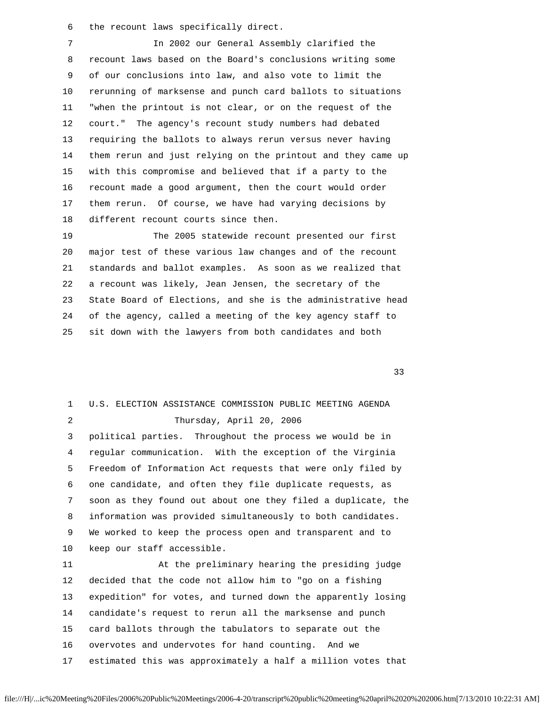6 the recount laws specifically direct.

 7 In 2002 our General Assembly clarified the 8 recount laws based on the Board's conclusions writing some 9 of our conclusions into law, and also vote to limit the 10 rerunning of marksense and punch card ballots to situations 11 "when the printout is not clear, or on the request of the 12 court." The agency's recount study numbers had debated 13 requiring the ballots to always rerun versus never having 14 them rerun and just relying on the printout and they came up 15 with this compromise and believed that if a party to the 16 recount made a good argument, then the court would order 17 them rerun. Of course, we have had varying decisions by 18 different recount courts since then.

 19 The 2005 statewide recount presented our first 20 major test of these various law changes and of the recount 21 standards and ballot examples. As soon as we realized that 22 a recount was likely, Jean Jensen, the secretary of the 23 State Board of Elections, and she is the administrative head 24 of the agency, called a meeting of the key agency staff to 25 sit down with the lawyers from both candidates and both

 $33$ 

## 1 U.S. ELECTION ASSISTANCE COMMISSION PUBLIC MEETING AGENDA 2 Thursday, April 20, 2006 3 political parties. Throughout the process we would be in 4 regular communication. With the exception of the Virginia 5 Freedom of Information Act requests that were only filed by 6 one candidate, and often they file duplicate requests, as 7 soon as they found out about one they filed a duplicate, the 8 information was provided simultaneously to both candidates. 9 We worked to keep the process open and transparent and to 10 keep our staff accessible. 11 At the preliminary hearing the presiding judge 12 decided that the code not allow him to "go on a fishing 13 expedition" for votes, and turned down the apparently losing 14 candidate's request to rerun all the marksense and punch 15 card ballots through the tabulators to separate out the 16 overvotes and undervotes for hand counting. And we

17 estimated this was approximately a half a million votes that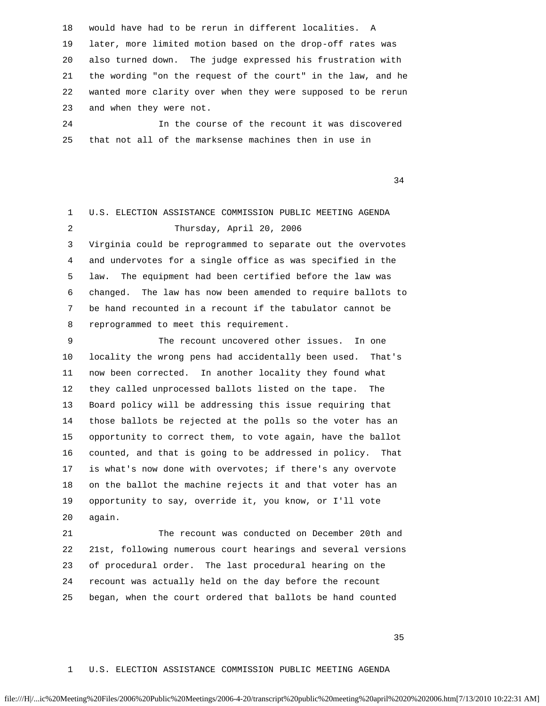18 would have had to be rerun in different localities. A 19 later, more limited motion based on the drop-off rates was 20 also turned down. The judge expressed his frustration with 21 the wording "on the request of the court" in the law, and he 22 wanted more clarity over when they were supposed to be rerun 23 and when they were not.

 24 In the course of the recount it was discovered 25 that not all of the marksense machines then in use in

34

 1 U.S. ELECTION ASSISTANCE COMMISSION PUBLIC MEETING AGENDA 2 Thursday, April 20, 2006 3 Virginia could be reprogrammed to separate out the overvotes 4 and undervotes for a single office as was specified in the 5 law. The equipment had been certified before the law was 6 changed. The law has now been amended to require ballots to 7 be hand recounted in a recount if the tabulator cannot be 8 reprogrammed to meet this requirement. 9 The recount uncovered other issues. In one 10 locality the wrong pens had accidentally been used. That's 11 now been corrected. In another locality they found what 12 they called unprocessed ballots listed on the tape. The 13 Board policy will be addressing this issue requiring that 14 those ballots be rejected at the polls so the voter has an 15 opportunity to correct them, to vote again, have the ballot 16 counted, and that is going to be addressed in policy. That 17 is what's now done with overvotes; if there's any overvote 18 on the ballot the machine rejects it and that voter has an 19 opportunity to say, override it, you know, or I'll vote

 21 The recount was conducted on December 20th and 22 21st, following numerous court hearings and several versions 23 of procedural order. The last procedural hearing on the 24 recount was actually held on the day before the recount 25 began, when the court ordered that ballots be hand counted

20 again.

 $35$ 

#### 1 U.S. ELECTION ASSISTANCE COMMISSION PUBLIC MEETING AGENDA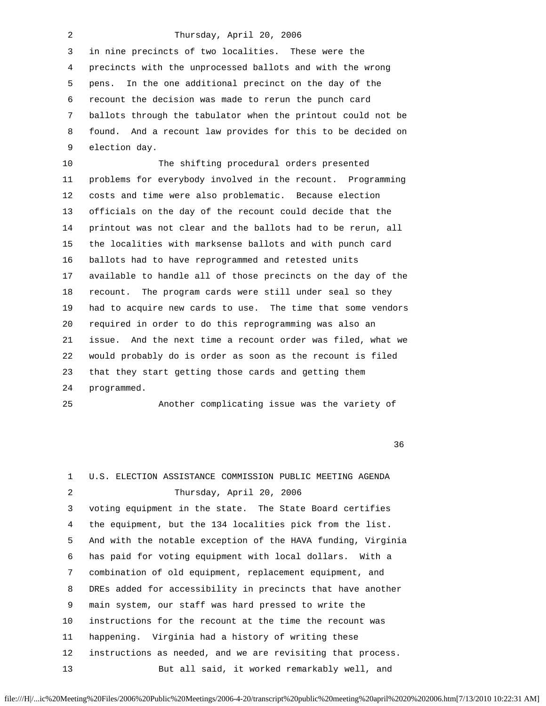### 2 Thursday, April 20, 2006

 3 in nine precincts of two localities. These were the 4 precincts with the unprocessed ballots and with the wrong 5 pens. In the one additional precinct on the day of the 6 recount the decision was made to rerun the punch card 7 ballots through the tabulator when the printout could not be 8 found. And a recount law provides for this to be decided on 9 election day.

 10 The shifting procedural orders presented 11 problems for everybody involved in the recount. Programming 12 costs and time were also problematic. Because election 13 officials on the day of the recount could decide that the 14 printout was not clear and the ballots had to be rerun, all 15 the localities with marksense ballots and with punch card 16 ballots had to have reprogrammed and retested units 17 available to handle all of those precincts on the day of the 18 recount. The program cards were still under seal so they 19 had to acquire new cards to use. The time that some vendors 20 required in order to do this reprogramming was also an 21 issue. And the next time a recount order was filed, what we 22 would probably do is order as soon as the recount is filed 23 that they start getting those cards and getting them 24 programmed.

25 Another complicating issue was the variety of

| $\mathbf{1}$ | U.S. ELECTION ASSISTANCE COMMISSION PUBLIC MEETING AGENDA    |
|--------------|--------------------------------------------------------------|
| 2            | Thursday, April 20, 2006                                     |
| 3            | voting equipment in the state. The State Board certifies     |
| 4            | the equipment, but the 134 localities pick from the list.    |
| 5            | And with the notable exception of the HAVA funding, Virginia |
| 6            | has paid for voting equipment with local dollars. With a     |
| 7            | combination of old equipment, replacement equipment, and     |
| 8            | DREs added for accessibility in precincts that have another  |
| 9            | main system, our staff was hard pressed to write the         |
| 10           | instructions for the recount at the time the recount was     |
| 11           | happening. Virginia had a history of writing these           |
| 12           | instructions as needed, and we are revisiting that process.  |
| 13           | But all said, it worked remarkably well, and                 |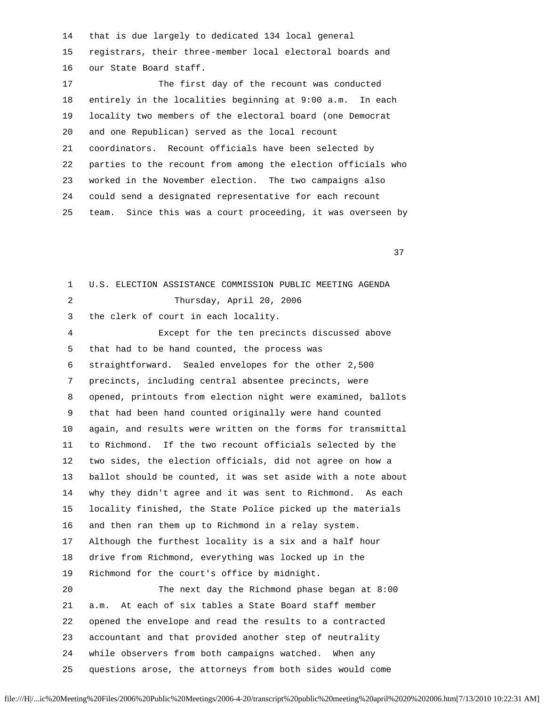14 that is due largely to dedicated 134 local general 15 registrars, their three-member local electoral boards and 16 our State Board staff. 17 The first day of the recount was conducted 18 entirely in the localities beginning at 9:00 a.m. In each 19 locality two members of the electoral board (one Democrat 20 and one Republican) served as the local recount 21 coordinators. Recount officials have been selected by 22 parties to the recount from among the election officials who 23 worked in the November election. The two campaigns also 24 could send a designated representative for each recount 25 team. Since this was a court proceeding, it was overseen by

37

 1 U.S. ELECTION ASSISTANCE COMMISSION PUBLIC MEETING AGENDA 2 Thursday, April 20, 2006 3 the clerk of court in each locality. 4 Except for the ten precincts discussed above 5 that had to be hand counted, the process was 6 straightforward. Sealed envelopes for the other 2,500 7 precincts, including central absentee precincts, were 8 opened, printouts from election night were examined, ballots 9 that had been hand counted originally were hand counted 10 again, and results were written on the forms for transmittal 11 to Richmond. If the two recount officials selected by the 12 two sides, the election officials, did not agree on how a 13 ballot should be counted, it was set aside with a note about 14 why they didn't agree and it was sent to Richmond. As each 15 locality finished, the State Police picked up the materials 16 and then ran them up to Richmond in a relay system. 17 Although the furthest locality is a six and a half hour 18 drive from Richmond, everything was locked up in the 19 Richmond for the court's office by midnight. 20 The next day the Richmond phase began at 8:00 21 a.m. At each of six tables a State Board staff member 22 opened the envelope and read the results to a contracted 23 accountant and that provided another step of neutrality 24 while observers from both campaigns watched. When any 25 questions arose, the attorneys from both sides would come

```
file:///H|/...ic%20Meeting%20Files/2006%20Public%20Meetings/2006-4-20/transcript%20public%20meeting%20april%2020%202006.htm[7/13/2010 10:22:31 AM]
```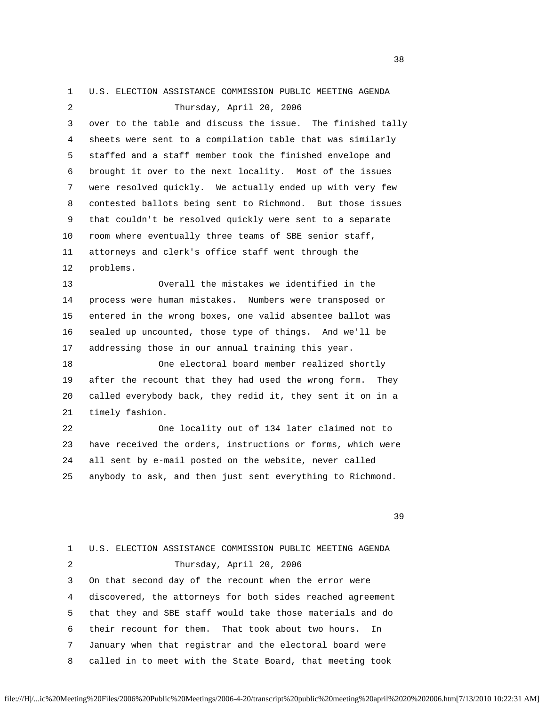1 U.S. ELECTION ASSISTANCE COMMISSION PUBLIC MEETING AGENDA 2 Thursday, April 20, 2006 3 over to the table and discuss the issue. The finished tally 4 sheets were sent to a compilation table that was similarly 5 staffed and a staff member took the finished envelope and 6 brought it over to the next locality. Most of the issues 7 were resolved quickly. We actually ended up with very few 8 contested ballots being sent to Richmond. But those issues 9 that couldn't be resolved quickly were sent to a separate 10 room where eventually three teams of SBE senior staff, 11 attorneys and clerk's office staff went through the 12 problems. 13 Overall the mistakes we identified in the 14 process were human mistakes. Numbers were transposed or 15 entered in the wrong boxes, one valid absentee ballot was 16 sealed up uncounted, those type of things. And we'll be 17 addressing those in our annual training this year. 18 One electoral board member realized shortly 19 after the recount that they had used the wrong form. They 20 called everybody back, they redid it, they sent it on in a 21 timely fashion. 22 One locality out of 134 later claimed not to 23 have received the orders, instructions or forms, which were 24 all sent by e-mail posted on the website, never called 25 anybody to ask, and then just sent everything to Richmond.  $39$ 

> 1 U.S. ELECTION ASSISTANCE COMMISSION PUBLIC MEETING AGENDA 2 Thursday, April 20, 2006 3 On that second day of the recount when the error were 4 discovered, the attorneys for both sides reached agreement 5 that they and SBE staff would take those materials and do 6 their recount for them. That took about two hours. In 7 January when that registrar and the electoral board were 8 called in to meet with the State Board, that meeting took

 $38<sup>3</sup>$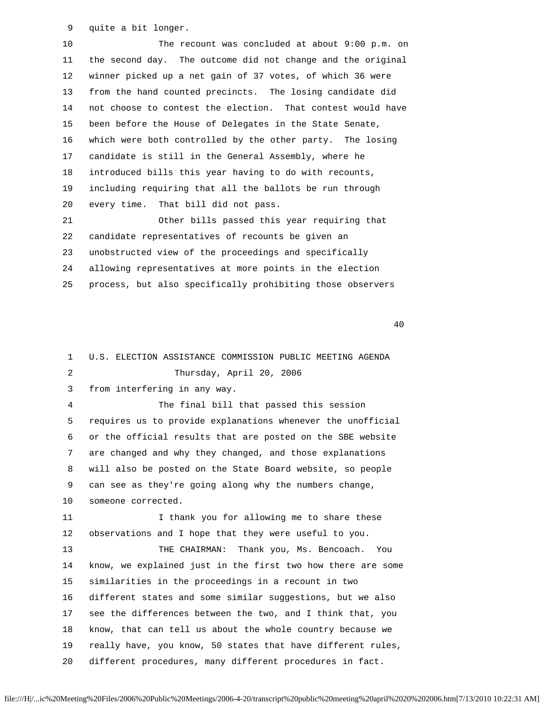9 quite a bit longer.

 10 The recount was concluded at about 9:00 p.m. on 11 the second day. The outcome did not change and the original 12 winner picked up a net gain of 37 votes, of which 36 were 13 from the hand counted precincts. The losing candidate did 14 not choose to contest the election. That contest would have 15 been before the House of Delegates in the State Senate, 16 which were both controlled by the other party. The losing 17 candidate is still in the General Assembly, where he 18 introduced bills this year having to do with recounts, 19 including requiring that all the ballots be run through 20 every time. That bill did not pass. 21 Other bills passed this year requiring that 22 candidate representatives of recounts be given an 23 unobstructed view of the proceedings and specifically 24 allowing representatives at more points in the election 25 process, but also specifically prohibiting those observers

40

 1 U.S. ELECTION ASSISTANCE COMMISSION PUBLIC MEETING AGENDA 2 Thursday, April 20, 2006 3 from interfering in any way. 4 The final bill that passed this session 5 requires us to provide explanations whenever the unofficial 6 or the official results that are posted on the SBE website 7 are changed and why they changed, and those explanations 8 will also be posted on the State Board website, so people 9 can see as they're going along why the numbers change, 10 someone corrected. 11 11 I thank you for allowing me to share these 12 observations and I hope that they were useful to you. 13 THE CHAIRMAN: Thank you, Ms. Bencoach. You 14 know, we explained just in the first two how there are some 15 similarities in the proceedings in a recount in two 16 different states and some similar suggestions, but we also 17 see the differences between the two, and I think that, you 18 know, that can tell us about the whole country because we 19 really have, you know, 50 states that have different rules, 20 different procedures, many different procedures in fact.

```
file:///H|/...ic%20Meeting%20Files/2006%20Public%20Meetings/2006-4-20/transcript%20public%20meeting%20april%2020%202006.htm[7/13/2010 10:22:31 AM]
```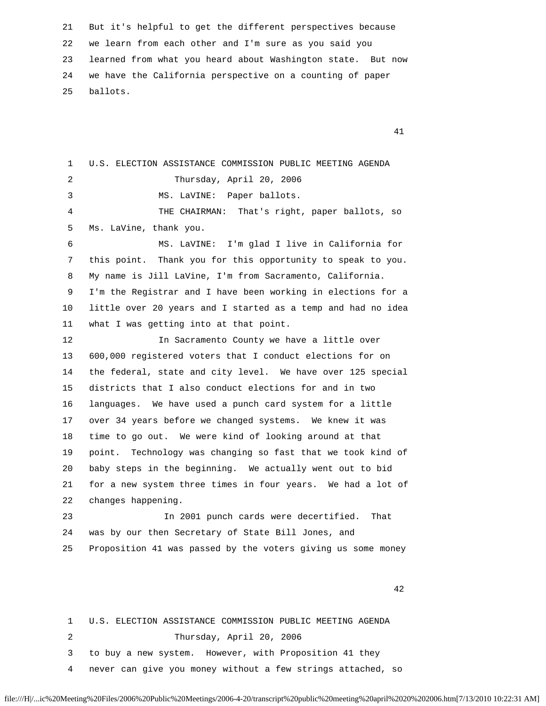21 But it's helpful to get the different perspectives because 22 we learn from each other and I'm sure as you said you 23 learned from what you heard about Washington state. But now 24 we have the California perspective on a counting of paper 25 ballots.

41

 1 U.S. ELECTION ASSISTANCE COMMISSION PUBLIC MEETING AGENDA 2 Thursday, April 20, 2006 3 MS. LaVINE: Paper ballots. 4 THE CHAIRMAN: That's right, paper ballots, so 5 Ms. LaVine, thank you. 6 MS. LaVINE: I'm glad I live in California for 7 this point. Thank you for this opportunity to speak to you. 8 My name is Jill LaVine, I'm from Sacramento, California. 9 I'm the Registrar and I have been working in elections for a 10 little over 20 years and I started as a temp and had no idea 11 what I was getting into at that point. 12 In Sacramento County we have a little over 13 600,000 registered voters that I conduct elections for on 14 the federal, state and city level. We have over 125 special 15 districts that I also conduct elections for and in two 16 languages. We have used a punch card system for a little 17 over 34 years before we changed systems. We knew it was 18 time to go out. We were kind of looking around at that 19 point. Technology was changing so fast that we took kind of 20 baby steps in the beginning. We actually went out to bid 21 for a new system three times in four years. We had a lot of 22 changes happening. 23 In 2001 punch cards were decertified. That 24 was by our then Secretary of State Bill Jones, and 25 Proposition 41 was passed by the voters giving us some money

42

 1 U.S. ELECTION ASSISTANCE COMMISSION PUBLIC MEETING AGENDA 2 Thursday, April 20, 2006 3 to buy a new system. However, with Proposition 41 they

4 never can give you money without a few strings attached, so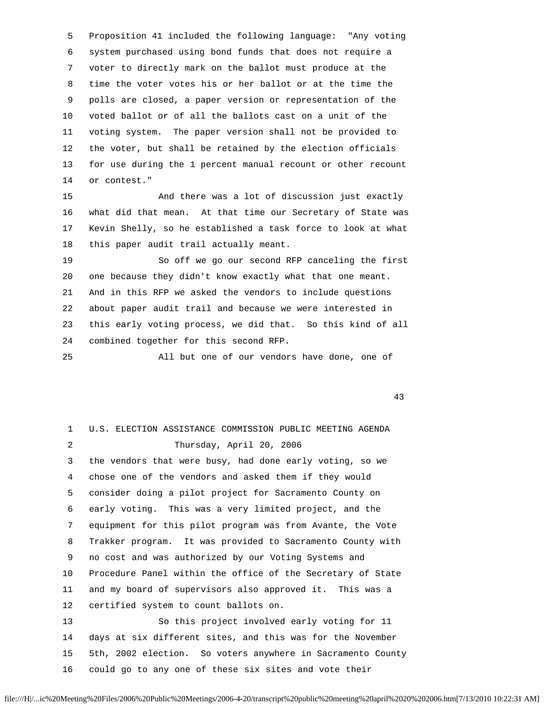5 Proposition 41 included the following language: "Any voting 6 system purchased using bond funds that does not require a 7 voter to directly mark on the ballot must produce at the 8 time the voter votes his or her ballot or at the time the 9 polls are closed, a paper version or representation of the 10 voted ballot or of all the ballots cast on a unit of the 11 voting system. The paper version shall not be provided to 12 the voter, but shall be retained by the election officials 13 for use during the 1 percent manual recount or other recount 14 or contest."

 15 And there was a lot of discussion just exactly 16 what did that mean. At that time our Secretary of State was 17 Kevin Shelly, so he established a task force to look at what 18 this paper audit trail actually meant.

 19 So off we go our second RFP canceling the first 20 one because they didn't know exactly what that one meant. 21 And in this RFP we asked the vendors to include questions 22 about paper audit trail and because we were interested in 23 this early voting process, we did that. So this kind of all 24 combined together for this second RFP.

25 All but one of our vendors have done, one of

43

 1 U.S. ELECTION ASSISTANCE COMMISSION PUBLIC MEETING AGENDA 2 Thursday, April 20, 2006 3 the vendors that were busy, had done early voting, so we 4 chose one of the vendors and asked them if they would 5 consider doing a pilot project for Sacramento County on 6 early voting. This was a very limited project, and the 7 equipment for this pilot program was from Avante, the Vote 8 Trakker program. It was provided to Sacramento County with 9 no cost and was authorized by our Voting Systems and 10 Procedure Panel within the office of the Secretary of State 11 and my board of supervisors also approved it. This was a 12 certified system to count ballots on. 13 So this project involved early voting for 11 14 days at six different sites, and this was for the November 15 5th, 2002 election. So voters anywhere in Sacramento County 16 could go to any one of these six sites and vote their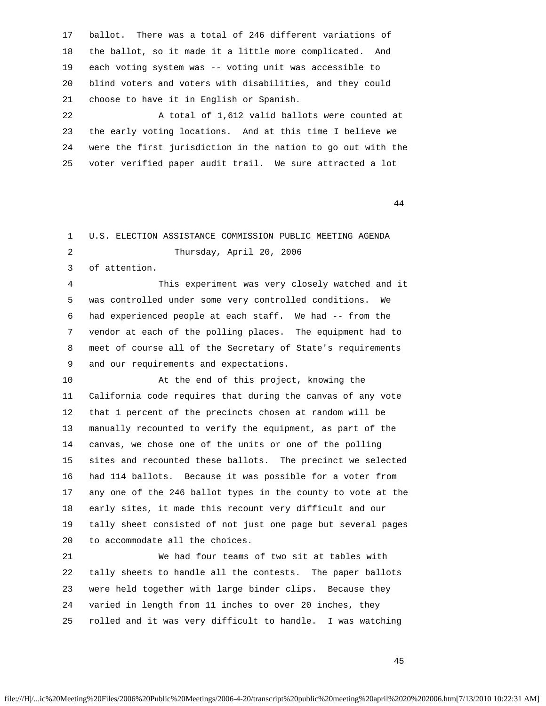17 ballot. There was a total of 246 different variations of 18 the ballot, so it made it a little more complicated. And 19 each voting system was -- voting unit was accessible to 20 blind voters and voters with disabilities, and they could 21 choose to have it in English or Spanish.

 22 A total of 1,612 valid ballots were counted at 23 the early voting locations. And at this time I believe we 24 were the first jurisdiction in the nation to go out with the 25 voter verified paper audit trail. We sure attracted a lot

44

 1 U.S. ELECTION ASSISTANCE COMMISSION PUBLIC MEETING AGENDA 2 Thursday, April 20, 2006 3 of attention. 4 This experiment was very closely watched and it 5 was controlled under some very controlled conditions. We 6 had experienced people at each staff. We had -- from the 7 vendor at each of the polling places. The equipment had to 8 meet of course all of the Secretary of State's requirements 9 and our requirements and expectations. 10 At the end of this project, knowing the 11 California code requires that during the canvas of any vote 12 that 1 percent of the precincts chosen at random will be 13 manually recounted to verify the equipment, as part of the 14 canvas, we chose one of the units or one of the polling 15 sites and recounted these ballots. The precinct we selected 16 had 114 ballots. Because it was possible for a voter from 17 any one of the 246 ballot types in the county to vote at the 18 early sites, it made this recount very difficult and our 19 tally sheet consisted of not just one page but several pages 20 to accommodate all the choices. 21 We had four teams of two sit at tables with 22 tally sheets to handle all the contests. The paper ballots 23 were held together with large binder clips. Because they 24 varied in length from 11 inches to over 20 inches, they 25 rolled and it was very difficult to handle. I was watching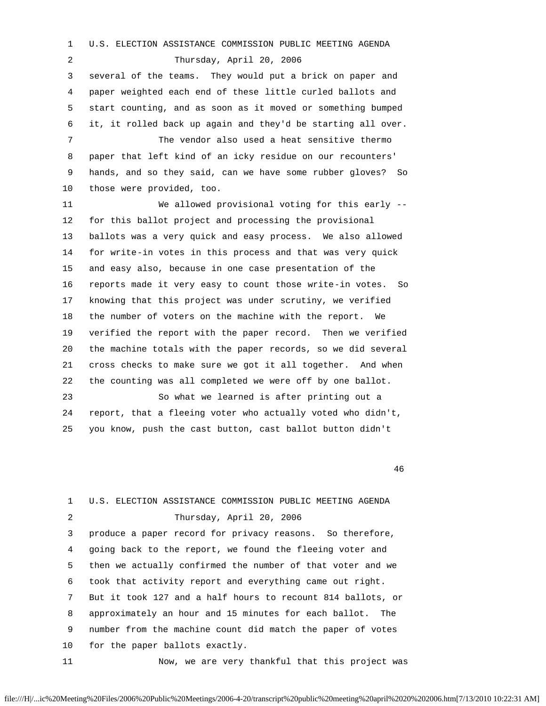1 U.S. ELECTION ASSISTANCE COMMISSION PUBLIC MEETING AGENDA 2 Thursday, April 20, 2006 3 several of the teams. They would put a brick on paper and 4 paper weighted each end of these little curled ballots and 5 start counting, and as soon as it moved or something bumped 6 it, it rolled back up again and they'd be starting all over. 7 The vendor also used a heat sensitive thermo 8 paper that left kind of an icky residue on our recounters' 9 hands, and so they said, can we have some rubber gloves? So 10 those were provided, too. 11 We allowed provisional voting for this early -- 12 for this ballot project and processing the provisional 13 ballots was a very quick and easy process. We also allowed 14 for write-in votes in this process and that was very quick 15 and easy also, because in one case presentation of the 16 reports made it very easy to count those write-in votes. So 17 knowing that this project was under scrutiny, we verified 18 the number of voters on the machine with the report. We 19 verified the report with the paper record. Then we verified 20 the machine totals with the paper records, so we did several 21 cross checks to make sure we got it all together. And when 22 the counting was all completed we were off by one ballot. 23 So what we learned is after printing out a 24 report, that a fleeing voter who actually voted who didn't, 25 you know, push the cast button, cast ballot button didn't

46

|    | 0.0. EUGLION ASSISIANCE COMMISSION FUBBLE MEEIING AGENDA    |
|----|-------------------------------------------------------------|
| 2  | Thursday, April 20, 2006                                    |
| 3  | produce a paper record for privacy reasons. So therefore,   |
| 4  | going back to the report, we found the fleeing voter and    |
| 5  | then we actually confirmed the number of that voter and we  |
| 6  | took that activity report and everything came out right.    |
| 7  | But it took 127 and a half hours to recount 814 ballots, or |
| 8  | approximately an hour and 15 minutes for each ballot. The   |
| 9  | number from the machine count did match the paper of votes  |
| 10 | for the paper ballots exactly.                              |
| 11 | Now, we are very thankful that this project was             |

1 U.S. ELECTION ASSISTANCE COMMISSION PUBLIC MEETING AGENDA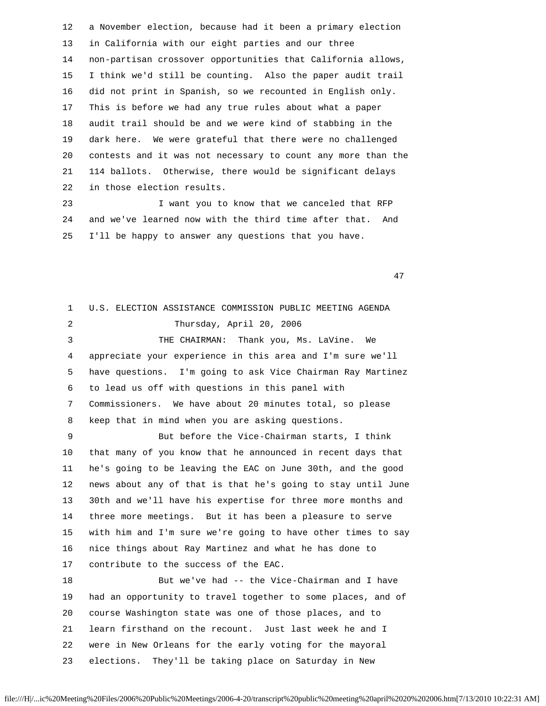12 a November election, because had it been a primary election 13 in California with our eight parties and our three 14 non-partisan crossover opportunities that California allows, 15 I think we'd still be counting. Also the paper audit trail 16 did not print in Spanish, so we recounted in English only. 17 This is before we had any true rules about what a paper 18 audit trail should be and we were kind of stabbing in the 19 dark here. We were grateful that there were no challenged 20 contests and it was not necessary to count any more than the 21 114 ballots. Otherwise, there would be significant delays 22 in those election results.

 23 I want you to know that we canceled that RFP 24 and we've learned now with the third time after that. And 25 I'll be happy to answer any questions that you have.

47

| $\mathbf{1}$ | U.S. ELECTION ASSISTANCE COMMISSION PUBLIC MEETING AGENDA    |
|--------------|--------------------------------------------------------------|
| 2            | Thursday, April 20, 2006                                     |
| 3            | THE CHAIRMAN: Thank you, Ms. LaVine. We                      |
| 4            | appreciate your experience in this area and I'm sure we'll   |
| 5            | have questions. I'm going to ask Vice Chairman Ray Martinez  |
| 6            | to lead us off with questions in this panel with             |
| 7            | Commissioners. We have about 20 minutes total, so please     |
| 8            | keep that in mind when you are asking questions.             |
| 9            | But before the Vice-Chairman starts, I think                 |
| 10           | that many of you know that he announced in recent days that  |
| 11           | he's going to be leaving the EAC on June 30th, and the good  |
| 12           | news about any of that is that he's going to stay until June |
| 13           | 30th and we'll have his expertise for three more months and  |
| 14           | three more meetings. But it has been a pleasure to serve     |
| 15           | with him and I'm sure we're going to have other times to say |
| 16           | nice things about Ray Martinez and what he has done to       |
| 17           | contribute to the success of the EAC.                        |
| 18           | But we've had -- the Vice-Chairman and I have                |
| 19           | had an opportunity to travel together to some places, and of |
| 20           | course Washington state was one of those places, and to      |
| 21           | learn firsthand on the recount. Just last week he and I      |

22 were in New Orleans for the early voting for the mayoral

23 elections. They'll be taking place on Saturday in New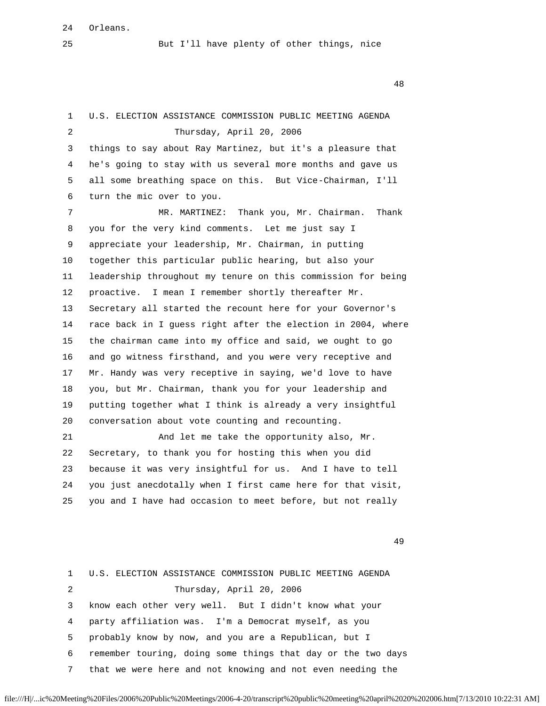24 Orleans.

25 But I'll have plenty of other things, nice

48

 1 U.S. ELECTION ASSISTANCE COMMISSION PUBLIC MEETING AGENDA 2 Thursday, April 20, 2006 3 things to say about Ray Martinez, but it's a pleasure that 4 he's going to stay with us several more months and gave us 5 all some breathing space on this. But Vice-Chairman, I'll 6 turn the mic over to you. 7 MR. MARTINEZ: Thank you, Mr. Chairman. Thank 8 you for the very kind comments. Let me just say I 9 appreciate your leadership, Mr. Chairman, in putting 10 together this particular public hearing, but also your 11 leadership throughout my tenure on this commission for being 12 proactive. I mean I remember shortly thereafter Mr. 13 Secretary all started the recount here for your Governor's 14 race back in I guess right after the election in 2004, where 15 the chairman came into my office and said, we ought to go 16 and go witness firsthand, and you were very receptive and 17 Mr. Handy was very receptive in saying, we'd love to have 18 you, but Mr. Chairman, thank you for your leadership and 19 putting together what I think is already a very insightful 20 conversation about vote counting and recounting. 21 And let me take the opportunity also, Mr. 22 Secretary, to thank you for hosting this when you did 23 because it was very insightful for us. And I have to tell 24 you just anecdotally when I first came here for that visit, 25 you and I have had occasion to meet before, but not really

49

|   |   | 1 U.S. ELECTION ASSISTANCE COMMISSION PUBLIC MEETING AGENDA  |
|---|---|--------------------------------------------------------------|
| 2 |   | Thursday, April 20, 2006                                     |
|   | 3 | know each other very well. But I didn't know what your       |
|   | 4 | party affiliation was. I'm a Democrat myself, as you         |
|   | 5 | probably know by now, and you are a Republican, but I        |
|   | 6 | remember touring, doing some things that day or the two days |
|   |   | that we were here and not knowing and not even needing the   |

### file:///H|/...ic%20Meeting%20Files/2006%20Public%20Meetings/2006-4-20/transcript%20public%20meeting%20april%2020%202006.htm[7/13/2010 10:22:31 AM]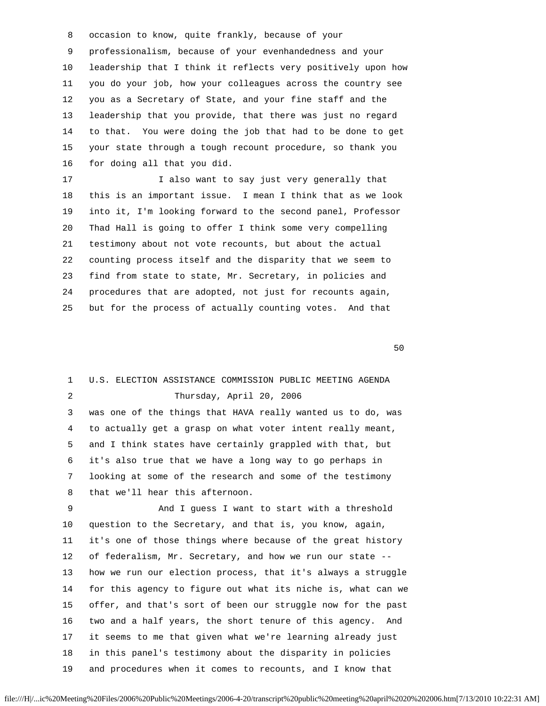8 occasion to know, quite frankly, because of your

 9 professionalism, because of your evenhandedness and your 10 leadership that I think it reflects very positively upon how 11 you do your job, how your colleagues across the country see 12 you as a Secretary of State, and your fine staff and the 13 leadership that you provide, that there was just no regard 14 to that. You were doing the job that had to be done to get 15 your state through a tough recount procedure, so thank you 16 for doing all that you did.

 17 I also want to say just very generally that 18 this is an important issue. I mean I think that as we look 19 into it, I'm looking forward to the second panel, Professor 20 Thad Hall is going to offer I think some very compelling 21 testimony about not vote recounts, but about the actual 22 counting process itself and the disparity that we seem to 23 find from state to state, Mr. Secretary, in policies and 24 procedures that are adopted, not just for recounts again, 25 but for the process of actually counting votes. And that

 $50<sub>50</sub>$ 

# 1 U.S. ELECTION ASSISTANCE COMMISSION PUBLIC MEETING AGENDA 2 Thursday, April 20, 2006 3 was one of the things that HAVA really wanted us to do, was 4 to actually get a grasp on what voter intent really meant, 5 and I think states have certainly grappled with that, but 6 it's also true that we have a long way to go perhaps in 7 looking at some of the research and some of the testimony 8 that we'll hear this afternoon.

 9 And I guess I want to start with a threshold 10 question to the Secretary, and that is, you know, again, 11 it's one of those things where because of the great history 12 of federalism, Mr. Secretary, and how we run our state -- 13 how we run our election process, that it's always a struggle 14 for this agency to figure out what its niche is, what can we 15 offer, and that's sort of been our struggle now for the past 16 two and a half years, the short tenure of this agency. And 17 it seems to me that given what we're learning already just 18 in this panel's testimony about the disparity in policies 19 and procedures when it comes to recounts, and I know that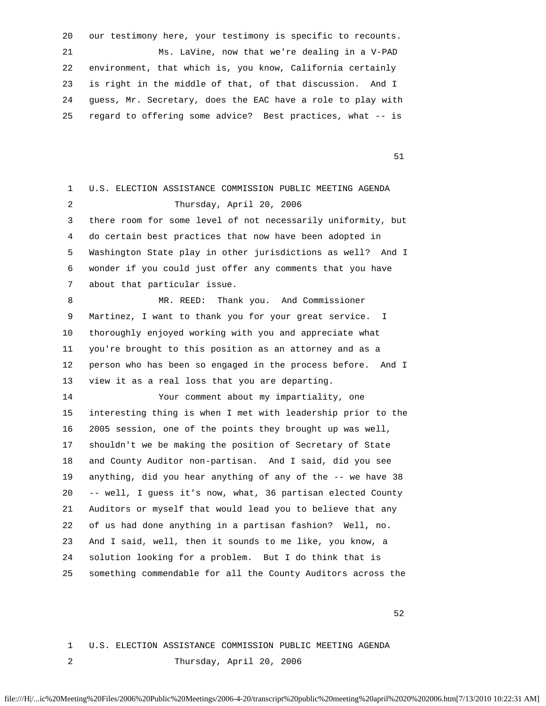20 our testimony here, your testimony is specific to recounts. 21 Ms. LaVine, now that we're dealing in a V-PAD 22 environment, that which is, you know, California certainly 23 is right in the middle of that, of that discussion. And I 24 guess, Mr. Secretary, does the EAC have a role to play with 25 regard to offering some advice? Best practices, what -- is

 $51$ 

 1 U.S. ELECTION ASSISTANCE COMMISSION PUBLIC MEETING AGENDA 2 Thursday, April 20, 2006 3 there room for some level of not necessarily uniformity, but 4 do certain best practices that now have been adopted in 5 Washington State play in other jurisdictions as well? And I 6 wonder if you could just offer any comments that you have 7 about that particular issue. 8 MR. REED: Thank you. And Commissioner 9 Martinez, I want to thank you for your great service. I 10 thoroughly enjoyed working with you and appreciate what 11 you're brought to this position as an attorney and as a 12 person who has been so engaged in the process before. And I 13 view it as a real loss that you are departing. 14 Your comment about my impartiality, one 15 interesting thing is when I met with leadership prior to the 16 2005 session, one of the points they brought up was well, 17 shouldn't we be making the position of Secretary of State 18 and County Auditor non-partisan. And I said, did you see 19 anything, did you hear anything of any of the -- we have 38 20 -- well, I guess it's now, what, 36 partisan elected County 21 Auditors or myself that would lead you to believe that any 22 of us had done anything in a partisan fashion? Well, no. 23 And I said, well, then it sounds to me like, you know, a 24 solution looking for a problem. But I do think that is 25 something commendable for all the County Auditors across the

 $52$ 

 1 U.S. ELECTION ASSISTANCE COMMISSION PUBLIC MEETING AGENDA 2 Thursday, April 20, 2006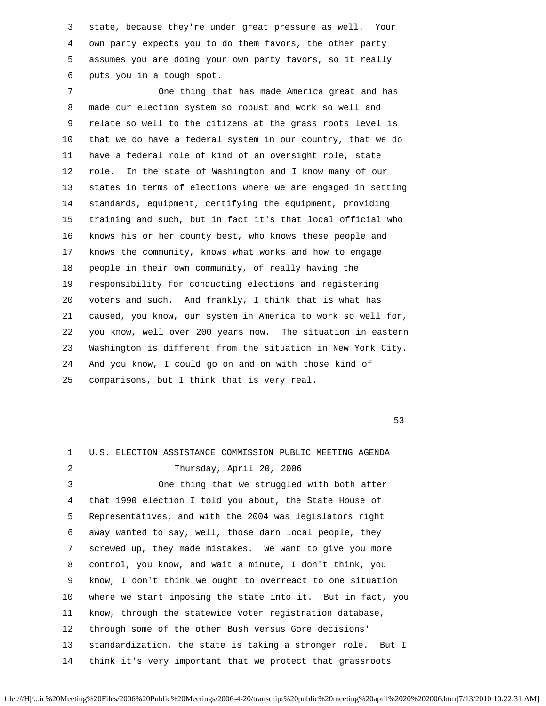3 state, because they're under great pressure as well. Your 4 own party expects you to do them favors, the other party 5 assumes you are doing your own party favors, so it really 6 puts you in a tough spot.

 7 One thing that has made America great and has 8 made our election system so robust and work so well and 9 relate so well to the citizens at the grass roots level is 10 that we do have a federal system in our country, that we do 11 have a federal role of kind of an oversight role, state 12 role. In the state of Washington and I know many of our 13 states in terms of elections where we are engaged in setting 14 standards, equipment, certifying the equipment, providing 15 training and such, but in fact it's that local official who 16 knows his or her county best, who knows these people and 17 knows the community, knows what works and how to engage 18 people in their own community, of really having the 19 responsibility for conducting elections and registering 20 voters and such. And frankly, I think that is what has 21 caused, you know, our system in America to work so well for, 22 you know, well over 200 years now. The situation in eastern 23 Washington is different from the situation in New York City. 24 And you know, I could go on and on with those kind of 25 comparisons, but I think that is very real.

 $53$ 

 1 U.S. ELECTION ASSISTANCE COMMISSION PUBLIC MEETING AGENDA 2 Thursday, April 20, 2006 3 One thing that we struggled with both after 4 that 1990 election I told you about, the State House of 5 Representatives, and with the 2004 was legislators right 6 away wanted to say, well, those darn local people, they 7 screwed up, they made mistakes. We want to give you more 8 control, you know, and wait a minute, I don't think, you 9 know, I don't think we ought to overreact to one situation 10 where we start imposing the state into it. But in fact, you 11 know, through the statewide voter registration database, 12 through some of the other Bush versus Gore decisions' 13 standardization, the state is taking a stronger role. But I 14 think it's very important that we protect that grassroots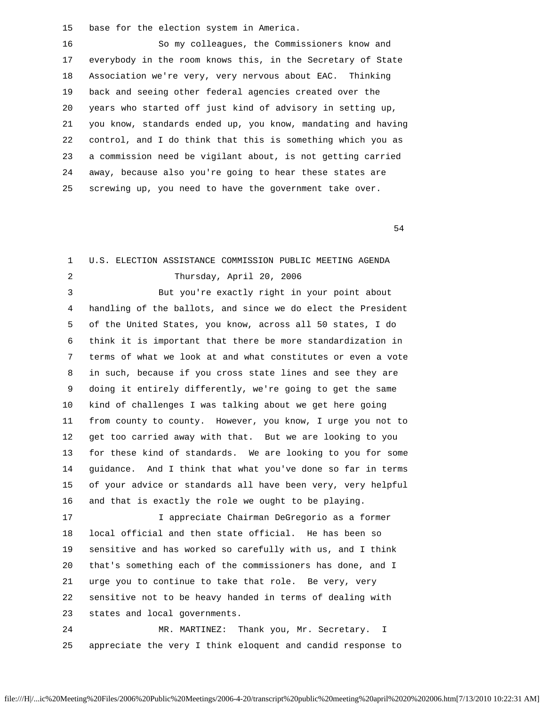15 base for the election system in America.

 16 So my colleagues, the Commissioners know and 17 everybody in the room knows this, in the Secretary of State 18 Association we're very, very nervous about EAC. Thinking 19 back and seeing other federal agencies created over the 20 years who started off just kind of advisory in setting up, 21 you know, standards ended up, you know, mandating and having 22 control, and I do think that this is something which you as 23 a commission need be vigilant about, is not getting carried 24 away, because also you're going to hear these states are 25 screwing up, you need to have the government take over.

 $54$ 

| $\mathbf{1}$ | U.S. ELECTION ASSISTANCE COMMISSION PUBLIC MEETING AGENDA    |
|--------------|--------------------------------------------------------------|
| 2            | Thursday, April 20, 2006                                     |
| 3            | But you're exactly right in your point about                 |
| 4            | handling of the ballots, and since we do elect the President |
| 5            | of the United States, you know, across all 50 states, I do   |
| 6            | think it is important that there be more standardization in  |
| 7            | terms of what we look at and what constitutes or even a vote |
| 8            | in such, because if you cross state lines and see they are   |
| 9            | doing it entirely differently, we're going to get the same   |
| 10           | kind of challenges I was talking about we get here going     |
| 11           | from county to county. However, you know, I urge you not to  |
| 12           | get too carried away with that. But we are looking to you    |
| 13           | for these kind of standards. We are looking to you for some  |
| 14           | guidance. And I think that what you've done so far in terms  |
| 15           | of your advice or standards all have been very, very helpful |
| 16           | and that is exactly the role we ought to be playing.         |
| 17           | I appreciate Chairman DeGregorio as a former                 |
| 18           | local official and then state official. He has been so       |
| 19           | sensitive and has worked so carefully with us, and I think   |
| 20           | that's something each of the commissioners has done, and I   |
| 21           | urge you to continue to take that role. Be very, very        |
| 22           | sensitive not to be heavy handed in terms of dealing with    |
| 23           | states and local governments.                                |
| 24           | MR. MARTINEZ: Thank you, Mr. Secretary.<br>I.                |
| 25           | appreciate the very I think eloquent and candid response to  |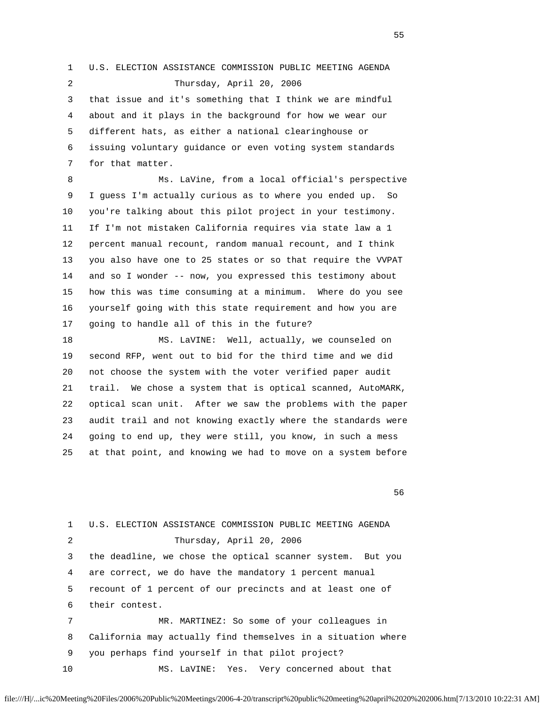1 U.S. ELECTION ASSISTANCE COMMISSION PUBLIC MEETING AGENDA 2 Thursday, April 20, 2006 3 that issue and it's something that I think we are mindful 4 about and it plays in the background for how we wear our 5 different hats, as either a national clearinghouse or 6 issuing voluntary guidance or even voting system standards 7 for that matter.

 8 Ms. LaVine, from a local official's perspective 9 I guess I'm actually curious as to where you ended up. So 10 you're talking about this pilot project in your testimony. 11 If I'm not mistaken California requires via state law a 1 12 percent manual recount, random manual recount, and I think 13 you also have one to 25 states or so that require the VVPAT 14 and so I wonder -- now, you expressed this testimony about 15 how this was time consuming at a minimum. Where do you see 16 yourself going with this state requirement and how you are 17 going to handle all of this in the future?

 18 MS. LaVINE: Well, actually, we counseled on 19 second RFP, went out to bid for the third time and we did 20 not choose the system with the voter verified paper audit 21 trail. We chose a system that is optical scanned, AutoMARK, 22 optical scan unit. After we saw the problems with the paper 23 audit trail and not knowing exactly where the standards were 24 going to end up, they were still, you know, in such a mess 25 at that point, and knowing we had to move on a system before

 $56$ 

 1 U.S. ELECTION ASSISTANCE COMMISSION PUBLIC MEETING AGENDA 2 Thursday, April 20, 2006 3 the deadline, we chose the optical scanner system. But you 4 are correct, we do have the mandatory 1 percent manual 5 recount of 1 percent of our precincts and at least one of 6 their contest. 7 MR. MARTINEZ: So some of your colleagues in 8 California may actually find themselves in a situation where 9 you perhaps find yourself in that pilot project? 10 MS. LaVINE: Yes. Very concerned about that

file:///H|/...ic%20Meeting%20Files/2006%20Public%20Meetings/2006-4-20/transcript%20public%20meeting%20april%2020%202006.htm[7/13/2010 10:22:31 AM]

 $55$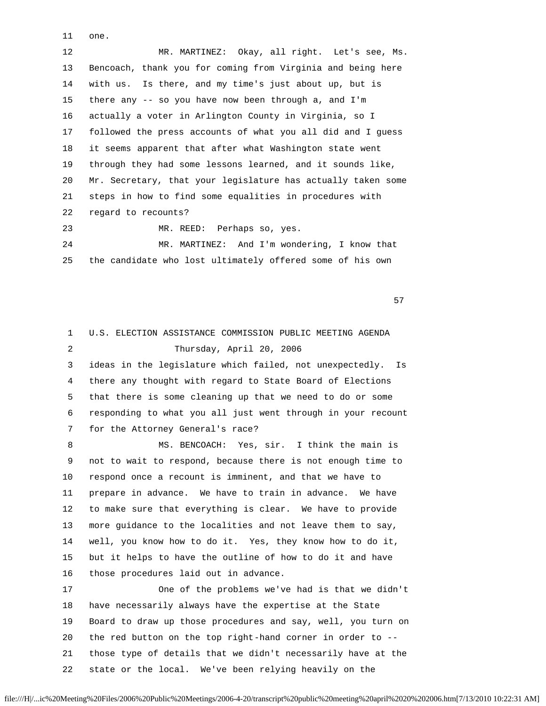11 one.

 12 MR. MARTINEZ: Okay, all right. Let's see, Ms. 13 Bencoach, thank you for coming from Virginia and being here 14 with us. Is there, and my time's just about up, but is 15 there any -- so you have now been through a, and I'm 16 actually a voter in Arlington County in Virginia, so I 17 followed the press accounts of what you all did and I guess 18 it seems apparent that after what Washington state went 19 through they had some lessons learned, and it sounds like, 20 Mr. Secretary, that your legislature has actually taken some 21 steps in how to find some equalities in procedures with 22 regard to recounts? 23 MR. REED: Perhaps so, yes.

 24 MR. MARTINEZ: And I'm wondering, I know that 25 the candidate who lost ultimately offered some of his own

 $57$ 

 1 U.S. ELECTION ASSISTANCE COMMISSION PUBLIC MEETING AGENDA 2 Thursday, April 20, 2006 3 ideas in the legislature which failed, not unexpectedly. Is 4 there any thought with regard to State Board of Elections 5 that there is some cleaning up that we need to do or some 6 responding to what you all just went through in your recount 7 for the Attorney General's race? 8 MS. BENCOACH: Yes, sir. I think the main is 9 not to wait to respond, because there is not enough time to 10 respond once a recount is imminent, and that we have to 11 prepare in advance. We have to train in advance. We have 12 to make sure that everything is clear. We have to provide 13 more guidance to the localities and not leave them to say, 14 well, you know how to do it. Yes, they know how to do it, 15 but it helps to have the outline of how to do it and have 16 those procedures laid out in advance. 17 One of the problems we've had is that we didn't 18 have necessarily always have the expertise at the State 19 Board to draw up those procedures and say, well, you turn on 20 the red button on the top right-hand corner in order to -- 21 those type of details that we didn't necessarily have at the 22 state or the local. We've been relying heavily on the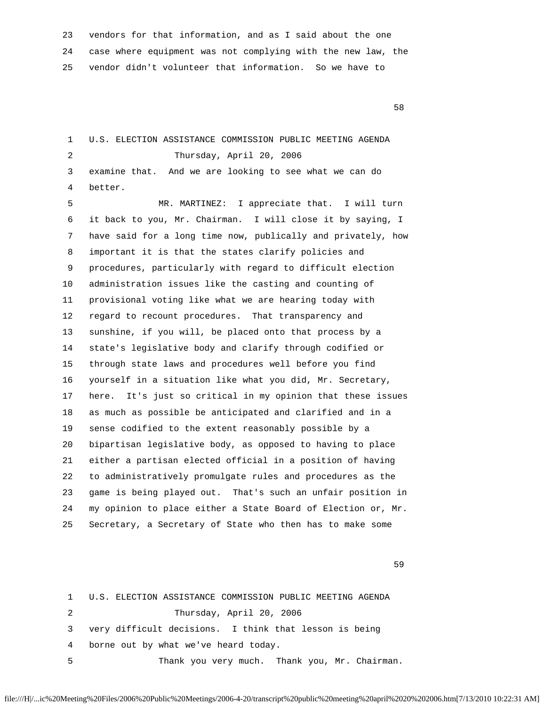23 vendors for that information, and as I said about the one 24 case where equipment was not complying with the new law, the 25 vendor didn't volunteer that information. So we have to

 $58$ 

 1 U.S. ELECTION ASSISTANCE COMMISSION PUBLIC MEETING AGENDA 2 Thursday, April 20, 2006 3 examine that. And we are looking to see what we can do 4 better. 5 MR. MARTINEZ: I appreciate that. I will turn 6 it back to you, Mr. Chairman. I will close it by saying, I 7 have said for a long time now, publically and privately, how 8 important it is that the states clarify policies and 9 procedures, particularly with regard to difficult election 10 administration issues like the casting and counting of 11 provisional voting like what we are hearing today with 12 regard to recount procedures. That transparency and 13 sunshine, if you will, be placed onto that process by a 14 state's legislative body and clarify through codified or 15 through state laws and procedures well before you find 16 yourself in a situation like what you did, Mr. Secretary, 17 here. It's just so critical in my opinion that these issues 18 as much as possible be anticipated and clarified and in a 19 sense codified to the extent reasonably possible by a 20 bipartisan legislative body, as opposed to having to place 21 either a partisan elected official in a position of having 22 to administratively promulgate rules and procedures as the 23 game is being played out. That's such an unfair position in 24 my opinion to place either a State Board of Election or, Mr. 25 Secretary, a Secretary of State who then has to make some

 $59$ 

 1 U.S. ELECTION ASSISTANCE COMMISSION PUBLIC MEETING AGENDA 2 Thursday, April 20, 2006 3 very difficult decisions. I think that lesson is being 4 borne out by what we've heard today. 5 Thank you very much. Thank you, Mr. Chairman.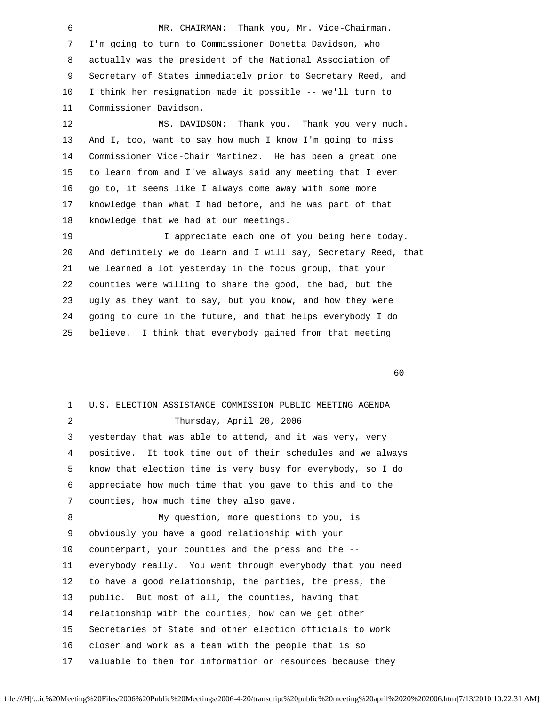6 MR. CHAIRMAN: Thank you, Mr. Vice-Chairman. 7 I'm going to turn to Commissioner Donetta Davidson, who 8 actually was the president of the National Association of 9 Secretary of States immediately prior to Secretary Reed, and 10 I think her resignation made it possible -- we'll turn to 11 Commissioner Davidson.

 12 MS. DAVIDSON: Thank you. Thank you very much. 13 And I, too, want to say how much I know I'm going to miss 14 Commissioner Vice-Chair Martinez. He has been a great one 15 to learn from and I've always said any meeting that I ever 16 go to, it seems like I always come away with some more 17 knowledge than what I had before, and he was part of that 18 knowledge that we had at our meetings.

 19 I appreciate each one of you being here today. 20 And definitely we do learn and I will say, Secretary Reed, that 21 we learned a lot yesterday in the focus group, that your 22 counties were willing to share the good, the bad, but the 23 ugly as they want to say, but you know, and how they were 24 going to cure in the future, and that helps everybody I do 25 believe. I think that everybody gained from that meeting

 $\sim$  60

| 1  | U.S. ELECTION ASSISTANCE COMMISSION PUBLIC MEETING AGENDA   |
|----|-------------------------------------------------------------|
| 2  | Thursday, April 20, 2006                                    |
| 3  | yesterday that was able to attend, and it was very, very    |
| 4  | positive. It took time out of their schedules and we always |
| 5  | know that election time is very busy for everybody, so I do |
| 6  | appreciate how much time that you gave to this and to the   |
| 7  | counties, how much time they also gave.                     |
| 8  | My question, more questions to you, is                      |
| 9  | obviously you have a good relationship with your            |
| 10 | counterpart, your counties and the press and the --         |
| 11 | everybody really. You went through everybody that you need  |
| 12 | to have a good relationship, the parties, the press, the    |
| 13 | public. But most of all, the counties, having that          |
| 14 | relationship with the counties, how can we get other        |
| 15 | Secretaries of State and other election officials to work   |
| 16 | closer and work as a team with the people that is so        |
| 17 | valuable to them for information or resources because they  |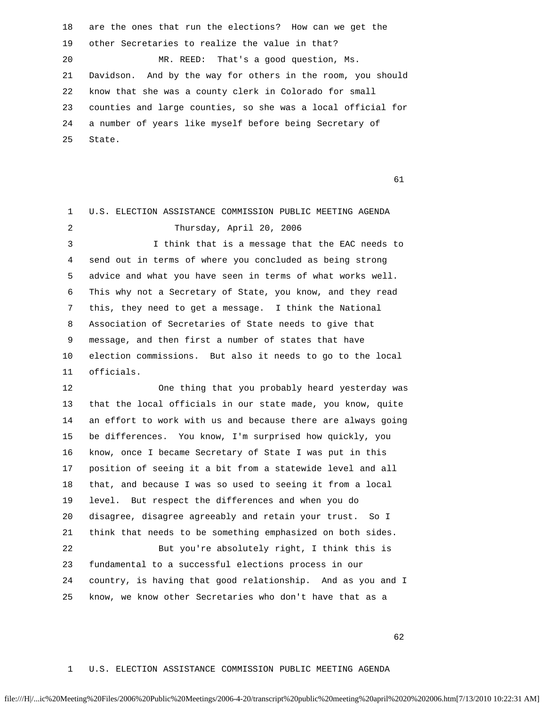18 are the ones that run the elections? How can we get the 19 other Secretaries to realize the value in that? 20 MR. REED: That's a good question, Ms. 21 Davidson. And by the way for others in the room, you should 22 know that she was a county clerk in Colorado for small 23 counties and large counties, so she was a local official for 24 a number of years like myself before being Secretary of 25 State.

entity of the contract of the contract of the contract of the contract of the contract of the contract of the contract of the contract of the contract of the contract of the contract of the contract of the contract of the

 1 U.S. ELECTION ASSISTANCE COMMISSION PUBLIC MEETING AGENDA 2 Thursday, April 20, 2006 3 I think that is a message that the EAC needs to 4 send out in terms of where you concluded as being strong 5 advice and what you have seen in terms of what works well. 6 This why not a Secretary of State, you know, and they read 7 this, they need to get a message. I think the National 8 Association of Secretaries of State needs to give that 9 message, and then first a number of states that have 10 election commissions. But also it needs to go to the local 11 officials. 12 One thing that you probably heard yesterday was 13 that the local officials in our state made, you know, quite 14 an effort to work with us and because there are always going 15 be differences. You know, I'm surprised how quickly, you 16 know, once I became Secretary of State I was put in this 17 position of seeing it a bit from a statewide level and all 18 that, and because I was so used to seeing it from a local 19 level. But respect the differences and when you do

 20 disagree, disagree agreeably and retain your trust. So I 21 think that needs to be something emphasized on both sides. 22 But you're absolutely right, I think this is 23 fundamental to a successful elections process in our 24 country, is having that good relationship. And as you and I

25 know, we know other Secretaries who don't have that as a

 $\sim$  62

### 1 U.S. ELECTION ASSISTANCE COMMISSION PUBLIC MEETING AGENDA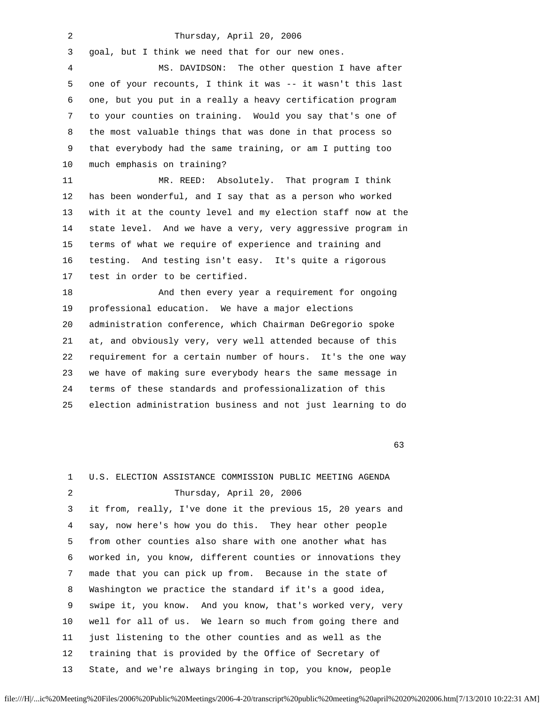| 2  | Thursday, April 20, 2006                                     |
|----|--------------------------------------------------------------|
| 3  | goal, but I think we need that for our new ones.             |
| 4  | MS. DAVIDSON: The other question I have after                |
| 5  | one of your recounts, I think it was -- it wasn't this last  |
| 6  | one, but you put in a really a heavy certification program   |
| 7  | to your counties on training. Would you say that's one of    |
| 8  | the most valuable things that was done in that process so    |
| 9  | that everybody had the same training, or am I putting too    |
| 10 | much emphasis on training?                                   |
| 11 | MR. REED: Absolutely. That program I think                   |
| 12 | has been wonderful, and I say that as a person who worked    |
| 13 | with it at the county level and my election staff now at the |
| 14 | state level. And we have a very, very aggressive program in  |
| 15 | terms of what we require of experience and training and      |
| 16 | testing. And testing isn't easy. It's quite a rigorous       |
| 17 | test in order to be certified.                               |
| 18 | And then every year a requirement for ongoing                |
| 19 | professional education. We have a major elections            |
| 20 | administration conference, which Chairman DeGregorio spoke   |
| 21 | at, and obviously very, very well attended because of this   |
| 22 | requirement for a certain number of hours. It's the one way  |
| 23 | we have of making sure everybody hears the same message in   |
| 24 | terms of these standards and professionalization of this     |
| 25 | election administration business and not just learning to do |
|    |                                                              |
|    | 63                                                           |
|    |                                                              |
| 1  | U.S. ELECTION ASSISTANCE COMMISSION PUBLIC MEETING AGENDA    |
|    |                                                              |

 2 Thursday, April 20, 2006 3 it from, really, I've done it the previous 15, 20 years and 4 say, now here's how you do this. They hear other people 5 from other counties also share with one another what has 6 worked in, you know, different counties or innovations they 7 made that you can pick up from. Because in the state of 8 Washington we practice the standard if it's a good idea, 9 swipe it, you know. And you know, that's worked very, very 10 well for all of us. We learn so much from going there and 11 just listening to the other counties and as well as the 12 training that is provided by the Office of Secretary of 13 State, and we're always bringing in top, you know, people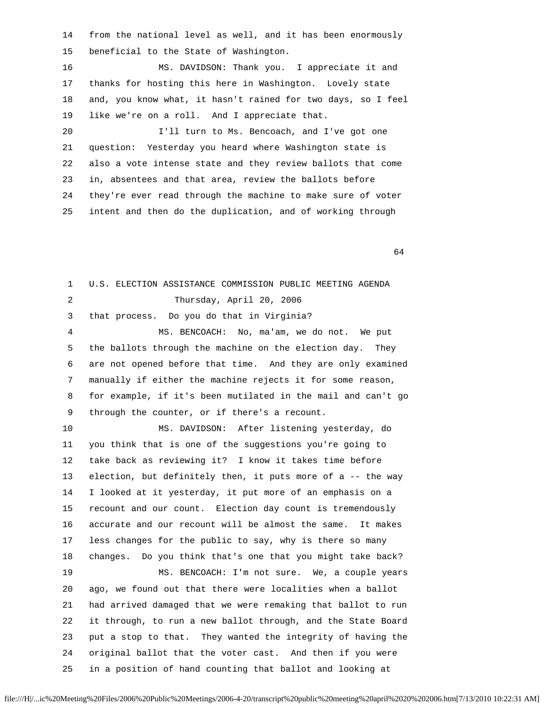14 from the national level as well, and it has been enormously 15 beneficial to the State of Washington.

 16 MS. DAVIDSON: Thank you. I appreciate it and 17 thanks for hosting this here in Washington. Lovely state 18 and, you know what, it hasn't rained for two days, so I feel 19 like we're on a roll. And I appreciate that. 20 I'll turn to Ms. Bencoach, and I've got one 21 question: Yesterday you heard where Washington state is 22 also a vote intense state and they review ballots that come 23 in, absentees and that area, review the ballots before

 24 they're ever read through the machine to make sure of voter 25 intent and then do the duplication, and of working through

 $\overline{64}$ 

| 1  | U.S. ELECTION ASSISTANCE COMMISSION PUBLIC MEETING AGENDA    |
|----|--------------------------------------------------------------|
| 2  | Thursday, April 20, 2006                                     |
| 3  | that process. Do you do that in Virginia?                    |
| 4  | MS. BENCOACH: No, ma'am, we do not. We put                   |
| 5  | the ballots through the machine on the election day. They    |
| 6  | are not opened before that time. And they are only examined  |
| 7  | manually if either the machine rejects it for some reason,   |
| 8  | for example, if it's been mutilated in the mail and can't go |
| 9  | through the counter, or if there's a recount.                |
| 10 | MS. DAVIDSON: After listening yesterday, do                  |
| 11 | you think that is one of the suggestions you're going to     |
| 12 | take back as reviewing it? I know it takes time before       |
| 13 | election, but definitely then, it puts more of a -- the way  |
| 14 | I looked at it yesterday, it put more of an emphasis on a    |
| 15 | recount and our count. Election day count is tremendously    |
| 16 | accurate and our recount will be almost the same. It makes   |
| 17 | less changes for the public to say, why is there so many     |
| 18 | changes. Do you think that's one that you might take back?   |
| 19 | MS. BENCOACH: I'm not sure. We, a couple years               |
| 20 | ago, we found out that there were localities when a ballot   |
| 21 | had arrived damaged that we were remaking that ballot to run |
| 22 | it through, to run a new ballot through, and the State Board |
| 23 | put a stop to that. They wanted the integrity of having the  |
| 24 | original ballot that the voter cast. And then if you were    |
| 25 | in a position of hand counting that ballot and looking at    |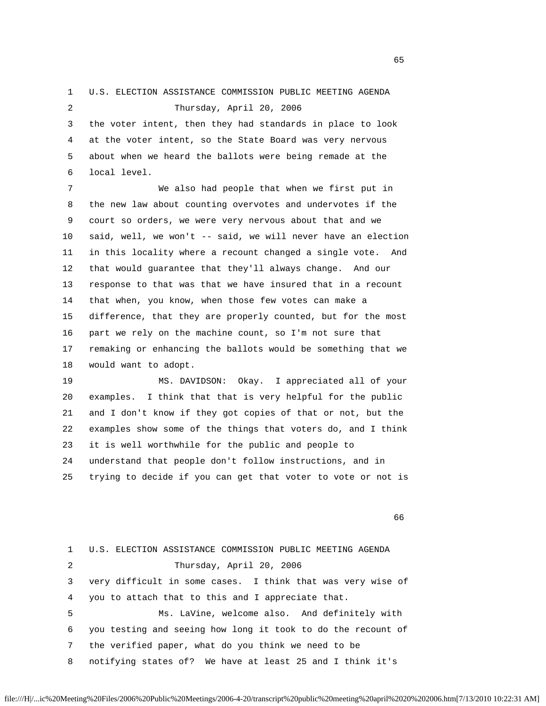1 U.S. ELECTION ASSISTANCE COMMISSION PUBLIC MEETING AGENDA 2 Thursday, April 20, 2006

 3 the voter intent, then they had standards in place to look 4 at the voter intent, so the State Board was very nervous 5 about when we heard the ballots were being remade at the 6 local level.

 7 We also had people that when we first put in 8 the new law about counting overvotes and undervotes if the 9 court so orders, we were very nervous about that and we 10 said, well, we won't -- said, we will never have an election 11 in this locality where a recount changed a single vote. And 12 that would guarantee that they'll always change. And our 13 response to that was that we have insured that in a recount 14 that when, you know, when those few votes can make a 15 difference, that they are properly counted, but for the most 16 part we rely on the machine count, so I'm not sure that 17 remaking or enhancing the ballots would be something that we 18 would want to adopt.

 19 MS. DAVIDSON: Okay. I appreciated all of your 20 examples. I think that that is very helpful for the public 21 and I don't know if they got copies of that or not, but the 22 examples show some of the things that voters do, and I think 23 it is well worthwhile for the public and people to 24 understand that people don't follow instructions, and in 25 trying to decide if you can get that voter to vote or not is

en de la construction de la construction de la construction de la construction de la construction de la constr<br>La construction de la construction de la construction de la construction de la construction de la construction

|   | U.S. ELECTION ASSISTANCE COMMISSION PUBLIC MEETING AGENDA    |
|---|--------------------------------------------------------------|
| 2 | Thursday, April 20, 2006                                     |
| 3 | very difficult in some cases. I think that was very wise of  |
| 4 | you to attach that to this and I appreciate that.            |
| 5 | Ms. LaVine, welcome also. And definitely with                |
| 6 | you testing and seeing how long it took to do the recount of |
| 7 | the verified paper, what do you think we need to be          |
| 8 | notifying states of? We have at least 25 and I think it's    |

 $\sim$  65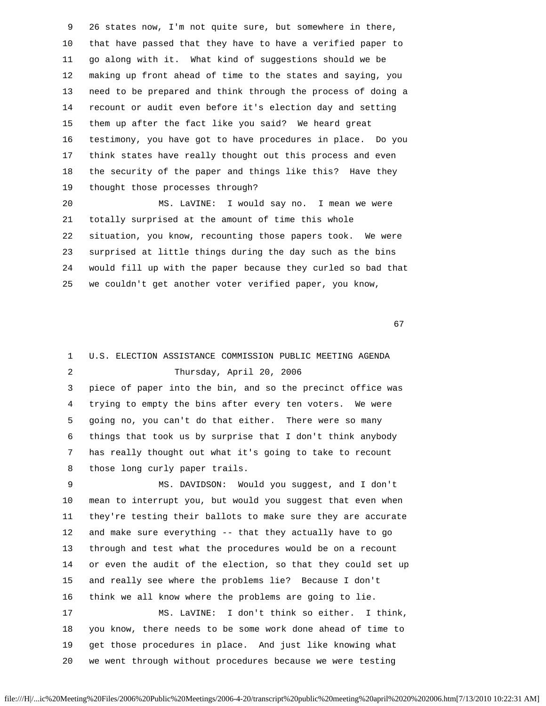9 26 states now, I'm not quite sure, but somewhere in there, 10 that have passed that they have to have a verified paper to 11 go along with it. What kind of suggestions should we be 12 making up front ahead of time to the states and saying, you 13 need to be prepared and think through the process of doing a 14 recount or audit even before it's election day and setting 15 them up after the fact like you said? We heard great 16 testimony, you have got to have procedures in place. Do you 17 think states have really thought out this process and even 18 the security of the paper and things like this? Have they 19 thought those processes through?

 20 MS. LaVINE: I would say no. I mean we were 21 totally surprised at the amount of time this whole 22 situation, you know, recounting those papers took. We were 23 surprised at little things during the day such as the bins 24 would fill up with the paper because they curled so bad that 25 we couldn't get another voter verified paper, you know,

 $\sim$  67

# 1 U.S. ELECTION ASSISTANCE COMMISSION PUBLIC MEETING AGENDA 2 Thursday, April 20, 2006 3 piece of paper into the bin, and so the precinct office was 4 trying to empty the bins after every ten voters. We were 5 going no, you can't do that either. There were so many 6 things that took us by surprise that I don't think anybody 7 has really thought out what it's going to take to recount 8 those long curly paper trails. 9 MS. DAVIDSON: Would you suggest, and I don't 10 mean to interrupt you, but would you suggest that even when 11 they're testing their ballots to make sure they are accurate 12 and make sure everything -- that they actually have to go 13 through and test what the procedures would be on a recount 14 or even the audit of the election, so that they could set up 15 and really see where the problems lie? Because I don't 16 think we all know where the problems are going to lie. 17 MS. LaVINE: I don't think so either. I think, 18 you know, there needs to be some work done ahead of time to 19 get those procedures in place. And just like knowing what 20 we went through without procedures because we were testing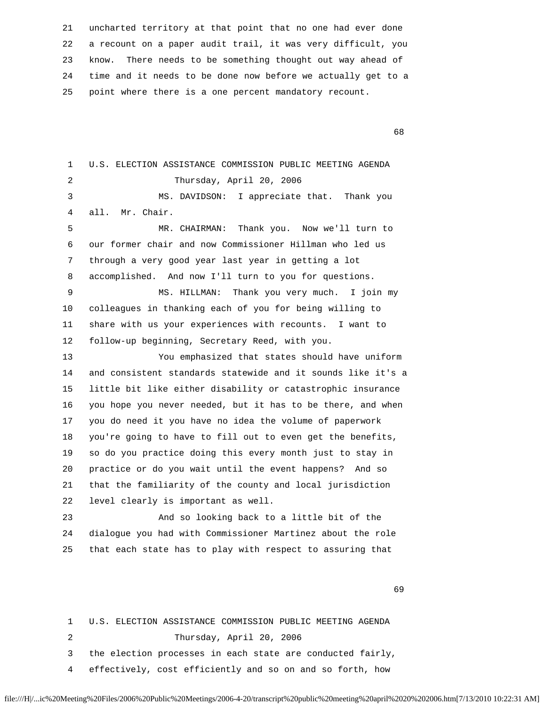21 uncharted territory at that point that no one had ever done 22 a recount on a paper audit trail, it was very difficult, you 23 know. There needs to be something thought out way ahead of 24 time and it needs to be done now before we actually get to a 25 point where there is a one percent mandatory recount.

e de la construcción de la construcción de la construcción de la construcción de la construcción de la constru

 1 U.S. ELECTION ASSISTANCE COMMISSION PUBLIC MEETING AGENDA 2 Thursday, April 20, 2006 3 MS. DAVIDSON: I appreciate that. Thank you 4 all. Mr. Chair. 5 MR. CHAIRMAN: Thank you. Now we'll turn to 6 our former chair and now Commissioner Hillman who led us 7 through a very good year last year in getting a lot 8 accomplished. And now I'll turn to you for questions. 9 MS. HILLMAN: Thank you very much. I join my 10 colleagues in thanking each of you for being willing to 11 share with us your experiences with recounts. I want to 12 follow-up beginning, Secretary Reed, with you. 13 You emphasized that states should have uniform 14 and consistent standards statewide and it sounds like it's a 15 little bit like either disability or catastrophic insurance 16 you hope you never needed, but it has to be there, and when 17 you do need it you have no idea the volume of paperwork 18 you're going to have to fill out to even get the benefits, 19 so do you practice doing this every month just to stay in 20 practice or do you wait until the event happens? And so 21 that the familiarity of the county and local jurisdiction 22 level clearly is important as well. 23 And so looking back to a little bit of the 24 dialogue you had with Commissioner Martinez about the role 25 that each state has to play with respect to assuring that

 $\sim$  69

 1 U.S. ELECTION ASSISTANCE COMMISSION PUBLIC MEETING AGENDA 2 Thursday, April 20, 2006

3 the election processes in each state are conducted fairly,

4 effectively, cost efficiently and so on and so forth, how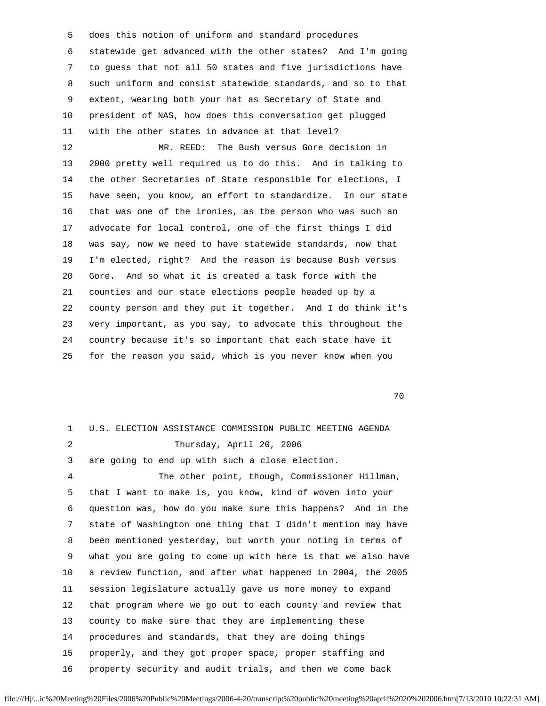5 does this notion of uniform and standard procedures 6 statewide get advanced with the other states? And I'm going 7 to guess that not all 50 states and five jurisdictions have 8 such uniform and consist statewide standards, and so to that 9 extent, wearing both your hat as Secretary of State and 10 president of NAS, how does this conversation get plugged 11 with the other states in advance at that level? 12 MR. REED: The Bush versus Gore decision in 13 2000 pretty well required us to do this. And in talking to 14 the other Secretaries of State responsible for elections, I 15 have seen, you know, an effort to standardize. In our state 16 that was one of the ironies, as the person who was such an 17 advocate for local control, one of the first things I did 18 was say, now we need to have statewide standards, now that 19 I'm elected, right? And the reason is because Bush versus 20 Gore. And so what it is created a task force with the 21 counties and our state elections people headed up by a 22 county person and they put it together. And I do think it's 23 very important, as you say, to advocate this throughout the 24 country because it's so important that each state have it 25 for the reason you said, which is you never know when you

 $70$ 

 1 U.S. ELECTION ASSISTANCE COMMISSION PUBLIC MEETING AGENDA 2 Thursday, April 20, 2006 3 are going to end up with such a close election. 4 The other point, though, Commissioner Hillman, 5 that I want to make is, you know, kind of woven into your 6 question was, how do you make sure this happens? And in the 7 state of Washington one thing that I didn't mention may have 8 been mentioned yesterday, but worth your noting in terms of 9 what you are going to come up with here is that we also have 10 a review function, and after what happened in 2004, the 2005 11 session legislature actually gave us more money to expand 12 that program where we go out to each county and review that 13 county to make sure that they are implementing these 14 procedures and standards, that they are doing things 15 properly, and they got proper space, proper staffing and 16 property security and audit trials, and then we come back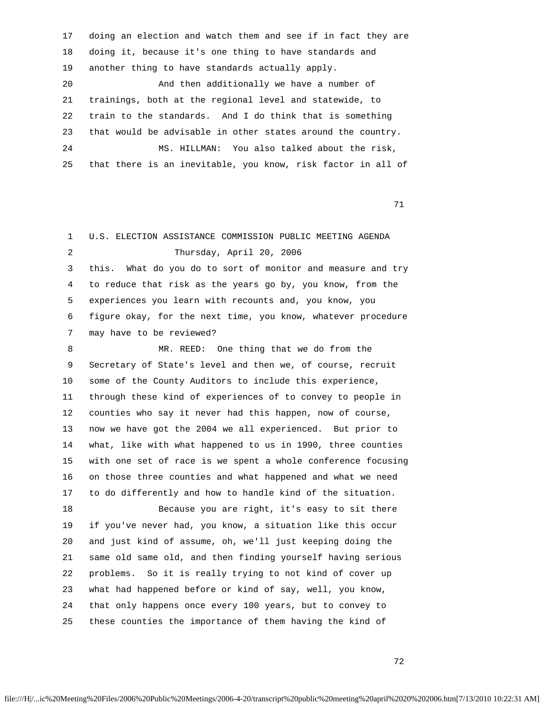17 doing an election and watch them and see if in fact they are 18 doing it, because it's one thing to have standards and 19 another thing to have standards actually apply. 20 And then additionally we have a number of 21 trainings, both at the regional level and statewide, to 22 train to the standards. And I do think that is something 23 that would be advisable in other states around the country. 24 MS. HILLMAN: You also talked about the risk, 25 that there is an inevitable, you know, risk factor in all of

71

| 1  | U.S. ELECTION ASSISTANCE COMMISSION PUBLIC MEETING AGENDA      |
|----|----------------------------------------------------------------|
| 2  | Thursday, April 20, 2006                                       |
| 3  | this.<br>What do you do to sort of monitor and measure and try |
| 4  | to reduce that risk as the years go by, you know, from the     |
| 5  | experiences you learn with recounts and, you know, you         |
| 6  | figure okay, for the next time, you know, whatever procedure   |
| 7  | may have to be reviewed?                                       |
| 8  | MR. REED: One thing that we do from the                        |
| 9  | Secretary of State's level and then we, of course, recruit     |
| 10 | some of the County Auditors to include this experience,        |
| 11 | through these kind of experiences of to convey to people in    |
| 12 | counties who say it never had this happen, now of course,      |
| 13 | now we have got the 2004 we all experienced. But prior to      |
| 14 | what, like with what happened to us in 1990, three counties    |
| 15 | with one set of race is we spent a whole conference focusing   |
| 16 | on those three counties and what happened and what we need     |
| 17 | to do differently and how to handle kind of the situation.     |
| 18 | Because you are right, it's easy to sit there                  |
| 19 | if you've never had, you know, a situation like this occur     |
| 20 | and just kind of assume, oh, we'll just keeping doing the      |
| 21 | same old same old, and then finding yourself having serious    |
| 22 | problems. So it is really trying to not kind of cover up       |
| 23 | what had happened before or kind of say, well, you know,       |
| 24 | that only happens once every 100 years, but to convey to       |
| 25 | these counties the importance of them having the kind of       |

72 and 2012 and 2012 and 2012 and 2012 and 2012 and 2012 and 2012 and 2012 and 2012 and 2012 and 201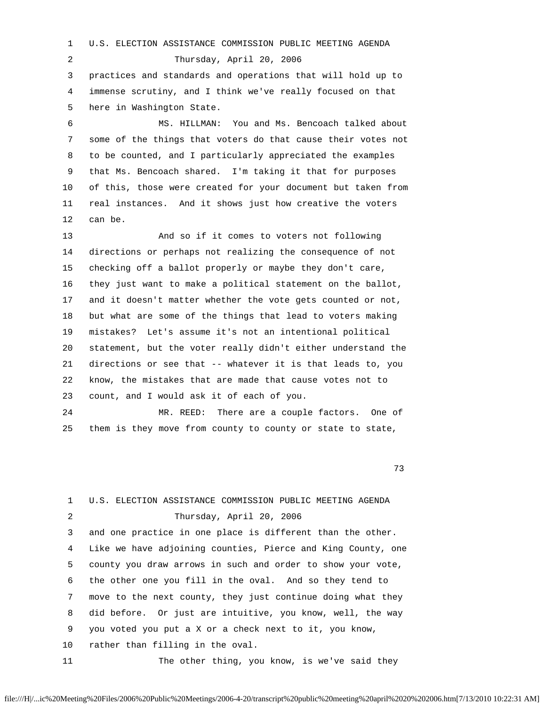1 U.S. ELECTION ASSISTANCE COMMISSION PUBLIC MEETING AGENDA 2 Thursday, April 20, 2006 3 practices and standards and operations that will hold up to 4 immense scrutiny, and I think we've really focused on that 5 here in Washington State. 6 MS. HILLMAN: You and Ms. Bencoach talked about 7 some of the things that voters do that cause their votes not 8 to be counted, and I particularly appreciated the examples 9 that Ms. Bencoach shared. I'm taking it that for purposes 10 of this, those were created for your document but taken from 11 real instances. And it shows just how creative the voters 12 can be. 13 And so if it comes to voters not following 14 directions or perhaps not realizing the consequence of not 15 checking off a ballot properly or maybe they don't care, 16 they just want to make a political statement on the ballot, 17 and it doesn't matter whether the vote gets counted or not, 18 but what are some of the things that lead to voters making 19 mistakes? Let's assume it's not an intentional political 20 statement, but the voter really didn't either understand the 21 directions or see that -- whatever it is that leads to, you 22 know, the mistakes that are made that cause votes not to 23 count, and I would ask it of each of you. 24 MR. REED: There are a couple factors. One of 25 them is they move from county to county or state to state,

73

|    | U.S. ELECTION ASSISTANCE COMMISSION PUBLIC MEETING AGENDA    |
|----|--------------------------------------------------------------|
| 2  | Thursday, April 20, 2006                                     |
| 3  | and one practice in one place is different than the other.   |
| 4  | Like we have adjoining counties, Pierce and King County, one |
| 5  | county you draw arrows in such and order to show your vote,  |
| 6  | the other one you fill in the oval. And so they tend to      |
| 7  | move to the next county, they just continue doing what they  |
| 8  | did before. Or just are intuitive, you know, well, the way   |
| 9  | you voted you put a X or a check next to it, you know,       |
| 10 | rather than filling in the oval.                             |
| 11 | The other thing, you know, is we've said they                |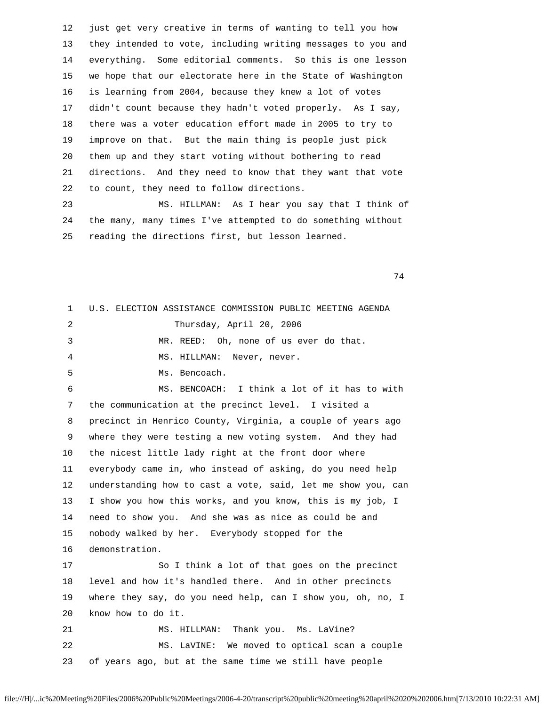12 just get very creative in terms of wanting to tell you how 13 they intended to vote, including writing messages to you and 14 everything. Some editorial comments. So this is one lesson 15 we hope that our electorate here in the State of Washington 16 is learning from 2004, because they knew a lot of votes 17 didn't count because they hadn't voted properly. As I say, 18 there was a voter education effort made in 2005 to try to 19 improve on that. But the main thing is people just pick 20 them up and they start voting without bothering to read 21 directions. And they need to know that they want that vote 22 to count, they need to follow directions. 23 MS. HILLMAN: As I hear you say that I think of

 24 the many, many times I've attempted to do something without 25 reading the directions first, but lesson learned.

74

| 1  | U.S. ELECTION ASSISTANCE COMMISSION PUBLIC MEETING AGENDA    |
|----|--------------------------------------------------------------|
| 2  | Thursday, April 20, 2006                                     |
| 3  | MR. REED: Oh, none of us ever do that.                       |
| 4  | MS. HILLMAN: Never, never.                                   |
| 5  | Ms. Bencoach.                                                |
| 6  | MS. BENCOACH: I think a lot of it has to with                |
| 7  | the communication at the precinct level. I visited a         |
| 8  | precinct in Henrico County, Virginia, a couple of years ago  |
| 9  | where they were testing a new voting system. And they had    |
| 10 | the nicest little lady right at the front door where         |
| 11 | everybody came in, who instead of asking, do you need help   |
| 12 | understanding how to cast a vote, said, let me show you, can |
| 13 | I show you how this works, and you know, this is my job, I   |
| 14 | need to show you. And she was as nice as could be and        |
| 15 | nobody walked by her. Everybody stopped for the              |
| 16 | demonstration.                                               |
| 17 | So I think a lot of that goes on the precinct                |
| 18 | level and how it's handled there. And in other precincts     |
| 19 | where they say, do you need help, can I show you, oh, no, I  |
| 20 | know how to do it.                                           |
| 21 | MS. HILLMAN: Thank you. Ms. LaVine?                          |
| 22 | MS. LaVINE: We moved to optical scan a couple                |
| 23 | of years ago, but at the same time we still have people      |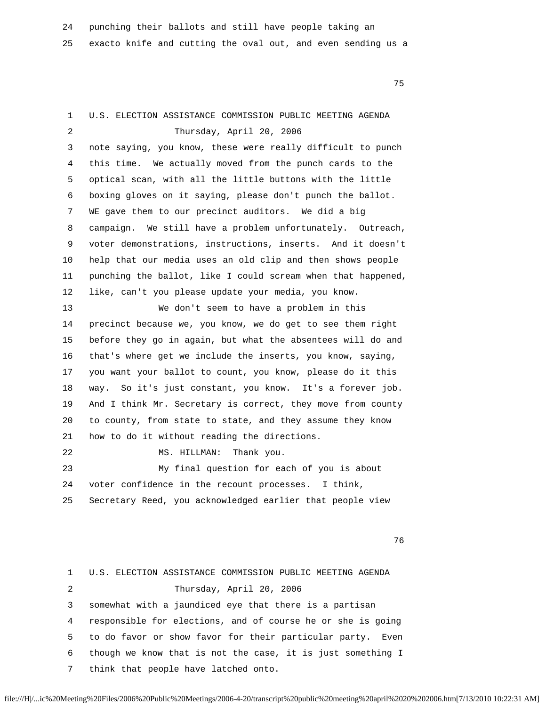24 punching their ballots and still have people taking an

25 exacto knife and cutting the oval out, and even sending us a

75

| 1            | U.S. ELECTION ASSISTANCE COMMISSION PUBLIC MEETING AGENDA    |
|--------------|--------------------------------------------------------------|
| 2            | Thursday, April 20, 2006                                     |
| 3            | note saying, you know, these were really difficult to punch  |
| 4            | this time. We actually moved from the punch cards to the     |
| 5            | optical scan, with all the little buttons with the little    |
| 6            | boxing gloves on it saying, please don't punch the ballot.   |
| 7            | WE gave them to our precinct auditors. We did a big          |
| 8            | campaign. We still have a problem unfortunately. Outreach,   |
| 9            | voter demonstrations, instructions, inserts. And it doesn't  |
| 10           | help that our media uses an old clip and then shows people   |
| 11           | punching the ballot, like I could scream when that happened, |
| 12           | like, can't you please update your media, you know.          |
| 13           | We don't seem to have a problem in this                      |
| 14           | precinct because we, you know, we do get to see them right   |
| 15           | before they go in again, but what the absentees will do and  |
| 16           | that's where get we include the inserts, you know, saying,   |
| 17           | you want your ballot to count, you know, please do it this   |
| 18           | way. So it's just constant, you know. It's a forever job.    |
| 19           | And I think Mr. Secretary is correct, they move from county  |
| 20           | to county, from state to state, and they assume they know    |
| 21           | how to do it without reading the directions.                 |
| 22           | Thank you.<br>MS. HILLMAN:                                   |
| 23           | My final question for each of you is about                   |
| 24           | voter confidence in the recount processes. I think,          |
| 25           | Secretary Reed, you acknowledged earlier that people view    |
|              |                                                              |
|              | 76                                                           |
|              |                                                              |
| $\mathbf{1}$ | U.S. ELECTION ASSISTANCE COMMISSION PUBLIC MEETING AGENDA    |
| 2            | Thursday, April 20, 2006                                     |
| 3            | somewhat with a jaundiced eye that there is a partisan       |
| 4            | responsible for elections, and of course he or she is going  |
|              |                                                              |

5 to do favor or show favor for their particular party. Even

6 though we know that is not the case, it is just something I

7 think that people have latched onto.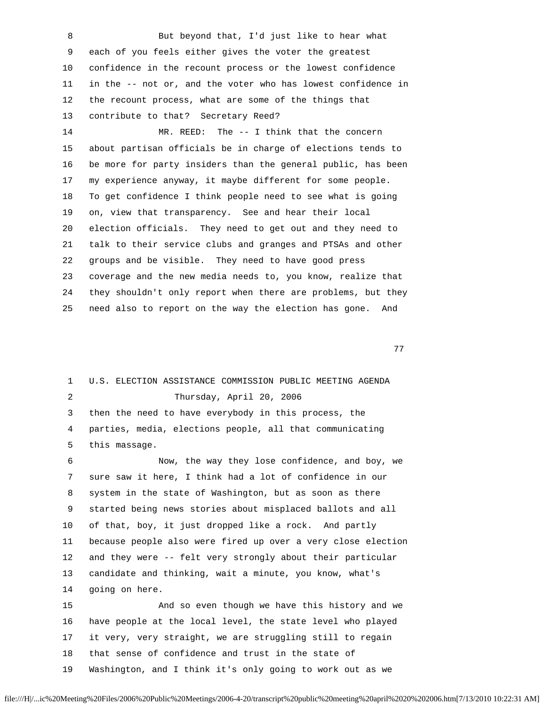8 But beyond that, I'd just like to hear what 9 each of you feels either gives the voter the greatest 10 confidence in the recount process or the lowest confidence 11 in the -- not or, and the voter who has lowest confidence in 12 the recount process, what are some of the things that 13 contribute to that? Secretary Reed?

14 MR. REED: The -- I think that the concern 15 about partisan officials be in charge of elections tends to 16 be more for party insiders than the general public, has been 17 my experience anyway, it maybe different for some people. 18 To get confidence I think people need to see what is going 19 on, view that transparency. See and hear their local 20 election officials. They need to get out and they need to 21 talk to their service clubs and granges and PTSAs and other 22 groups and be visible. They need to have good press 23 coverage and the new media needs to, you know, realize that 24 they shouldn't only report when there are problems, but they 25 need also to report on the way the election has gone. And

 $77$ 

| $\mathbf 1$ | U.S. ELECTION ASSISTANCE COMMISSION PUBLIC MEETING AGENDA    |
|-------------|--------------------------------------------------------------|
| 2           | Thursday, April 20, 2006                                     |
| 3           | then the need to have everybody in this process, the         |
| 4           | parties, media, elections people, all that communicating     |
| 5           | this massage.                                                |
| 6           | Now, the way they lose confidence, and boy, we               |
| 7           | sure saw it here, I think had a lot of confidence in our     |
| 8           | system in the state of Washington, but as soon as there      |
| 9           | started being news stories about misplaced ballots and all   |
| 10          | of that, boy, it just dropped like a rock. And partly        |
| 11          | because people also were fired up over a very close election |
| 12          | and they were -- felt very strongly about their particular   |
| 13          | candidate and thinking, wait a minute, you know, what's      |
| 14          | going on here.                                               |
| 15          | And so even though we have this history and we               |
| 16          | have people at the local level, the state level who played   |
| 17          | it very, very straight, we are struggling still to regain    |
| 18          | that sense of confidence and trust in the state of           |
| 19          | Washington, and I think it's only going to work out as we    |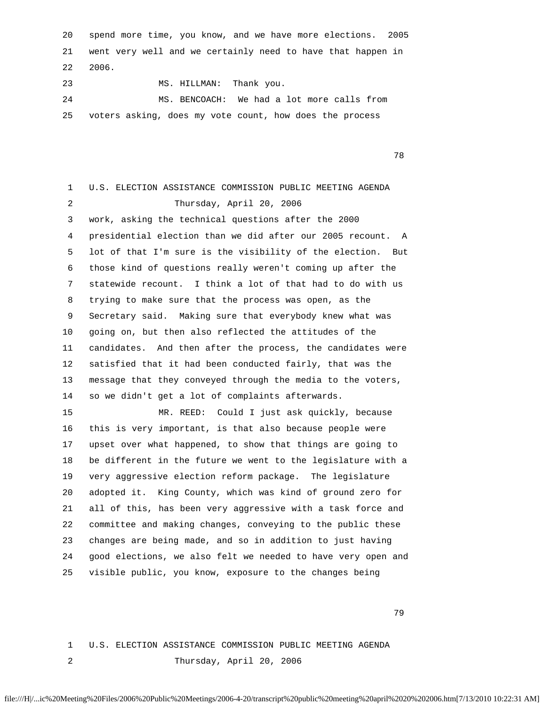20 spend more time, you know, and we have more elections. 2005 21 went very well and we certainly need to have that happen in 22 2006.

23 MS. HILLMAN: Thank you.

 24 MS. BENCOACH: We had a lot more calls from 25 voters asking, does my vote count, how does the process

n and the state of the state of the state of the state of the state of the state of the state of the state of the state of the state of the state of the state of the state of the state of the state of the state of the stat

 1 U.S. ELECTION ASSISTANCE COMMISSION PUBLIC MEETING AGENDA 2 Thursday, April 20, 2006 3 work, asking the technical questions after the 2000 4 presidential election than we did after our 2005 recount. A 5 lot of that I'm sure is the visibility of the election. But 6 those kind of questions really weren't coming up after the 7 statewide recount. I think a lot of that had to do with us 8 trying to make sure that the process was open, as the 9 Secretary said. Making sure that everybody knew what was 10 going on, but then also reflected the attitudes of the 11 candidates. And then after the process, the candidates were 12 satisfied that it had been conducted fairly, that was the 13 message that they conveyed through the media to the voters, 14 so we didn't get a lot of complaints afterwards. 15 MR. REED: Could I just ask quickly, because 16 this is very important, is that also because people were 17 upset over what happened, to show that things are going to 18 be different in the future we went to the legislature with a 19 very aggressive election reform package. The legislature 20 adopted it. King County, which was kind of ground zero for 21 all of this, has been very aggressive with a task force and 22 committee and making changes, conveying to the public these 23 changes are being made, and so in addition to just having 24 good elections, we also felt we needed to have very open and 25 visible public, you know, exposure to the changes being

ли в село в село во село во село во село во село во село во село во село во село во село во село во село во се<br>Постојат село во село во село во село во село во село во село во село во село во село во село во село во село

 1 U.S. ELECTION ASSISTANCE COMMISSION PUBLIC MEETING AGENDA 2 Thursday, April 20, 2006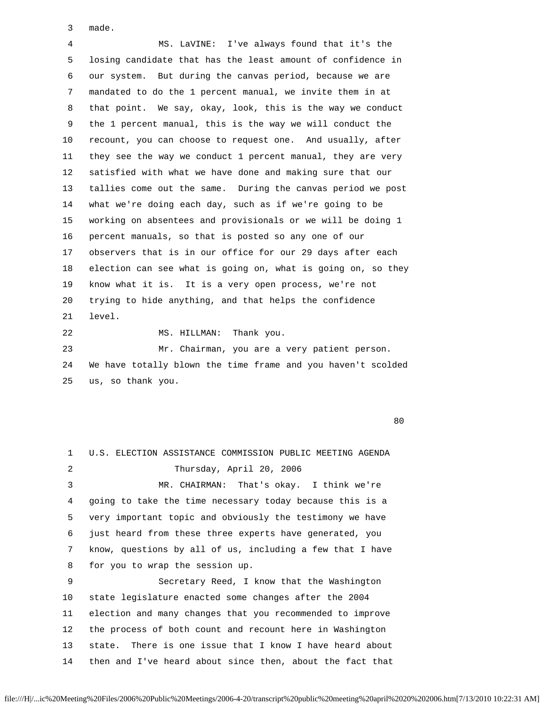3 made.

 4 MS. LaVINE: I've always found that it's the 5 losing candidate that has the least amount of confidence in 6 our system. But during the canvas period, because we are 7 mandated to do the 1 percent manual, we invite them in at 8 that point. We say, okay, look, this is the way we conduct 9 the 1 percent manual, this is the way we will conduct the 10 recount, you can choose to request one. And usually, after 11 they see the way we conduct 1 percent manual, they are very 12 satisfied with what we have done and making sure that our 13 tallies come out the same. During the canvas period we post 14 what we're doing each day, such as if we're going to be 15 working on absentees and provisionals or we will be doing 1 16 percent manuals, so that is posted so any one of our 17 observers that is in our office for our 29 days after each 18 election can see what is going on, what is going on, so they 19 know what it is. It is a very open process, we're not 20 trying to hide anything, and that helps the confidence 21 level. 22 MS. HILLMAN: Thank you.

 23 Mr. Chairman, you are a very patient person. 24 We have totally blown the time frame and you haven't scolded 25 us, so thank you.

en de la construcción de la construcción de la construcción de la construcción de la construcción de la constr<br>En la construcción de la construcción de la construcción de la construcción de la construcción de la construcc

 1 U.S. ELECTION ASSISTANCE COMMISSION PUBLIC MEETING AGENDA 2 Thursday, April 20, 2006 3 MR. CHAIRMAN: That's okay. I think we're 4 going to take the time necessary today because this is a 5 very important topic and obviously the testimony we have 6 just heard from these three experts have generated, you 7 know, questions by all of us, including a few that I have 8 for you to wrap the session up. 9 Secretary Reed, I know that the Washington 10 state legislature enacted some changes after the 2004 11 election and many changes that you recommended to improve 12 the process of both count and recount here in Washington 13 state. There is one issue that I know I have heard about 14 then and I've heard about since then, about the fact that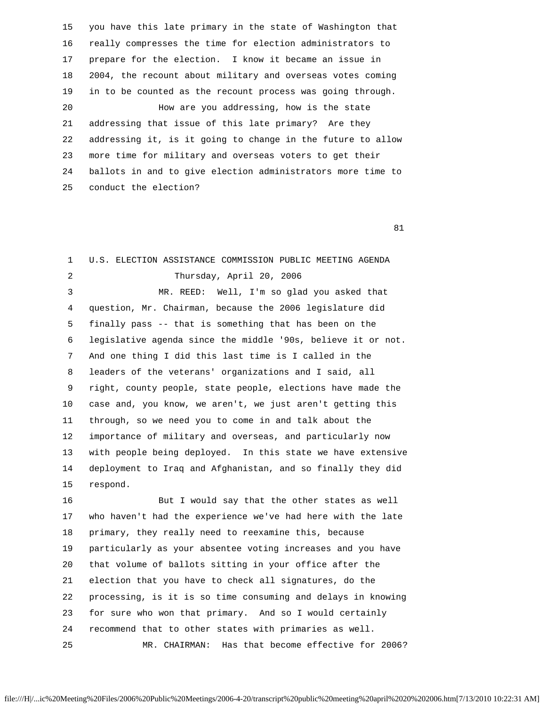15 you have this late primary in the state of Washington that 16 really compresses the time for election administrators to 17 prepare for the election. I know it became an issue in 18 2004, the recount about military and overseas votes coming 19 in to be counted as the recount process was going through. 20 How are you addressing, how is the state 21 addressing that issue of this late primary? Are they 22 addressing it, is it going to change in the future to allow 23 more time for military and overseas voters to get their 24 ballots in and to give election administrators more time to 25 conduct the election?

experience of the state of the state of the state of the state of the state of the state of the state of the s

| $\mathbf 1$ | U.S. ELECTION ASSISTANCE COMMISSION PUBLIC MEETING AGENDA    |
|-------------|--------------------------------------------------------------|
| 2           | Thursday, April 20, 2006                                     |
| 3           | MR. REED: Well, I'm so glad you asked that                   |
| 4           | question, Mr. Chairman, because the 2006 legislature did     |
| 5           | finally pass -- that is something that has been on the       |
| 6           | legislative agenda since the middle '90s, believe it or not. |
| 7           | And one thing I did this last time is I called in the        |
| 8           | leaders of the veterans' organizations and I said, all       |
| 9           | right, county people, state people, elections have made the  |
| 10          | case and, you know, we aren't, we just aren't getting this   |
| 11          | through, so we need you to come in and talk about the        |
| 12          | importance of military and overseas, and particularly now    |
| 13          | with people being deployed. In this state we have extensive  |
| 14          | deployment to Iraq and Afghanistan, and so finally they did  |
| 15          | respond.                                                     |
| 16          | But I would say that the other states as well                |
| 17          | who haven't had the experience we've had here with the late  |
| 18          | primary, they really need to reexamine this, because         |
| 19          | particularly as your absentee voting increases and you have  |
| 20          | that volume of ballots sitting in your office after the      |
| 21          | election that you have to check all signatures, do the       |
| 22          | processing, is it is so time consuming and delays in knowing |
| 23          | for sure who won that primary. And so I would certainly      |
| 24          | recommend that to other states with primaries as well.       |
| 25          | MR. CHAIRMAN: Has that become effective for 2006?            |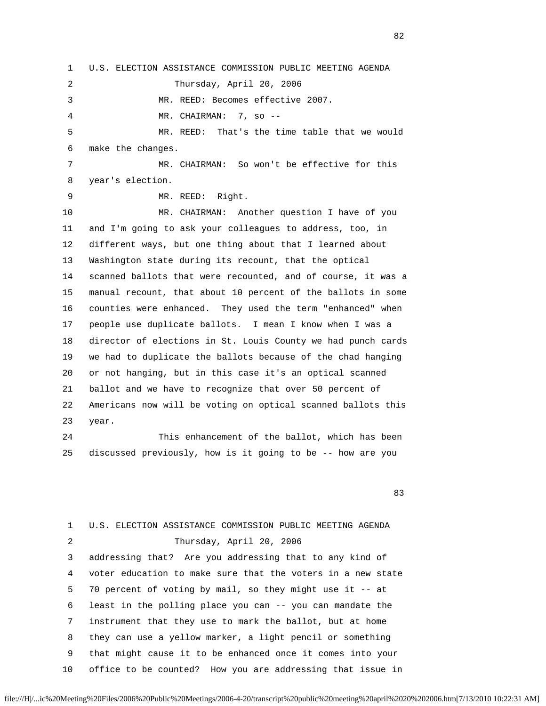1 U.S. ELECTION ASSISTANCE COMMISSION PUBLIC MEETING AGENDA 2 Thursday, April 20, 2006 3 MR. REED: Becomes effective 2007. 4 MR. CHAIRMAN: 7, so -- 5 MR. REED: That's the time table that we would 6 make the changes. 7 MR. CHAIRMAN: So won't be effective for this 8 year's election. 9 MR. REED: Right. 10 MR. CHAIRMAN: Another question I have of you 11 and I'm going to ask your colleagues to address, too, in 12 different ways, but one thing about that I learned about 13 Washington state during its recount, that the optical 14 scanned ballots that were recounted, and of course, it was a 15 manual recount, that about 10 percent of the ballots in some 16 counties were enhanced. They used the term "enhanced" when 17 people use duplicate ballots. I mean I know when I was a 18 director of elections in St. Louis County we had punch cards 19 we had to duplicate the ballots because of the chad hanging 20 or not hanging, but in this case it's an optical scanned 21 ballot and we have to recognize that over 50 percent of 22 Americans now will be voting on optical scanned ballots this 23 year. 24 This enhancement of the ballot, which has been

25 discussed previously, how is it going to be -- how are you

estados de la contrada de la contrada de la contrada de la contrada de la contrada de la contrada de la contra

 1 U.S. ELECTION ASSISTANCE COMMISSION PUBLIC MEETING AGENDA 2 Thursday, April 20, 2006 3 addressing that? Are you addressing that to any kind of 4 voter education to make sure that the voters in a new state 5 70 percent of voting by mail, so they might use it -- at 6 least in the polling place you can -- you can mandate the 7 instrument that they use to mark the ballot, but at home 8 they can use a yellow marker, a light pencil or something 9 that might cause it to be enhanced once it comes into your 10 office to be counted? How you are addressing that issue in

file:///H|/...ic%20Meeting%20Files/2006%20Public%20Meetings/2006-4-20/transcript%20public%20meeting%20april%2020%202006.htm[7/13/2010 10:22:31 AM]

experience of the state of the state of the state of the state of the state of the state of the state of the s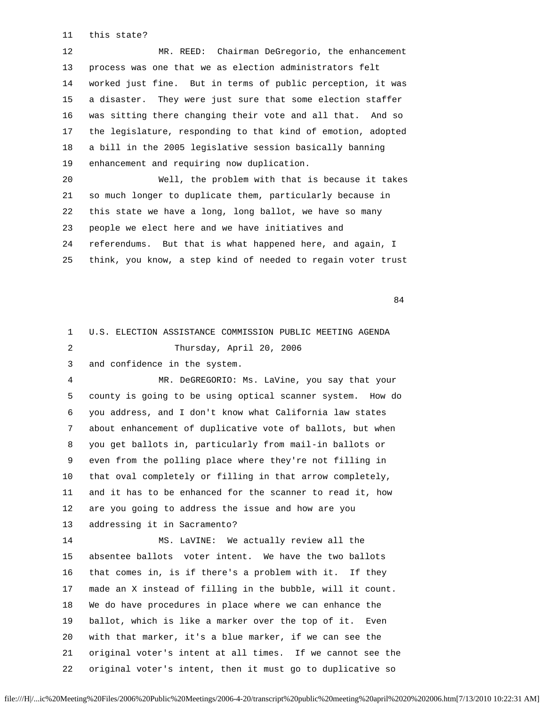11 this state?

 12 MR. REED: Chairman DeGregorio, the enhancement 13 process was one that we as election administrators felt 14 worked just fine. But in terms of public perception, it was 15 a disaster. They were just sure that some election staffer 16 was sitting there changing their vote and all that. And so 17 the legislature, responding to that kind of emotion, adopted 18 a bill in the 2005 legislative session basically banning 19 enhancement and requiring now duplication.

 20 Well, the problem with that is because it takes 21 so much longer to duplicate them, particularly because in 22 this state we have a long, long ballot, we have so many 23 people we elect here and we have initiatives and 24 referendums. But that is what happened here, and again, I 25 think, you know, a step kind of needed to regain voter trust

84

## 1 U.S. ELECTION ASSISTANCE COMMISSION PUBLIC MEETING AGENDA 2 Thursday, April 20, 2006

3 and confidence in the system.

 4 MR. DeGREGORIO: Ms. LaVine, you say that your 5 county is going to be using optical scanner system. How do 6 you address, and I don't know what California law states 7 about enhancement of duplicative vote of ballots, but when 8 you get ballots in, particularly from mail-in ballots or 9 even from the polling place where they're not filling in 10 that oval completely or filling in that arrow completely, 11 and it has to be enhanced for the scanner to read it, how 12 are you going to address the issue and how are you 13 addressing it in Sacramento? 14 MS. LaVINE: We actually review all the 15 absentee ballots voter intent. We have the two ballots 16 that comes in, is if there's a problem with it. If they 17 made an X instead of filling in the bubble, will it count. 18 We do have procedures in place where we can enhance the

 19 ballot, which is like a marker over the top of it. Even 20 with that marker, it's a blue marker, if we can see the

21 original voter's intent at all times. If we cannot see the

22 original voter's intent, then it must go to duplicative so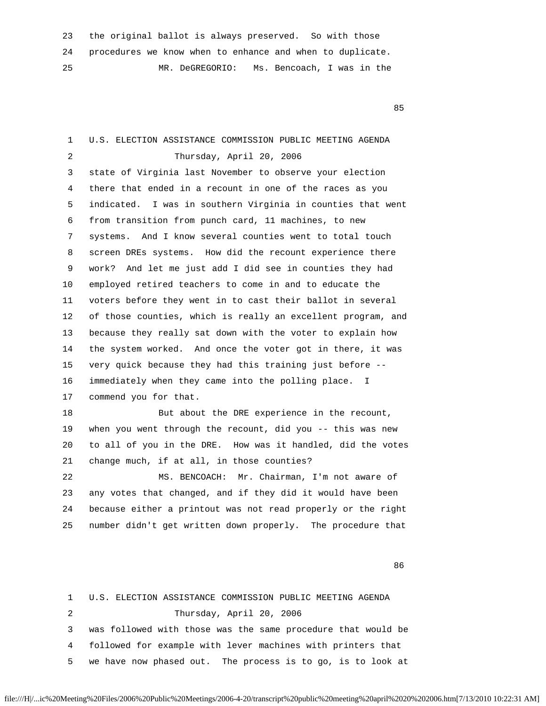23 the original ballot is always preserved. So with those 24 procedures we know when to enhance and when to duplicate. 25 MR. DeGREGORIO: Ms. Bencoach, I was in the

en de la construction de la construction de la construction de la construction de la construction de la construction de la construction de la construction de la construction de la construction de la construction de la cons

| 1  | U.S. ELECTION ASSISTANCE COMMISSION PUBLIC MEETING AGENDA    |
|----|--------------------------------------------------------------|
| 2  | Thursday, April 20, 2006                                     |
| 3  | state of Virginia last November to observe your election     |
| 4  | there that ended in a recount in one of the races as you     |
| 5  | indicated. I was in southern Virginia in counties that went  |
| 6  | from transition from punch card, 11 machines, to new         |
| 7  | systems. And I know several counties went to total touch     |
| 8  | screen DREs systems. How did the recount experience there    |
| 9  | work? And let me just add I did see in counties they had     |
| 10 | employed retired teachers to come in and to educate the      |
| 11 | voters before they went in to cast their ballot in several   |
| 12 | of those counties, which is really an excellent program, and |
| 13 | because they really sat down with the voter to explain how   |
| 14 | the system worked. And once the voter got in there, it was   |
| 15 | very quick because they had this training just before --     |
| 16 | immediately when they came into the polling place. I         |
| 17 | commend you for that.                                        |
| 18 | But about the DRE experience in the recount,                 |
| 19 | when you went through the recount, did you -- this was new   |
| 20 | to all of you in the DRE. How was it handled, did the votes  |
| 21 | change much, if at all, in those counties?                   |
| 22 | MS. BENCOACH: Mr. Chairman, I'm not aware of                 |
| 23 | any votes that changed, and if they did it would have been   |
| 24 | because either a printout was not read properly or the right |
| 25 | number didn't get written down properly. The procedure that  |
|    |                                                              |

en de la construction de la construction de la construction de la construction de la construction de la constr<br>En 1986, en 1986, en 1986, en 1986, en 1986, en 1986, en 1986, en 1986, en 1986, en 1986, en 1986, en 1986, en

 1 U.S. ELECTION ASSISTANCE COMMISSION PUBLIC MEETING AGENDA 2 Thursday, April 20, 2006 3 was followed with those was the same procedure that would be 4 followed for example with lever machines with printers that 5 we have now phased out. The process is to go, is to look at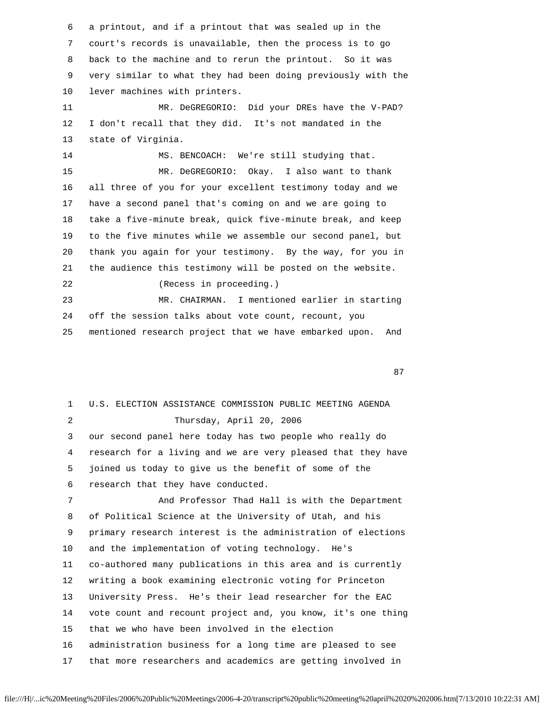6 a printout, and if a printout that was sealed up in the 7 court's records is unavailable, then the process is to go 8 back to the machine and to rerun the printout. So it was 9 very similar to what they had been doing previously with the 10 lever machines with printers.

 11 MR. DeGREGORIO: Did your DREs have the V-PAD? 12 I don't recall that they did. It's not mandated in the 13 state of Virginia.

 14 MS. BENCOACH: We're still studying that. 15 MR. DeGREGORIO: Okay. I also want to thank 16 all three of you for your excellent testimony today and we 17 have a second panel that's coming on and we are going to 18 take a five-minute break, quick five-minute break, and keep 19 to the five minutes while we assemble our second panel, but 20 thank you again for your testimony. By the way, for you in 21 the audience this testimony will be posted on the website. 22 (Recess in proceeding.)

 23 MR. CHAIRMAN. I mentioned earlier in starting 24 off the session talks about vote count, recount, you

25 mentioned research project that we have embarked upon. And

87 and 2012 and 2012 and 2012 and 2012 and 2012 and 2012 and 2012 and 2012 and 2012 and 2012 and 201

| $\mathbf{1}$ | U.S. ELECTION ASSISTANCE COMMISSION PUBLIC MEETING AGENDA    |
|--------------|--------------------------------------------------------------|
| 2            | Thursday, April 20, 2006                                     |
| 3            | our second panel here today has two people who really do     |
| 4            | research for a living and we are very pleased that they have |
| 5            | joined us today to give us the benefit of some of the        |
| 6            | research that they have conducted.                           |
| 7            | And Professor Thad Hall is with the Department               |
| 8            | of Political Science at the University of Utah, and his      |
| 9            | primary research interest is the administration of elections |
| 10           | and the implementation of voting technology. He's            |
| 11           | co-authored many publications in this area and is currently  |
| 12           | writing a book examining electronic voting for Princeton     |
| 13           | University Press. He's their lead researcher for the EAC     |
| 14           | vote count and recount project and, you know, it's one thing |
| 15           | that we who have been involved in the election               |
| 16           | administration business for a long time are pleased to see   |
| 17           | that more researchers and academics are getting involved in  |
|              |                                                              |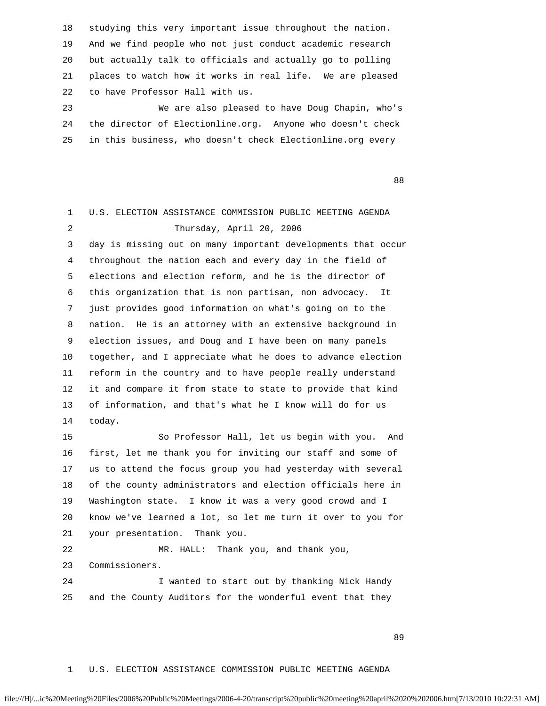18 studying this very important issue throughout the nation. 19 And we find people who not just conduct academic research 20 but actually talk to officials and actually go to polling 21 places to watch how it works in real life. We are pleased 22 to have Professor Hall with us.

 23 We are also pleased to have Doug Chapin, who's 24 the director of Electionline.org. Anyone who doesn't check 25 in this business, who doesn't check Electionline.org every

e e seu a constante de la constante de la constante de la constante de la constante de la constante de la cons

 1 U.S. ELECTION ASSISTANCE COMMISSION PUBLIC MEETING AGENDA 2 Thursday, April 20, 2006 3 day is missing out on many important developments that occur 4 throughout the nation each and every day in the field of 5 elections and election reform, and he is the director of 6 this organization that is non partisan, non advocacy. It 7 just provides good information on what's going on to the 8 nation. He is an attorney with an extensive background in 9 election issues, and Doug and I have been on many panels 10 together, and I appreciate what he does to advance election 11 reform in the country and to have people really understand 12 it and compare it from state to state to provide that kind 13 of information, and that's what he I know will do for us 14 today. 15 So Professor Hall, let us begin with you. And 16 first, let me thank you for inviting our staff and some of 17 us to attend the focus group you had yesterday with several 18 of the county administrators and election officials here in 19 Washington state. I know it was a very good crowd and I 20 know we've learned a lot, so let me turn it over to you for 21 your presentation. Thank you. 22 MR. HALL: Thank you, and thank you,

 23 Commissioners. 24 I wanted to start out by thanking Nick Handy 25 and the County Auditors for the wonderful event that they

e e seu a construída de 1980, e e 1980, e 1980, e 1980, e 1980, e 1980, e 1980, e 1980, e 1980, e 1980, e 1980

### 1 U.S. ELECTION ASSISTANCE COMMISSION PUBLIC MEETING AGENDA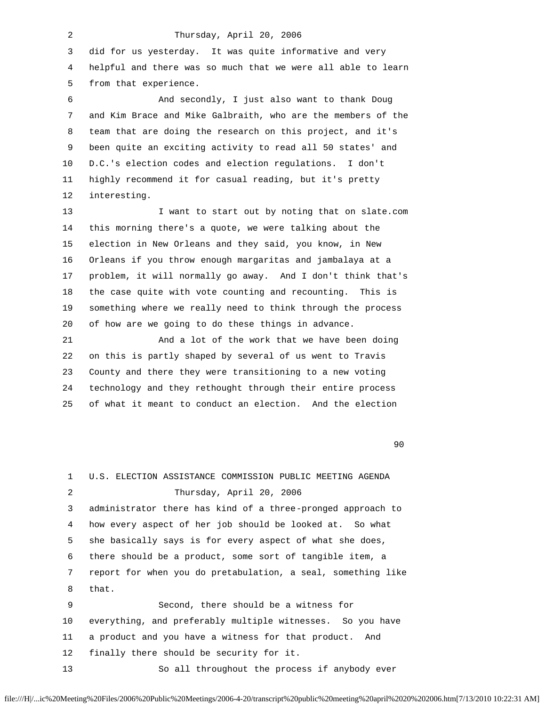2 Thursday, April 20, 2006 3 did for us yesterday. It was quite informative and very 4 helpful and there was so much that we were all able to learn 5 from that experience. 6 And secondly, I just also want to thank Doug 7 and Kim Brace and Mike Galbraith, who are the members of the 8 team that are doing the research on this project, and it's 9 been quite an exciting activity to read all 50 states' and 10 D.C.'s election codes and election regulations. I don't 11 highly recommend it for casual reading, but it's pretty 12 interesting. 13 I want to start out by noting that on slate.com 14 this morning there's a quote, we were talking about the 15 election in New Orleans and they said, you know, in New 16 Orleans if you throw enough margaritas and jambalaya at a 17 problem, it will normally go away. And I don't think that's 18 the case quite with vote counting and recounting. This is 19 something where we really need to think through the process 20 of how are we going to do these things in advance. 21 And a lot of the work that we have been doing 22 on this is partly shaped by several of us went to Travis 23 County and there they were transitioning to a new voting 24 technology and they rethought through their entire process

en de la construction de la construction de la construction de la construction de la construction de la constr<br>1900 : la construction de la construction de la construction de la construction de la construction de la const

| $\mathbf{1}$    | U.S. ELECTION ASSISTANCE COMMISSION PUBLIC MEETING AGENDA    |
|-----------------|--------------------------------------------------------------|
| 2               | Thursday, April 20, 2006                                     |
| 3               | administrator there has kind of a three-pronged approach to  |
| 4               | how every aspect of her job should be looked at. So what     |
| 5               | she basically says is for every aspect of what she does,     |
| 6               | there should be a product, some sort of tangible item, a     |
| 7               | report for when you do pretabulation, a seal, something like |
| 8               | that.                                                        |
| 9               | Second, there should be a witness for                        |
| 10              | everything, and preferably multiple witnesses. So you have   |
| 11              | a product and you have a witness for that product. And       |
| 12 <sup>°</sup> | finally there should be security for it.                     |
| 13              | So all throughout the process if anybody ever                |

25 of what it meant to conduct an election. And the election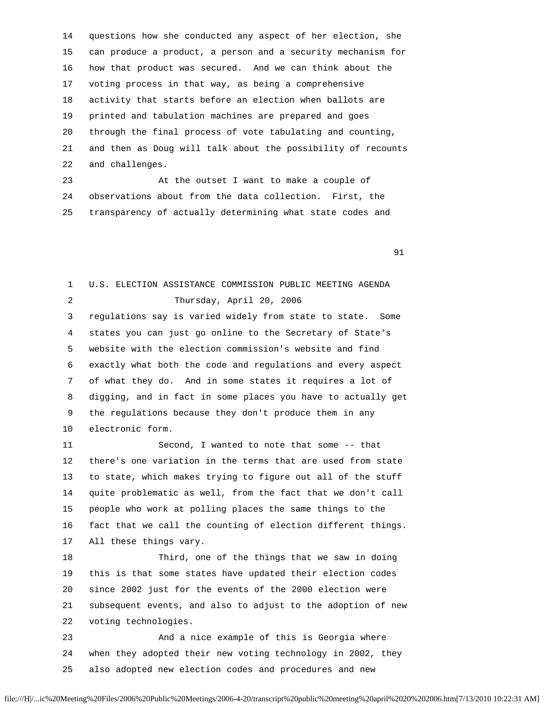14 questions how she conducted any aspect of her election, she 15 can produce a product, a person and a security mechanism for 16 how that product was secured. And we can think about the 17 voting process in that way, as being a comprehensive 18 activity that starts before an election when ballots are 19 printed and tabulation machines are prepared and goes 20 through the final process of vote tabulating and counting, 21 and then as Doug will talk about the possibility of recounts 22 and challenges.

 23 At the outset I want to make a couple of 24 observations about from the data collection. First, the 25 transparency of actually determining what state codes and

91

 1 U.S. ELECTION ASSISTANCE COMMISSION PUBLIC MEETING AGENDA 2 Thursday, April 20, 2006 3 regulations say is varied widely from state to state. Some 4 states you can just go online to the Secretary of State's 5 website with the election commission's website and find 6 exactly what both the code and regulations and every aspect 7 of what they do. And in some states it requires a lot of 8 digging, and in fact in some places you have to actually get 9 the regulations because they don't produce them in any 10 electronic form. 11 Second, I wanted to note that some -- that 12 there's one variation in the terms that are used from state 13 to state, which makes trying to figure out all of the stuff 14 quite problematic as well, from the fact that we don't call 15 people who work at polling places the same things to the 16 fact that we call the counting of election different things. 17 All these things vary. 18 Third, one of the things that we saw in doing 19 this is that some states have updated their election codes 20 since 2002 just for the events of the 2000 election were 21 subsequent events, and also to adjust to the adoption of new 22 voting technologies. 23 And a nice example of this is Georgia where 24 when they adopted their new voting technology in 2002, they

25 also adopted new election codes and procedures and new

file:///H|/...ic%20Meeting%20Files/2006%20Public%20Meetings/2006-4-20/transcript%20public%20meeting%20april%2020%202006.htm[7/13/2010 10:22:31 AM]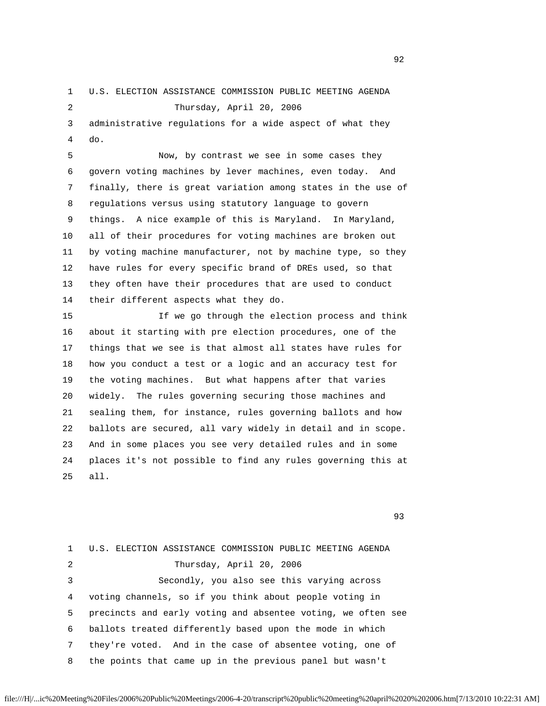### 1 U.S. ELECTION ASSISTANCE COMMISSION PUBLIC MEETING AGENDA 2 Thursday, April 20, 2006

 3 administrative regulations for a wide aspect of what they 4 do.

> 5 Now, by contrast we see in some cases they 6 govern voting machines by lever machines, even today. And 7 finally, there is great variation among states in the use of 8 regulations versus using statutory language to govern 9 things. A nice example of this is Maryland. In Maryland, 10 all of their procedures for voting machines are broken out 11 by voting machine manufacturer, not by machine type, so they 12 have rules for every specific brand of DREs used, so that 13 they often have their procedures that are used to conduct 14 their different aspects what they do.

> 15 If we go through the election process and think 16 about it starting with pre election procedures, one of the 17 things that we see is that almost all states have rules for 18 how you conduct a test or a logic and an accuracy test for 19 the voting machines. But what happens after that varies 20 widely. The rules governing securing those machines and 21 sealing them, for instance, rules governing ballots and how 22 ballots are secured, all vary widely in detail and in scope. 23 And in some places you see very detailed rules and in some 24 places it's not possible to find any rules governing this at 25 all.

93

 1 U.S. ELECTION ASSISTANCE COMMISSION PUBLIC MEETING AGENDA 2 Thursday, April 20, 2006 3 Secondly, you also see this varying across 4 voting channels, so if you think about people voting in 5 precincts and early voting and absentee voting, we often see 6 ballots treated differently based upon the mode in which 7 they're voted. And in the case of absentee voting, one of 8 the points that came up in the previous panel but wasn't

 $\overline{92}$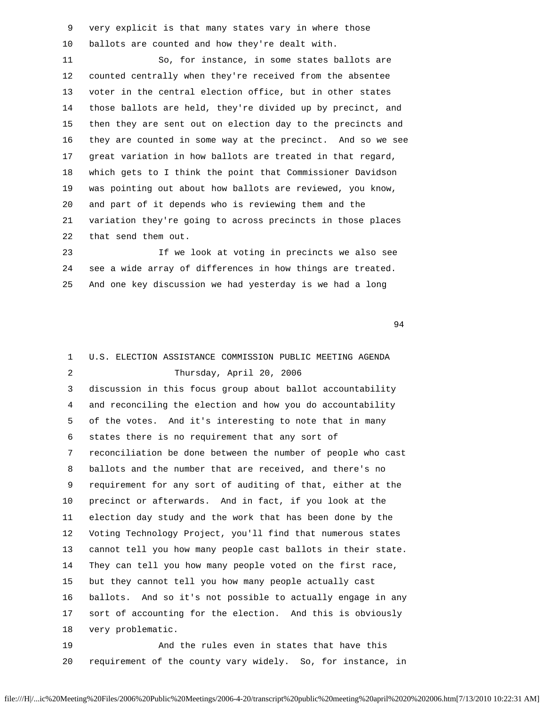9 very explicit is that many states vary in where those 10 ballots are counted and how they're dealt with.

 11 So, for instance, in some states ballots are 12 counted centrally when they're received from the absentee 13 voter in the central election office, but in other states 14 those ballots are held, they're divided up by precinct, and 15 then they are sent out on election day to the precincts and 16 they are counted in some way at the precinct. And so we see 17 great variation in how ballots are treated in that regard, 18 which gets to I think the point that Commissioner Davidson 19 was pointing out about how ballots are reviewed, you know, 20 and part of it depends who is reviewing them and the 21 variation they're going to across precincts in those places 22 that send them out.

 23 If we look at voting in precincts we also see 24 see a wide array of differences in how things are treated. 25 And one key discussion we had yesterday is we had a long

94

 1 U.S. ELECTION ASSISTANCE COMMISSION PUBLIC MEETING AGENDA 2 Thursday, April 20, 2006 3 discussion in this focus group about ballot accountability 4 and reconciling the election and how you do accountability 5 of the votes. And it's interesting to note that in many 6 states there is no requirement that any sort of 7 reconciliation be done between the number of people who cast 8 ballots and the number that are received, and there's no 9 requirement for any sort of auditing of that, either at the 10 precinct or afterwards. And in fact, if you look at the 11 election day study and the work that has been done by the 12 Voting Technology Project, you'll find that numerous states 13 cannot tell you how many people cast ballots in their state. 14 They can tell you how many people voted on the first race, 15 but they cannot tell you how many people actually cast 16 ballots. And so it's not possible to actually engage in any 17 sort of accounting for the election. And this is obviously 18 very problematic. 19 And the rules even in states that have this 20 requirement of the county vary widely. So, for instance, in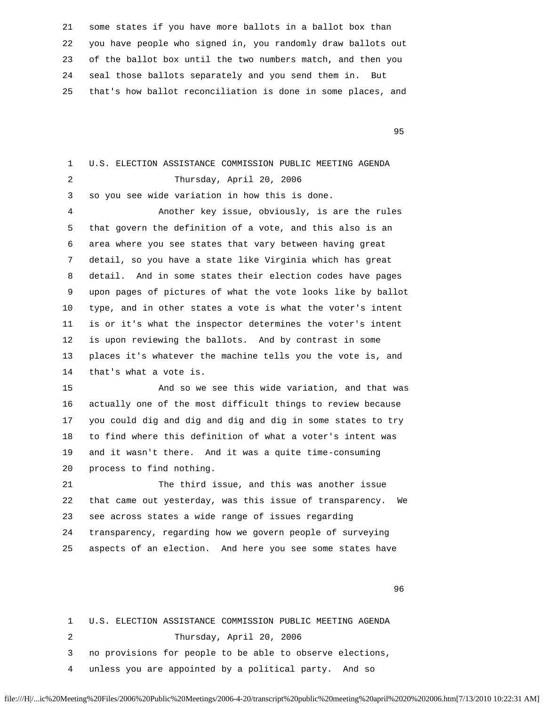21 some states if you have more ballots in a ballot box than 22 you have people who signed in, you randomly draw ballots out 23 of the ballot box until the two numbers match, and then you 24 seal those ballots separately and you send them in. But 25 that's how ballot reconciliation is done in some places, and

en 1995 en 1996 en 1996 en 1997 en 1998 en 1999 en 1999 en 1999 en 1999 en 1999 en 1999 en 1999 en 1999 en 19<br>De grote en 1999 en 1999 en 1999 en 1999 en 1999 en 1999 en 1999 en 1999 en 1999 en 1999 en 1999 en 1999 en 19

 1 U.S. ELECTION ASSISTANCE COMMISSION PUBLIC MEETING AGENDA 2 Thursday, April 20, 2006 3 so you see wide variation in how this is done. 4 Another key issue, obviously, is are the rules 5 that govern the definition of a vote, and this also is an 6 area where you see states that vary between having great 7 detail, so you have a state like Virginia which has great 8 detail. And in some states their election codes have pages 9 upon pages of pictures of what the vote looks like by ballot 10 type, and in other states a vote is what the voter's intent 11 is or it's what the inspector determines the voter's intent 12 is upon reviewing the ballots. And by contrast in some 13 places it's whatever the machine tells you the vote is, and 14 that's what a vote is. 15 And so we see this wide variation, and that was 16 actually one of the most difficult things to review because 17 you could dig and dig and dig and dig in some states to try 18 to find where this definition of what a voter's intent was 19 and it wasn't there. And it was a quite time-consuming 20 process to find nothing. 21 The third issue, and this was another issue 22 that came out yesterday, was this issue of transparency. We 23 see across states a wide range of issues regarding 24 transparency, regarding how we govern people of surveying 25 aspects of an election. And here you see some states have

 $\sim$  96

 1 U.S. ELECTION ASSISTANCE COMMISSION PUBLIC MEETING AGENDA 2 Thursday, April 20, 2006 3 no provisions for people to be able to observe elections,

4 unless you are appointed by a political party. And so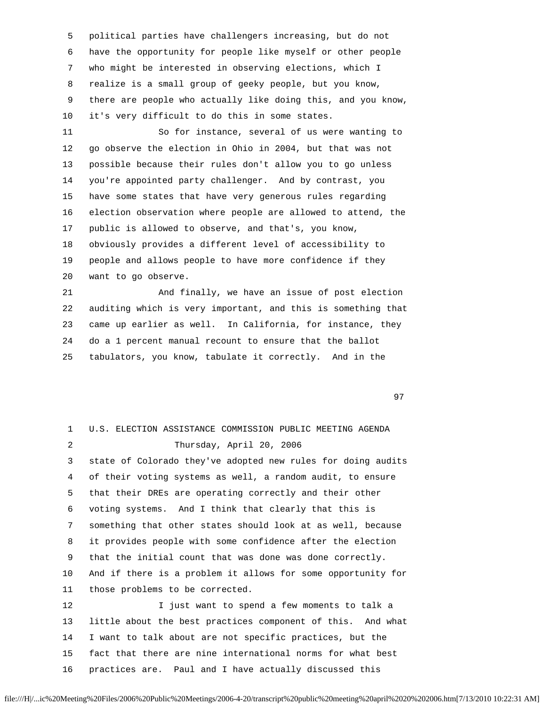5 political parties have challengers increasing, but do not 6 have the opportunity for people like myself or other people 7 who might be interested in observing elections, which I 8 realize is a small group of geeky people, but you know, 9 there are people who actually like doing this, and you know, 10 it's very difficult to do this in some states.

 11 So for instance, several of us were wanting to 12 go observe the election in Ohio in 2004, but that was not 13 possible because their rules don't allow you to go unless 14 you're appointed party challenger. And by contrast, you 15 have some states that have very generous rules regarding 16 election observation where people are allowed to attend, the 17 public is allowed to observe, and that's, you know, 18 obviously provides a different level of accessibility to 19 people and allows people to have more confidence if they 20 want to go observe.

 21 And finally, we have an issue of post election 22 auditing which is very important, and this is something that 23 came up earlier as well. In California, for instance, they 24 do a 1 percent manual recount to ensure that the ballot 25 tabulators, you know, tabulate it correctly. And in the

97<sup>9</sup>

 1 U.S. ELECTION ASSISTANCE COMMISSION PUBLIC MEETING AGENDA 2 Thursday, April 20, 2006 3 state of Colorado they've adopted new rules for doing audits 4 of their voting systems as well, a random audit, to ensure 5 that their DREs are operating correctly and their other 6 voting systems. And I think that clearly that this is 7 something that other states should look at as well, because 8 it provides people with some confidence after the election 9 that the initial count that was done was done correctly. 10 And if there is a problem it allows for some opportunity for 11 those problems to be corrected. 12 I just want to spend a few moments to talk a 13 little about the best practices component of this. And what 14 I want to talk about are not specific practices, but the 15 fact that there are nine international norms for what best 16 practices are. Paul and I have actually discussed this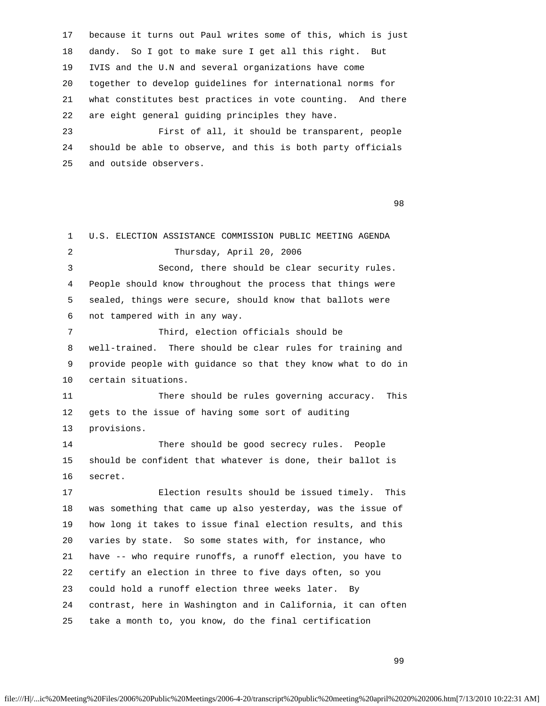17 because it turns out Paul writes some of this, which is just 18 dandy. So I got to make sure I get all this right. But 19 IVIS and the U.N and several organizations have come 20 together to develop guidelines for international norms for 21 what constitutes best practices in vote counting. And there 22 are eight general guiding principles they have. 23 First of all, it should be transparent, people

 24 should be able to observe, and this is both party officials 25 and outside observers.

98 and 200 minutes and 200 minutes and 200 minutes and 200 minutes and 200 minutes and 200 minutes and 200 min

 1 U.S. ELECTION ASSISTANCE COMMISSION PUBLIC MEETING AGENDA 2 Thursday, April 20, 2006 3 Second, there should be clear security rules. 4 People should know throughout the process that things were 5 sealed, things were secure, should know that ballots were 6 not tampered with in any way. 7 Third, election officials should be 8 well-trained. There should be clear rules for training and 9 provide people with guidance so that they know what to do in 10 certain situations. 11 There should be rules governing accuracy. This 12 gets to the issue of having some sort of auditing 13 provisions. 14 There should be good secrecy rules. People 15 should be confident that whatever is done, their ballot is 16 secret. 17 Election results should be issued timely. This 18 was something that came up also yesterday, was the issue of 19 how long it takes to issue final election results, and this 20 varies by state. So some states with, for instance, who 21 have -- who require runoffs, a runoff election, you have to 22 certify an election in three to five days often, so you 23 could hold a runoff election three weeks later. By 24 contrast, here in Washington and in California, it can often 25 take a month to, you know, do the final certification

99 and the state of the state of the state of the state of the state of the state of the state of the state of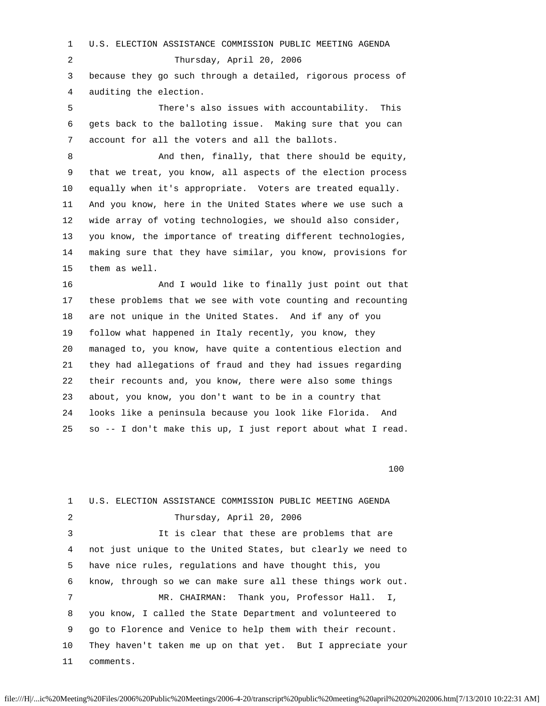1 U.S. ELECTION ASSISTANCE COMMISSION PUBLIC MEETING AGENDA

2 Thursday, April 20, 2006

 3 because they go such through a detailed, rigorous process of 4 auditing the election.

 5 There's also issues with accountability. This 6 gets back to the balloting issue. Making sure that you can 7 account for all the voters and all the ballots.

8 And then, finally, that there should be equity, 9 that we treat, you know, all aspects of the election process 10 equally when it's appropriate. Voters are treated equally. 11 And you know, here in the United States where we use such a 12 wide array of voting technologies, we should also consider, 13 you know, the importance of treating different technologies, 14 making sure that they have similar, you know, provisions for 15 them as well.

 16 And I would like to finally just point out that 17 these problems that we see with vote counting and recounting 18 are not unique in the United States. And if any of you 19 follow what happened in Italy recently, you know, they 20 managed to, you know, have quite a contentious election and 21 they had allegations of fraud and they had issues regarding 22 their recounts and, you know, there were also some things 23 about, you know, you don't want to be in a country that 24 looks like a peninsula because you look like Florida. And 25 so -- I don't make this up, I just report about what I read.

100

| $1 \quad$      | U.S. ELECTION ASSISTANCE COMMISSION PUBLIC MEETING AGENDA    |
|----------------|--------------------------------------------------------------|
| $\overline{2}$ | Thursday, April 20, 2006                                     |
| 3              | It is clear that these are problems that are                 |
| 4              | not just unique to the United States, but clearly we need to |
| 5              | have nice rules, requlations and have thought this, you      |
| 6              | know, through so we can make sure all these things work out. |
| 7              | MR. CHAIRMAN: Thank you, Professor Hall. I,                  |
| 8              | you know, I called the State Department and volunteered to   |
| 9              | go to Florence and Venice to help them with their recount.   |
| 10             | They haven't taken me up on that yet. But I appreciate your  |
| 11             | comments.                                                    |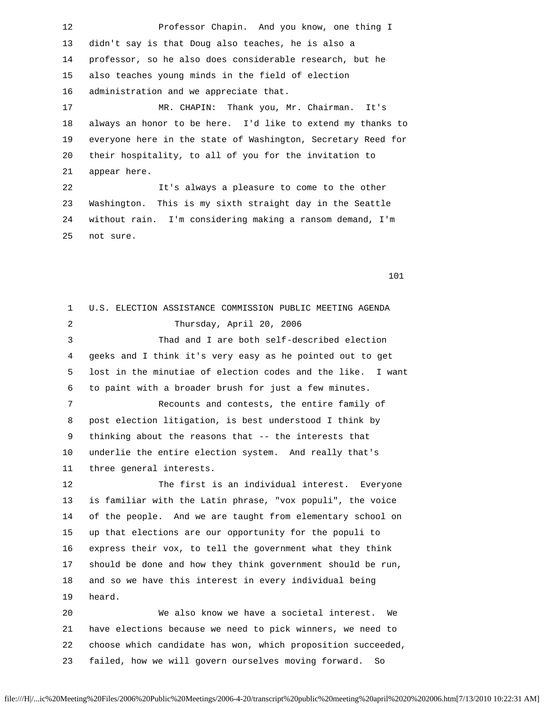12 Professor Chapin. And you know, one thing I 13 didn't say is that Doug also teaches, he is also a 14 professor, so he also does considerable research, but he 15 also teaches young minds in the field of election 16 administration and we appreciate that. 17 MR. CHAPIN: Thank you, Mr. Chairman. It's 18 always an honor to be here. I'd like to extend my thanks to 19 everyone here in the state of Washington, Secretary Reed for 20 their hospitality, to all of you for the invitation to 21 appear here. 22 It's always a pleasure to come to the other 23 Washington. This is my sixth straight day in the Seattle 24 without rain. I'm considering making a ransom demand, I'm

25 not sure.

101

 1 U.S. ELECTION ASSISTANCE COMMISSION PUBLIC MEETING AGENDA 2 Thursday, April 20, 2006 3 Thad and I are both self-described election 4 geeks and I think it's very easy as he pointed out to get 5 lost in the minutiae of election codes and the like. I want 6 to paint with a broader brush for just a few minutes. 7 Recounts and contests, the entire family of 8 post election litigation, is best understood I think by 9 thinking about the reasons that -- the interests that 10 underlie the entire election system. And really that's 11 three general interests. 12 The first is an individual interest. Everyone 13 is familiar with the Latin phrase, "vox populi", the voice 14 of the people. And we are taught from elementary school on 15 up that elections are our opportunity for the populi to 16 express their vox, to tell the government what they think 17 should be done and how they think government should be run, 18 and so we have this interest in every individual being 19 heard. 20 We also know we have a societal interest. We 21 have elections because we need to pick winners, we need to 22 choose which candidate has won, which proposition succeeded,

23 failed, how we will govern ourselves moving forward. So

```
file:///H|/...ic%20Meeting%20Files/2006%20Public%20Meetings/2006-4-20/transcript%20public%20meeting%20april%2020%202006.htm[7/13/2010 10:22:31 AM]
```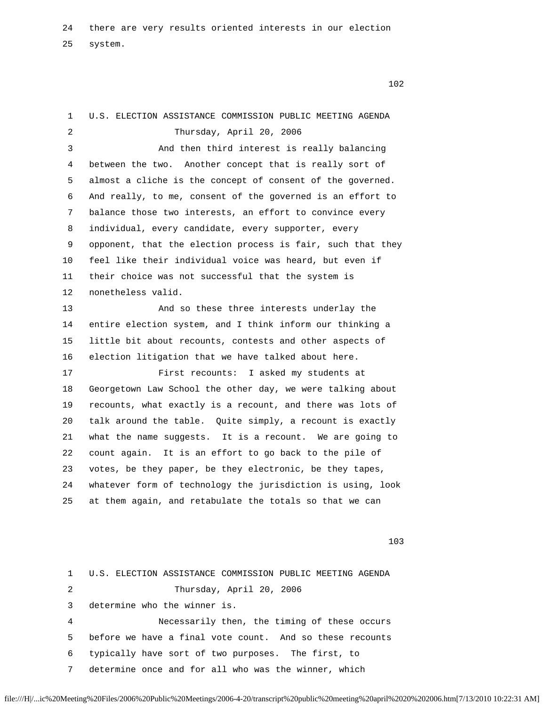25 system.

102

| 1  | U.S. ELECTION ASSISTANCE COMMISSION PUBLIC MEETING AGENDA   |
|----|-------------------------------------------------------------|
| 2  | Thursday, April 20, 2006                                    |
| 3  | And then third interest is really balancing                 |
| 4  | between the two. Another concept that is really sort of     |
| 5  | almost a cliche is the concept of consent of the governed.  |
| 6  | And really, to me, consent of the governed is an effort to  |
| 7  | balance those two interests, an effort to convince every    |
| 8  | individual, every candidate, every supporter, every         |
| 9  | opponent, that the election process is fair, such that they |
| 10 | feel like their individual voice was heard, but even if     |
| 11 | their choice was not successful that the system is          |
| 12 | nonetheless valid.                                          |
| 13 | And so these three interests underlay the                   |
| 14 | entire election system, and I think inform our thinking a   |
| 15 | little bit about recounts, contests and other aspects of    |
| 16 | election litigation that we have talked about here.         |
| 17 | First recounts: I asked my students at                      |
| 18 | Georgetown Law School the other day, we were talking about  |
| 19 | recounts, what exactly is a recount, and there was lots of  |
| 20 | talk around the table. Quite simply, a recount is exactly   |
| 21 | what the name suggests. It is a recount. We are going to    |
| 22 | count again. It is an effort to go back to the pile of      |
| 23 | votes, be they paper, be they electronic, be they tapes,    |
| 24 | whatever form of technology the jurisdiction is using, look |
| 25 | at them again, and retabulate the totals so that we can     |
|    |                                                             |

103

 1 U.S. ELECTION ASSISTANCE COMMISSION PUBLIC MEETING AGENDA 2 Thursday, April 20, 2006 3 determine who the winner is. 4 Necessarily then, the timing of these occurs 5 before we have a final vote count. And so these recounts 6 typically have sort of two purposes. The first, to 7 determine once and for all who was the winner, which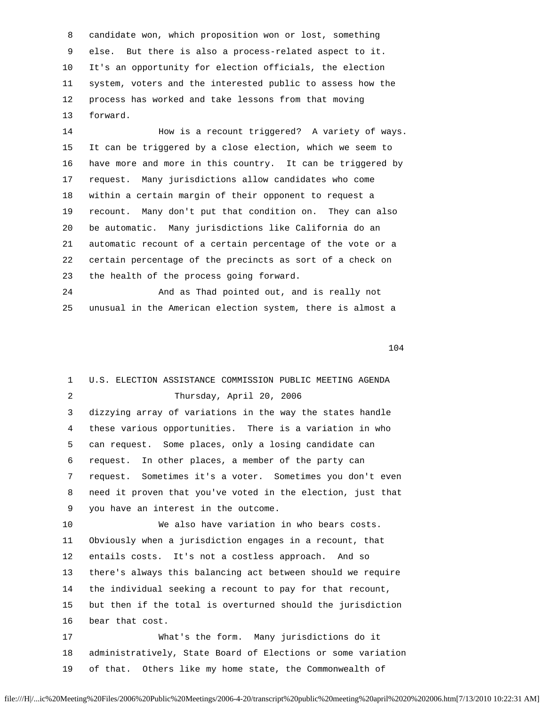8 candidate won, which proposition won or lost, something 9 else. But there is also a process-related aspect to it. 10 It's an opportunity for election officials, the election 11 system, voters and the interested public to assess how the 12 process has worked and take lessons from that moving 13 forward.

14 How is a recount triggered? A variety of ways. 15 It can be triggered by a close election, which we seem to 16 have more and more in this country. It can be triggered by 17 request. Many jurisdictions allow candidates who come 18 within a certain margin of their opponent to request a 19 recount. Many don't put that condition on. They can also 20 be automatic. Many jurisdictions like California do an 21 automatic recount of a certain percentage of the vote or a 22 certain percentage of the precincts as sort of a check on 23 the health of the process going forward.

 24 And as Thad pointed out, and is really not 25 unusual in the American election system, there is almost a

| 1  | U.S. ELECTION ASSISTANCE COMMISSION PUBLIC MEETING AGENDA    |
|----|--------------------------------------------------------------|
| 2  | Thursday, April 20, 2006                                     |
| 3  | dizzying array of variations in the way the states handle    |
| 4  | these various opportunities. There is a variation in who     |
| 5  | can request. Some places, only a losing candidate can        |
| 6  | request. In other places, a member of the party can          |
| 7  | request. Sometimes it's a voter. Sometimes you don't even    |
| 8  | need it proven that you've voted in the election, just that  |
| 9  | you have an interest in the outcome.                         |
| 10 | We also have variation in who bears costs.                   |
| 11 | Obviously when a jurisdiction engages in a recount, that     |
| 12 | entails costs. It's not a costless approach. And so          |
| 13 | there's always this balancing act between should we require  |
| 14 | the individual seeking a recount to pay for that recount,    |
| 15 | but then if the total is overturned should the jurisdiction  |
| 16 | bear that cost.                                              |
| 17 | What's the form. Many jurisdictions do it                    |
| 18 | administratively, State Board of Elections or some variation |
| 19 | of that. Others like my home state, the Commonwealth of      |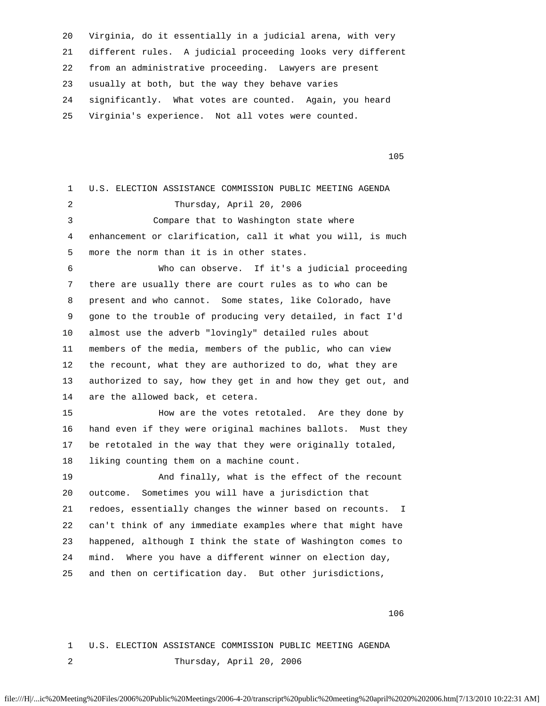|    | 20 Virginia, do it essentially in a judicial arena, with very |
|----|---------------------------------------------------------------|
| 21 | different rules. A judicial proceeding looks very different   |
| 22 | from an administrative proceeding. Lawyers are present        |
| 23 | usually at both, but the way they behave varies               |
| 24 | significantly. What votes are counted. Again, you heard       |
| 25 | Virginia's experience. Not all votes were counted.            |

105

 1 U.S. ELECTION ASSISTANCE COMMISSION PUBLIC MEETING AGENDA 2 Thursday, April 20, 2006 3 Compare that to Washington state where 4 enhancement or clarification, call it what you will, is much 5 more the norm than it is in other states. 6 Who can observe. If it's a judicial proceeding 7 there are usually there are court rules as to who can be 8 present and who cannot. Some states, like Colorado, have 9 gone to the trouble of producing very detailed, in fact I'd 10 almost use the adverb "lovingly" detailed rules about 11 members of the media, members of the public, who can view 12 the recount, what they are authorized to do, what they are 13 authorized to say, how they get in and how they get out, and 14 are the allowed back, et cetera. 15 How are the votes retotaled. Are they done by 16 hand even if they were original machines ballots. Must they 17 be retotaled in the way that they were originally totaled, 18 liking counting them on a machine count. 19 And finally, what is the effect of the recount 20 outcome. Sometimes you will have a jurisdiction that 21 redoes, essentially changes the winner based on recounts. I 22 can't think of any immediate examples where that might have 23 happened, although I think the state of Washington comes to 24 mind. Where you have a different winner on election day, 25 and then on certification day. But other jurisdictions,

106

 1 U.S. ELECTION ASSISTANCE COMMISSION PUBLIC MEETING AGENDA 2 Thursday, April 20, 2006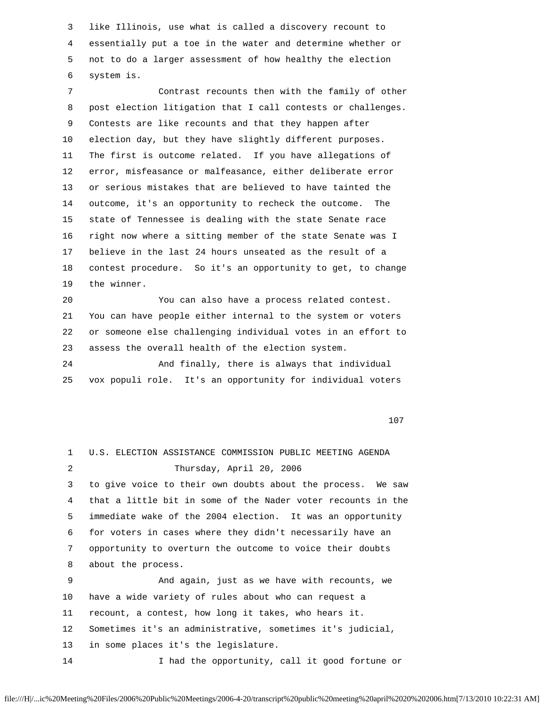3 like Illinois, use what is called a discovery recount to 4 essentially put a toe in the water and determine whether or 5 not to do a larger assessment of how healthy the election 6 system is.

 7 Contrast recounts then with the family of other 8 post election litigation that I call contests or challenges. 9 Contests are like recounts and that they happen after 10 election day, but they have slightly different purposes. 11 The first is outcome related. If you have allegations of 12 error, misfeasance or malfeasance, either deliberate error 13 or serious mistakes that are believed to have tainted the 14 outcome, it's an opportunity to recheck the outcome. The 15 state of Tennessee is dealing with the state Senate race 16 right now where a sitting member of the state Senate was I 17 believe in the last 24 hours unseated as the result of a 18 contest procedure. So it's an opportunity to get, to change 19 the winner.

 20 You can also have a process related contest. 21 You can have people either internal to the system or voters 22 or someone else challenging individual votes in an effort to 23 assess the overall health of the election system. 24 And finally, there is always that individual 25 vox populi role. It's an opportunity for individual voters

107

 1 U.S. ELECTION ASSISTANCE COMMISSION PUBLIC MEETING AGENDA 2 Thursday, April 20, 2006 3 to give voice to their own doubts about the process. We saw 4 that a little bit in some of the Nader voter recounts in the 5 immediate wake of the 2004 election. It was an opportunity 6 for voters in cases where they didn't necessarily have an 7 opportunity to overturn the outcome to voice their doubts 8 about the process. 9 And again, just as we have with recounts, we 10 have a wide variety of rules about who can request a 11 recount, a contest, how long it takes, who hears it. 12 Sometimes it's an administrative, sometimes it's judicial, 13 in some places it's the legislature. 14 I had the opportunity, call it good fortune or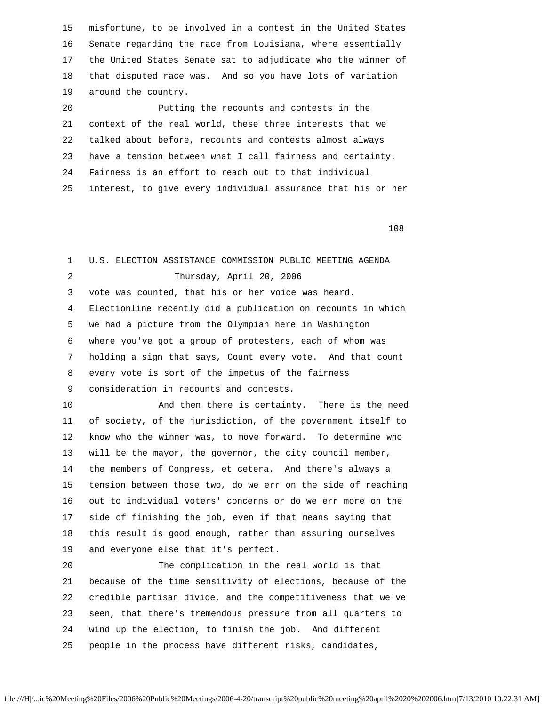15 misfortune, to be involved in a contest in the United States 16 Senate regarding the race from Louisiana, where essentially 17 the United States Senate sat to adjudicate who the winner of 18 that disputed race was. And so you have lots of variation 19 around the country.

 20 Putting the recounts and contests in the 21 context of the real world, these three interests that we 22 talked about before, recounts and contests almost always 23 have a tension between what I call fairness and certainty. 24 Fairness is an effort to reach out to that individual 25 interest, to give every individual assurance that his or her

108

| 1  | U.S. ELECTION ASSISTANCE COMMISSION PUBLIC MEETING AGENDA    |
|----|--------------------------------------------------------------|
| 2  | Thursday, April 20, 2006                                     |
| 3  | vote was counted, that his or her voice was heard.           |
| 4  | Electionline recently did a publication on recounts in which |
| 5  | we had a picture from the Olympian here in Washington        |
| 6  | where you've got a group of protesters, each of whom was     |
| 7  | holding a sign that says, Count every vote. And that count   |
| 8  | every vote is sort of the impetus of the fairness            |
| 9  | consideration in recounts and contests.                      |
| 10 | And then there is certainty. There is the need               |
| 11 | of society, of the jurisdiction, of the government itself to |
| 12 | know who the winner was, to move forward. To determine who   |
| 13 | will be the mayor, the governor, the city council member,    |
| 14 | the members of Congress, et cetera. And there's always a     |
| 15 | tension between those two, do we err on the side of reaching |
| 16 | out to individual voters' concerns or do we err more on the  |
| 17 | side of finishing the job, even if that means saying that    |
| 18 | this result is good enough, rather than assuring ourselves   |
| 19 | and everyone else that it's perfect.                         |
| 20 | The complication in the real world is that                   |
| 21 | because of the time sensitivity of elections, because of the |
| 22 | credible partisan divide, and the competitiveness that we've |
| 23 | seen, that there's tremendous pressure from all quarters to  |
| 24 | wind up the election, to finish the job. And different       |

25 people in the process have different risks, candidates,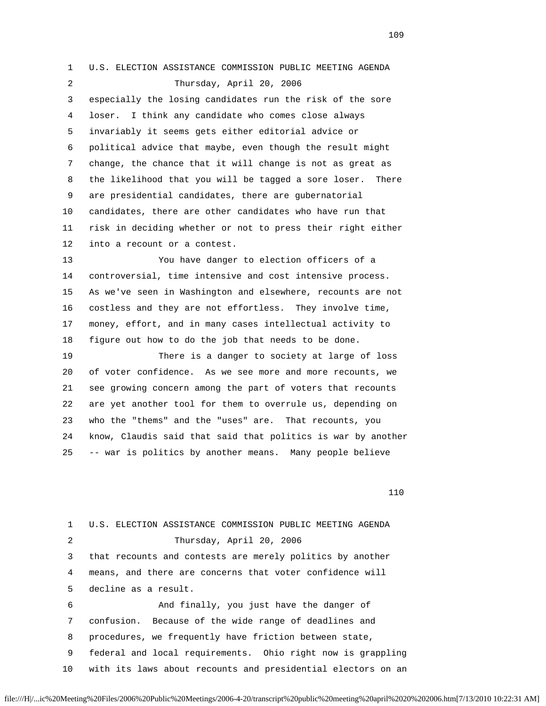1 U.S. ELECTION ASSISTANCE COMMISSION PUBLIC MEETING AGENDA 2 Thursday, April 20, 2006 3 especially the losing candidates run the risk of the sore 4 loser. I think any candidate who comes close always 5 invariably it seems gets either editorial advice or 6 political advice that maybe, even though the result might 7 change, the chance that it will change is not as great as 8 the likelihood that you will be tagged a sore loser. There 9 are presidential candidates, there are gubernatorial 10 candidates, there are other candidates who have run that 11 risk in deciding whether or not to press their right either 12 into a recount or a contest.

 13 You have danger to election officers of a 14 controversial, time intensive and cost intensive process. 15 As we've seen in Washington and elsewhere, recounts are not 16 costless and they are not effortless. They involve time, 17 money, effort, and in many cases intellectual activity to 18 figure out how to do the job that needs to be done.

 19 There is a danger to society at large of loss 20 of voter confidence. As we see more and more recounts, we 21 see growing concern among the part of voters that recounts 22 are yet another tool for them to overrule us, depending on 23 who the "thems" and the "uses" are. That recounts, you 24 know, Claudis said that said that politics is war by another 25 -- war is politics by another means. Many people believe

110

 1 U.S. ELECTION ASSISTANCE COMMISSION PUBLIC MEETING AGENDA 2 Thursday, April 20, 2006 3 that recounts and contests are merely politics by another 4 means, and there are concerns that voter confidence will 5 decline as a result. 6 And finally, you just have the danger of 7 confusion. Because of the wide range of deadlines and 8 procedures, we frequently have friction between state, 9 federal and local requirements. Ohio right now is grappling 10 with its laws about recounts and presidential electors on an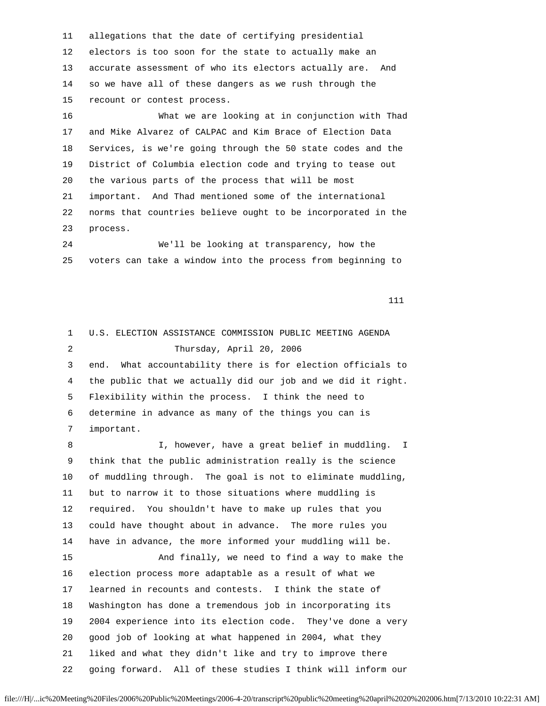11 allegations that the date of certifying presidential 12 electors is too soon for the state to actually make an 13 accurate assessment of who its electors actually are. And 14 so we have all of these dangers as we rush through the 15 recount or contest process.

 16 What we are looking at in conjunction with Thad 17 and Mike Alvarez of CALPAC and Kim Brace of Election Data 18 Services, is we're going through the 50 state codes and the 19 District of Columbia election code and trying to tease out 20 the various parts of the process that will be most 21 important. And Thad mentioned some of the international 22 norms that countries believe ought to be incorporated in the 23 process.

 24 We'll be looking at transparency, how the 25 voters can take a window into the process from beginning to

111

 1 U.S. ELECTION ASSISTANCE COMMISSION PUBLIC MEETING AGENDA 2 Thursday, April 20, 2006 3 end. What accountability there is for election officials to 4 the public that we actually did our job and we did it right. 5 Flexibility within the process. I think the need to 6 determine in advance as many of the things you can is 7 important. 8 I, however, have a great belief in muddling. I 9 think that the public administration really is the science 10 of muddling through. The goal is not to eliminate muddling, 11 but to narrow it to those situations where muddling is 12 required. You shouldn't have to make up rules that you 13 could have thought about in advance. The more rules you 14 have in advance, the more informed your muddling will be. 15 And finally, we need to find a way to make the 16 election process more adaptable as a result of what we 17 learned in recounts and contests. I think the state of 18 Washington has done a tremendous job in incorporating its 19 2004 experience into its election code. They've done a very 20 good job of looking at what happened in 2004, what they 21 liked and what they didn't like and try to improve there 22 going forward. All of these studies I think will inform our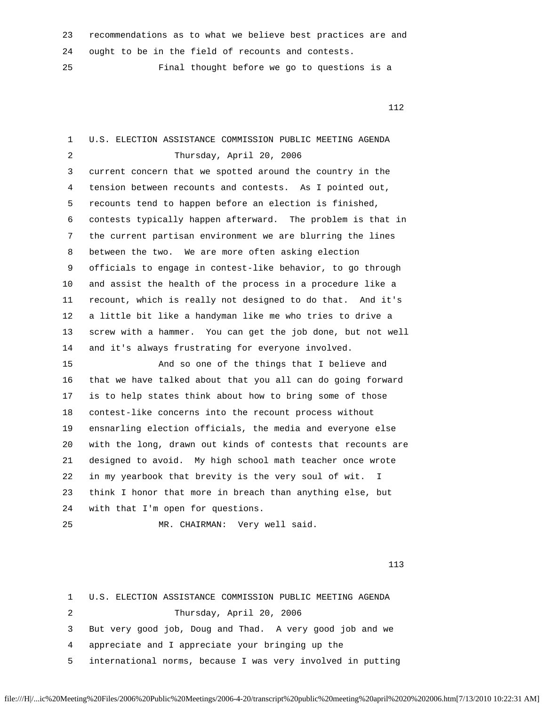23 recommendations as to what we believe best practices are and

24 ought to be in the field of recounts and contests.

25 Final thought before we go to questions is a

112

| 1  | U.S. ELECTION ASSISTANCE COMMISSION PUBLIC MEETING AGENDA    |
|----|--------------------------------------------------------------|
| 2  | Thursday, April 20, 2006                                     |
| 3  | current concern that we spotted around the country in the    |
| 4  | tension between recounts and contests. As I pointed out,     |
| 5  | recounts tend to happen before an election is finished,      |
| 6  | contests typically happen afterward. The problem is that in  |
| 7  | the current partisan environment we are blurring the lines   |
| 8  | between the two. We are more often asking election           |
| 9  | officials to engage in contest-like behavior, to go through  |
| 10 | and assist the health of the process in a procedure like a   |
| 11 | recount, which is really not designed to do that. And it's   |
| 12 | a little bit like a handyman like me who tries to drive a    |
| 13 | screw with a hammer. You can get the job done, but not well  |
| 14 | and it's always frustrating for everyone involved.           |
| 15 | And so one of the things that I believe and                  |
| 16 | that we have talked about that you all can do going forward  |
| 17 | is to help states think about how to bring some of those     |
| 18 | contest-like concerns into the recount process without       |
| 19 | ensnarling election officials, the media and everyone else   |
| 20 | with the long, drawn out kinds of contests that recounts are |
| 21 | designed to avoid. My high school math teacher once wrote    |
| 22 | in my yearbook that brevity is the very soul of wit.<br>I.   |
| 23 | think I honor that more in breach than anything else, but    |
| 24 | with that I'm open for questions.                            |
| 25 | Very well said.<br>MR. CHAIRMAN:                             |

113

 1 U.S. ELECTION ASSISTANCE COMMISSION PUBLIC MEETING AGENDA 2 Thursday, April 20, 2006 3 But very good job, Doug and Thad. A very good job and we 4 appreciate and I appreciate your bringing up the 5 international norms, because I was very involved in putting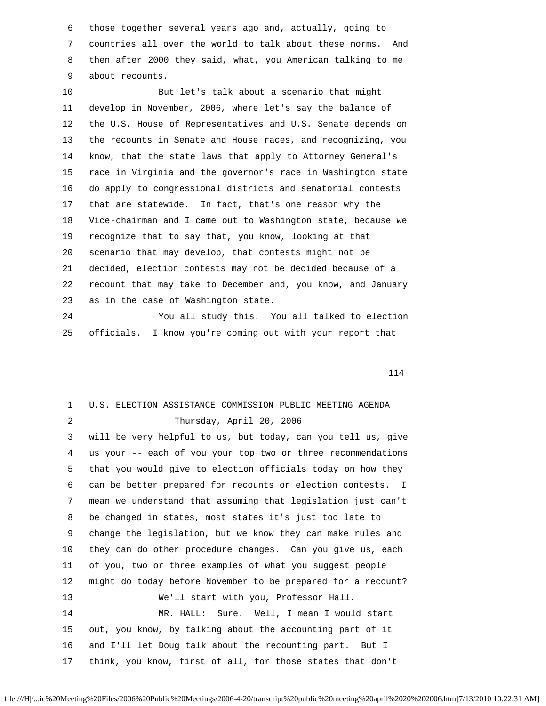6 those together several years ago and, actually, going to 7 countries all over the world to talk about these norms. And 8 then after 2000 they said, what, you American talking to me 9 about recounts.

 10 But let's talk about a scenario that might 11 develop in November, 2006, where let's say the balance of 12 the U.S. House of Representatives and U.S. Senate depends on 13 the recounts in Senate and House races, and recognizing, you 14 know, that the state laws that apply to Attorney General's 15 race in Virginia and the governor's race in Washington state 16 do apply to congressional districts and senatorial contests 17 that are statewide. In fact, that's one reason why the 18 Vice-chairman and I came out to Washington state, because we 19 recognize that to say that, you know, looking at that 20 scenario that may develop, that contests might not be 21 decided, election contests may not be decided because of a 22 recount that may take to December and, you know, and January 23 as in the case of Washington state.

 24 You all study this. You all talked to election 25 officials. I know you're coming out with your report that

114

## 1 U.S. ELECTION ASSISTANCE COMMISSION PUBLIC MEETING AGENDA 2 Thursday, April 20, 2006 3 will be very helpful to us, but today, can you tell us, give 4 us your -- each of you your top two or three recommendations 5 that you would give to election officials today on how they 6 can be better prepared for recounts or election contests. I 7 mean we understand that assuming that legislation just can't 8 be changed in states, most states it's just too late to 9 change the legislation, but we know they can make rules and 10 they can do other procedure changes. Can you give us, each 11 of you, two or three examples of what you suggest people 12 might do today before November to be prepared for a recount? 13 We'll start with you, Professor Hall. 14 MR. HALL: Sure. Well, I mean I would start 15 out, you know, by talking about the accounting part of it 16 and I'll let Doug talk about the recounting part. But I 17 think, you know, first of all, for those states that don't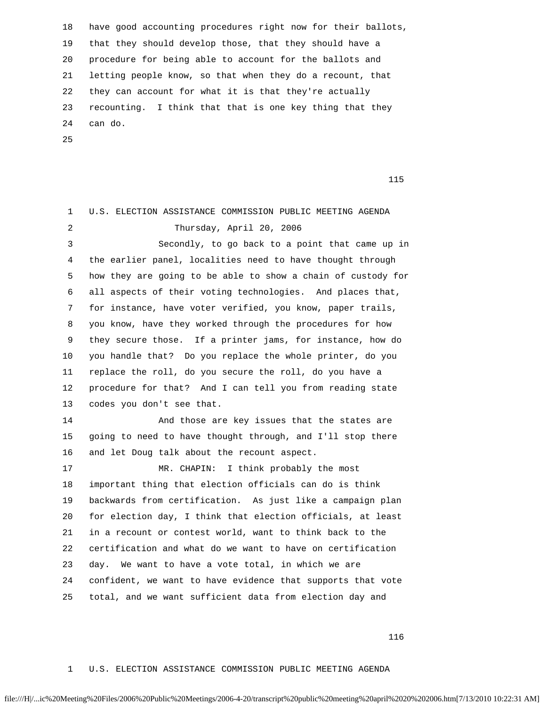18 have good accounting procedures right now for their ballots, 19 that they should develop those, that they should have a 20 procedure for being able to account for the ballots and 21 letting people know, so that when they do a recount, that 22 they can account for what it is that they're actually 23 recounting. I think that that is one key thing that they 24 can do.

25

n 115 anns 116 an t-Iùid an t-Iùid an t-Iùid an t-Iùid an t-Iùid an t-Iùid an t-Iùid an t-Iùid an t-Iùid an t-

 1 U.S. ELECTION ASSISTANCE COMMISSION PUBLIC MEETING AGENDA 2 Thursday, April 20, 2006 3 Secondly, to go back to a point that came up in 4 the earlier panel, localities need to have thought through 5 how they are going to be able to show a chain of custody for 6 all aspects of their voting technologies. And places that, 7 for instance, have voter verified, you know, paper trails, 8 you know, have they worked through the procedures for how 9 they secure those. If a printer jams, for instance, how do 10 you handle that? Do you replace the whole printer, do you 11 replace the roll, do you secure the roll, do you have a 12 procedure for that? And I can tell you from reading state 13 codes you don't see that. 14 And those are key issues that the states are 15 going to need to have thought through, and I'll stop there 16 and let Doug talk about the recount aspect. 17 MR. CHAPIN: I think probably the most 18 important thing that election officials can do is think 19 backwards from certification. As just like a campaign plan 20 for election day, I think that election officials, at least 21 in a recount or contest world, want to think back to the 22 certification and what do we want to have on certification 23 day. We want to have a vote total, in which we are 24 confident, we want to have evidence that supports that vote 25 total, and we want sufficient data from election day and

116

## 1 U.S. ELECTION ASSISTANCE COMMISSION PUBLIC MEETING AGENDA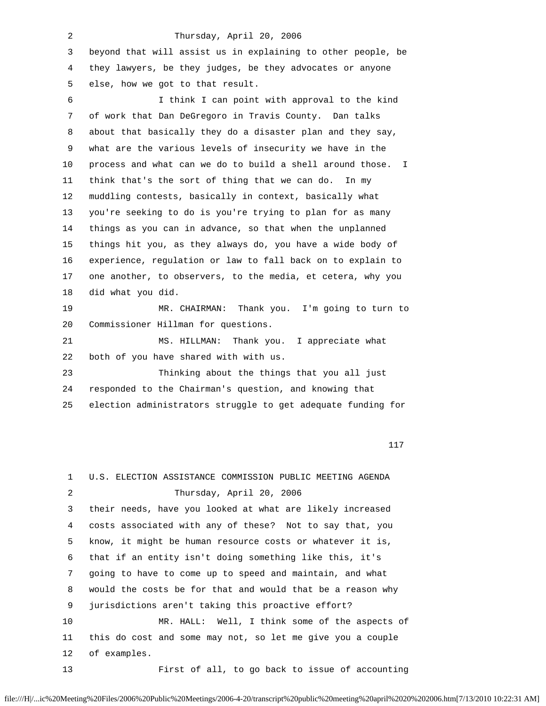| 2  | Thursday, April 20, 2006                                                  |
|----|---------------------------------------------------------------------------|
| 3  | beyond that will assist us in explaining to other people, be              |
| 4  | they lawyers, be they judges, be they advocates or anyone                 |
| 5  | else, how we got to that result.                                          |
| 6  | I think I can point with approval to the kind                             |
| 7  | of work that Dan DeGregoro in Travis County. Dan talks                    |
| 8  | about that basically they do a disaster plan and they say,                |
| 9  | what are the various levels of insecurity we have in the                  |
| 10 | process and what can we do to build a shell around those.<br>$\mathbf{I}$ |
| 11 | think that's the sort of thing that we can do.<br>In my                   |
| 12 | muddling contests, basically in context, basically what                   |
| 13 | you're seeking to do is you're trying to plan for as many                 |
| 14 | things as you can in advance, so that when the unplanned                  |
| 15 | things hit you, as they always do, you have a wide body of                |
| 16 | experience, regulation or law to fall back on to explain to               |
| 17 | one another, to observers, to the media, et cetera, why you               |
| 18 | did what you did.                                                         |
| 19 | Thank you. I'm going to turn to<br>MR. CHAIRMAN:                          |
| 20 | Commissioner Hillman for questions.                                       |
| 21 | Thank you. I appreciate what<br>MS. HILLMAN:                              |
| 22 | both of you have shared with with us.                                     |
| 23 | Thinking about the things that you all just                               |
| 24 | responded to the Chairman's question, and knowing that                    |
| 25 | election administrators struggle to get adequate funding for              |
|    |                                                                           |
|    |                                                                           |

| $\mathbf{1}$ | U.S. ELECTION ASSISTANCE COMMISSION PUBLIC MEETING AGENDA  |
|--------------|------------------------------------------------------------|
| 2            | Thursday, April 20, 2006                                   |
| 3            | their needs, have you looked at what are likely increased  |
| 4            | costs associated with any of these? Not to say that, you   |
| 5            | know, it might be human resource costs or whatever it is,  |
| 6            | that if an entity isn't doing something like this, it's    |
| 7            | going to have to come up to speed and maintain, and what   |
| 8            | would the costs be for that and would that be a reason why |
| 9            | jurisdictions aren't taking this proactive effort?         |
| 10           | MR. HALL: Well, I think some of the aspects of             |
| 11           | this do cost and some may not, so let me give you a couple |
| 12           | of examples.                                               |
| 13           | First of all, to go back to issue of accounting            |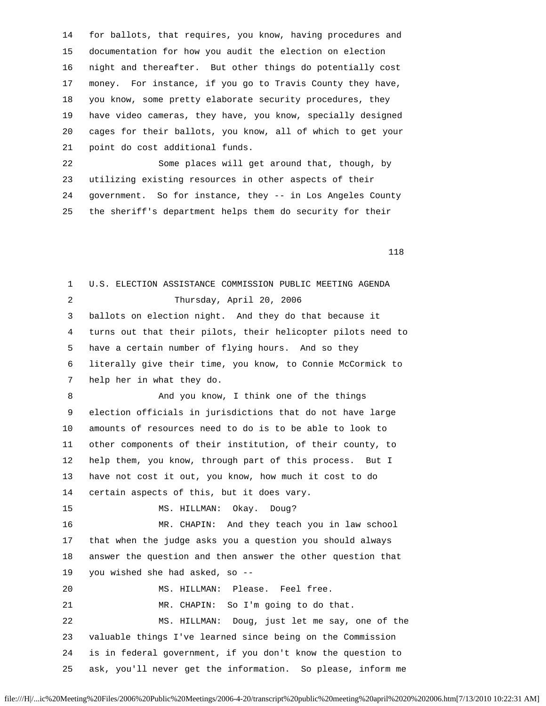14 for ballots, that requires, you know, having procedures and 15 documentation for how you audit the election on election 16 night and thereafter. But other things do potentially cost 17 money. For instance, if you go to Travis County they have, 18 you know, some pretty elaborate security procedures, they 19 have video cameras, they have, you know, specially designed 20 cages for their ballots, you know, all of which to get your 21 point do cost additional funds.

 22 Some places will get around that, though, by 23 utilizing existing resources in other aspects of their 24 government. So for instance, they -- in Los Angeles County 25 the sheriff's department helps them do security for their

118

 1 U.S. ELECTION ASSISTANCE COMMISSION PUBLIC MEETING AGENDA 2 Thursday, April 20, 2006 3 ballots on election night. And they do that because it 4 turns out that their pilots, their helicopter pilots need to 5 have a certain number of flying hours. And so they 6 literally give their time, you know, to Connie McCormick to 7 help her in what they do. 8 And you know, I think one of the things 9 election officials in jurisdictions that do not have large 10 amounts of resources need to do is to be able to look to 11 other components of their institution, of their county, to 12 help them, you know, through part of this process. But I 13 have not cost it out, you know, how much it cost to do 14 certain aspects of this, but it does vary. 15 MS. HILLMAN: Okay. Doug? 16 MR. CHAPIN: And they teach you in law school 17 that when the judge asks you a question you should always 18 answer the question and then answer the other question that 19 you wished she had asked, so -- 20 MS. HILLMAN: Please. Feel free. 21 MR. CHAPIN: So I'm going to do that. 22 MS. HILLMAN: Doug, just let me say, one of the 23 valuable things I've learned since being on the Commission 24 is in federal government, if you don't know the question to 25 ask, you'll never get the information. So please, inform me

```
file:///H|/...ic%20Meeting%20Files/2006%20Public%20Meetings/2006-4-20/transcript%20public%20meeting%20april%2020%202006.htm[7/13/2010 10:22:31 AM]
```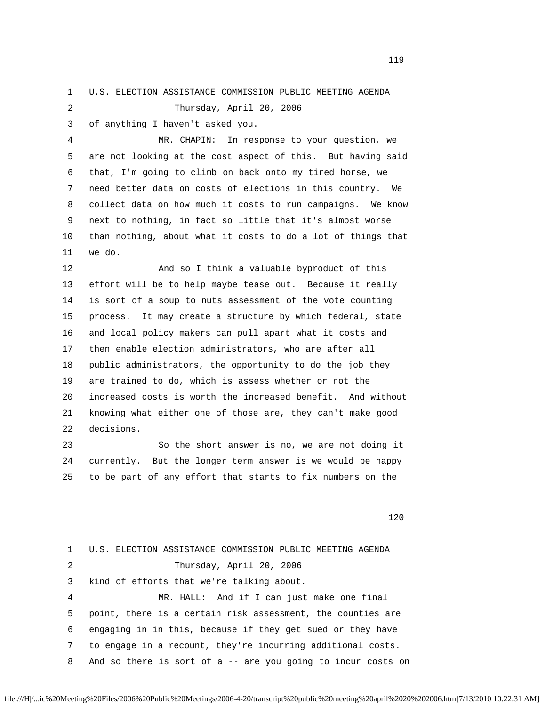1 U.S. ELECTION ASSISTANCE COMMISSION PUBLIC MEETING AGENDA

2 Thursday, April 20, 2006

3 of anything I haven't asked you.

 4 MR. CHAPIN: In response to your question, we 5 are not looking at the cost aspect of this. But having said 6 that, I'm going to climb on back onto my tired horse, we 7 need better data on costs of elections in this country. We 8 collect data on how much it costs to run campaigns. We know 9 next to nothing, in fact so little that it's almost worse 10 than nothing, about what it costs to do a lot of things that 11 we do.

 12 And so I think a valuable byproduct of this 13 effort will be to help maybe tease out. Because it really 14 is sort of a soup to nuts assessment of the vote counting 15 process. It may create a structure by which federal, state 16 and local policy makers can pull apart what it costs and 17 then enable election administrators, who are after all 18 public administrators, the opportunity to do the job they 19 are trained to do, which is assess whether or not the 20 increased costs is worth the increased benefit. And without 21 knowing what either one of those are, they can't make good 22 decisions.

 23 So the short answer is no, we are not doing it 24 currently. But the longer term answer is we would be happy 25 to be part of any effort that starts to fix numbers on the

120

|   | U.S. ELECTION ASSISTANCE COMMISSION PUBLIC MEETING AGENDA     |
|---|---------------------------------------------------------------|
| 2 | Thursday, April 20, 2006                                      |
| 3 | kind of efforts that we're talking about.                     |
| 4 | MR. HALL: And if I can just make one final                    |
| 5 | point, there is a certain risk assessment, the counties are   |
| 6 | engaging in in this, because if they get sued or they have    |
| 7 | to engage in a recount, they're incurring additional costs.   |
| 8 | And so there is sort of a $-$ are you going to incur costs on |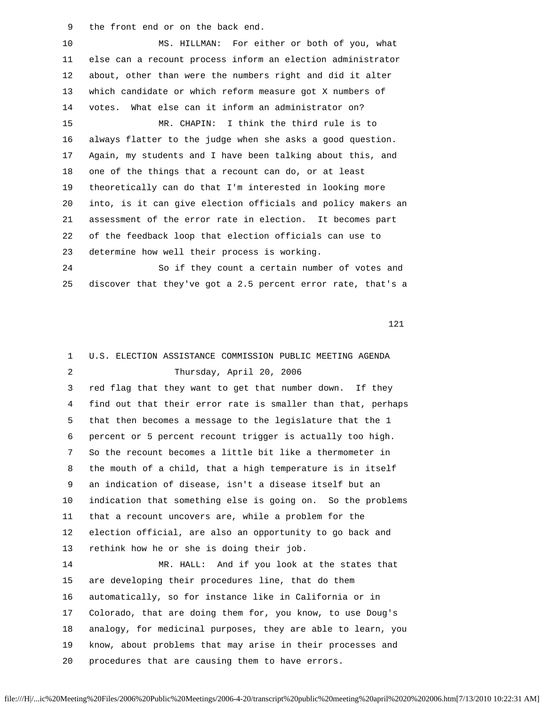9 the front end or on the back end.

 10 MS. HILLMAN: For either or both of you, what 11 else can a recount process inform an election administrator 12 about, other than were the numbers right and did it alter 13 which candidate or which reform measure got X numbers of 14 votes. What else can it inform an administrator on? 15 MR. CHAPIN: I think the third rule is to 16 always flatter to the judge when she asks a good question. 17 Again, my students and I have been talking about this, and 18 one of the things that a recount can do, or at least 19 theoretically can do that I'm interested in looking more 20 into, is it can give election officials and policy makers an 21 assessment of the error rate in election. It becomes part 22 of the feedback loop that election officials can use to 23 determine how well their process is working. 24 So if they count a certain number of votes and

25 discover that they've got a 2.5 percent error rate, that's a

121

 1 U.S. ELECTION ASSISTANCE COMMISSION PUBLIC MEETING AGENDA 2 Thursday, April 20, 2006 3 red flag that they want to get that number down. If they 4 find out that their error rate is smaller than that, perhaps 5 that then becomes a message to the legislature that the 1 6 percent or 5 percent recount trigger is actually too high. 7 So the recount becomes a little bit like a thermometer in 8 the mouth of a child, that a high temperature is in itself 9 an indication of disease, isn't a disease itself but an 10 indication that something else is going on. So the problems 11 that a recount uncovers are, while a problem for the 12 election official, are also an opportunity to go back and 13 rethink how he or she is doing their job. 14 MR. HALL: And if you look at the states that 15 are developing their procedures line, that do them 16 automatically, so for instance like in California or in 17 Colorado, that are doing them for, you know, to use Doug's 18 analogy, for medicinal purposes, they are able to learn, you 19 know, about problems that may arise in their processes and 20 procedures that are causing them to have errors.

```
file:///H|/...ic%20Meeting%20Files/2006%20Public%20Meetings/2006-4-20/transcript%20public%20meeting%20april%2020%202006.htm[7/13/2010 10:22:31 AM]
```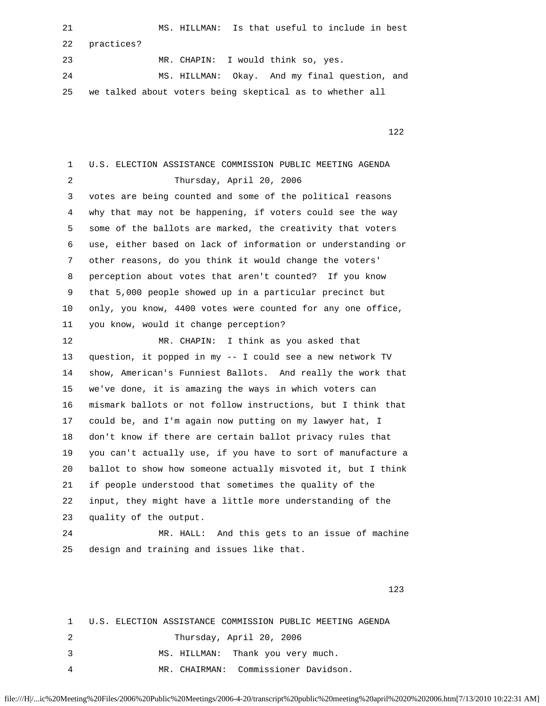21 MS. HILLMAN: Is that useful to include in best 22 practices? 23 MR. CHAPIN: I would think so, yes. 24 MS. HILLMAN: Okay. And my final question, and 25 we talked about voters being skeptical as to whether all

122

 1 U.S. ELECTION ASSISTANCE COMMISSION PUBLIC MEETING AGENDA 2 Thursday, April 20, 2006 3 votes are being counted and some of the political reasons 4 why that may not be happening, if voters could see the way 5 some of the ballots are marked, the creativity that voters 6 use, either based on lack of information or understanding or 7 other reasons, do you think it would change the voters' 8 perception about votes that aren't counted? If you know 9 that 5,000 people showed up in a particular precinct but 10 only, you know, 4400 votes were counted for any one office, 11 you know, would it change perception? 12 MR. CHAPIN: I think as you asked that 13 question, it popped in my -- I could see a new network TV 14 show, American's Funniest Ballots. And really the work that 15 we've done, it is amazing the ways in which voters can 16 mismark ballots or not follow instructions, but I think that 17 could be, and I'm again now putting on my lawyer hat, I 18 don't know if there are certain ballot privacy rules that 19 you can't actually use, if you have to sort of manufacture a 20 ballot to show how someone actually misvoted it, but I think 21 if people understood that sometimes the quality of the 22 input, they might have a little more understanding of the 23 quality of the output. 24 MR. HALL: And this gets to an issue of machine 25 design and training and issues like that.

123

 1 U.S. ELECTION ASSISTANCE COMMISSION PUBLIC MEETING AGENDA 2 Thursday, April 20, 2006 3 MS. HILLMAN: Thank you very much. 4 MR. CHAIRMAN: Commissioner Davidson.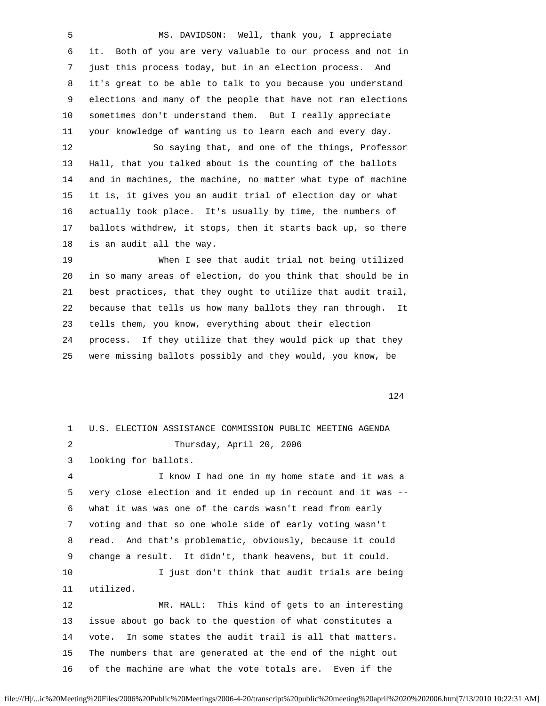5 MS. DAVIDSON: Well, thank you, I appreciate 6 it. Both of you are very valuable to our process and not in 7 just this process today, but in an election process. And 8 it's great to be able to talk to you because you understand 9 elections and many of the people that have not ran elections 10 sometimes don't understand them. But I really appreciate 11 your knowledge of wanting us to learn each and every day. 12 So saying that, and one of the things, Professor 13 Hall, that you talked about is the counting of the ballots 14 and in machines, the machine, no matter what type of machine 15 it is, it gives you an audit trial of election day or what 16 actually took place. It's usually by time, the numbers of 17 ballots withdrew, it stops, then it starts back up, so there 18 is an audit all the way.

 19 When I see that audit trial not being utilized 20 in so many areas of election, do you think that should be in 21 best practices, that they ought to utilize that audit trail, 22 because that tells us how many ballots they ran through. It 23 tells them, you know, everything about their election 24 process. If they utilize that they would pick up that they 25 were missing ballots possibly and they would, you know, be

124

 1 U.S. ELECTION ASSISTANCE COMMISSION PUBLIC MEETING AGENDA 2 Thursday, April 20, 2006 3 looking for ballots. 4 I know I had one in my home state and it was a 5 very close election and it ended up in recount and it was -- 6 what it was was one of the cards wasn't read from early 7 voting and that so one whole side of early voting wasn't 8 read. And that's problematic, obviously, because it could 9 change a result. It didn't, thank heavens, but it could. 10 I just don't think that audit trials are being 11 utilized. 12 MR. HALL: This kind of gets to an interesting 13 issue about go back to the question of what constitutes a 14 vote. In some states the audit trail is all that matters. 15 The numbers that are generated at the end of the night out 16 of the machine are what the vote totals are. Even if the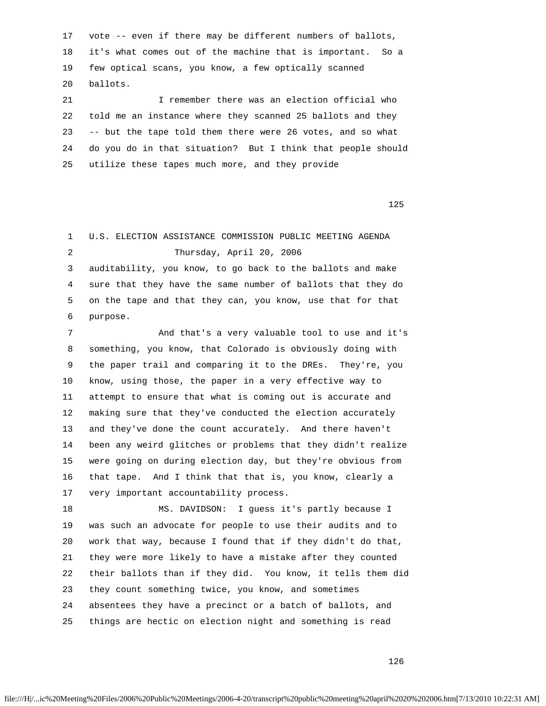17 vote -- even if there may be different numbers of ballots, 18 it's what comes out of the machine that is important. So a 19 few optical scans, you know, a few optically scanned 20 ballots.

 21 I remember there was an election official who 22 told me an instance where they scanned 25 ballots and they 23 -- but the tape told them there were 26 votes, and so what 24 do you do in that situation? But I think that people should 25 utilize these tapes much more, and they provide

125

 1 U.S. ELECTION ASSISTANCE COMMISSION PUBLIC MEETING AGENDA 2 Thursday, April 20, 2006 3 auditability, you know, to go back to the ballots and make 4 sure that they have the same number of ballots that they do 5 on the tape and that they can, you know, use that for that 6 purpose. 7 And that's a very valuable tool to use and it's 8 something, you know, that Colorado is obviously doing with 9 the paper trail and comparing it to the DREs. They're, you 10 know, using those, the paper in a very effective way to 11 attempt to ensure that what is coming out is accurate and 12 making sure that they've conducted the election accurately 13 and they've done the count accurately. And there haven't 14 been any weird glitches or problems that they didn't realize 15 were going on during election day, but they're obvious from 16 that tape. And I think that that is, you know, clearly a 17 very important accountability process. 18 MS. DAVIDSON: I guess it's partly because I 19 was such an advocate for people to use their audits and to 20 work that way, because I found that if they didn't do that, 21 they were more likely to have a mistake after they counted 22 their ballots than if they did. You know, it tells them did 23 they count something twice, you know, and sometimes

24 absentees they have a precinct or a batch of ballots, and

25 things are hectic on election night and something is read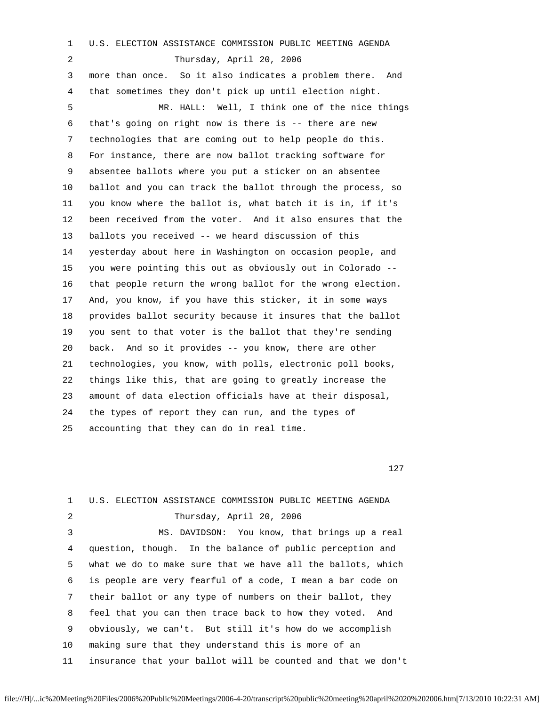1 U.S. ELECTION ASSISTANCE COMMISSION PUBLIC MEETING AGENDA 2 Thursday, April 20, 2006 3 more than once. So it also indicates a problem there. And 4 that sometimes they don't pick up until election night. 5 MR. HALL: Well, I think one of the nice things 6 that's going on right now is there is -- there are new 7 technologies that are coming out to help people do this. 8 For instance, there are now ballot tracking software for 9 absentee ballots where you put a sticker on an absentee 10 ballot and you can track the ballot through the process, so 11 you know where the ballot is, what batch it is in, if it's 12 been received from the voter. And it also ensures that the 13 ballots you received -- we heard discussion of this 14 yesterday about here in Washington on occasion people, and 15 you were pointing this out as obviously out in Colorado -- 16 that people return the wrong ballot for the wrong election. 17 And, you know, if you have this sticker, it in some ways 18 provides ballot security because it insures that the ballot 19 you sent to that voter is the ballot that they're sending 20 back. And so it provides -- you know, there are other 21 technologies, you know, with polls, electronic poll books, 22 things like this, that are going to greatly increase the 23 amount of data election officials have at their disposal, 24 the types of report they can run, and the types of 25 accounting that they can do in real time.

| $\mathbf{1}$ | U.S. ELECTION ASSISTANCE COMMISSION PUBLIC MEETING AGENDA    |
|--------------|--------------------------------------------------------------|
| 2            | Thursday, April 20, 2006                                     |
| 3            | MS. DAVIDSON: You know, that brings up a real                |
| 4            | question, though. In the balance of public perception and    |
| 5            | what we do to make sure that we have all the ballots, which  |
| 6            | is people are very fearful of a code, I mean a bar code on   |
| $7\degree$   | their ballot or any type of numbers on their ballot, they    |
| 8            | feel that you can then trace back to how they voted. And     |
| 9            | obviously, we can't. But still it's how do we accomplish     |
| 10           | making sure that they understand this is more of an          |
| 11           | insurance that your ballot will be counted and that we don't |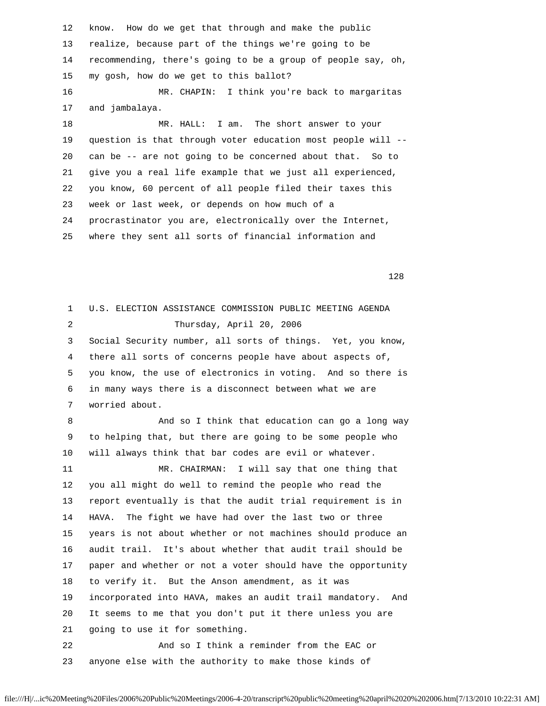| 13 | realize, because part of the things we're going to be        |
|----|--------------------------------------------------------------|
| 14 | recommending, there's going to be a group of people say, oh, |
| 15 | my gosh, how do we get to this ballot?                       |
| 16 | MR. CHAPIN: I think you're back to margaritas                |
| 17 | and jambalaya.                                               |
| 18 | MR. HALL: I am. The short answer to your                     |
| 19 | question is that through voter education most people will -- |
| 20 | can be -- are not going to be concerned about that. So to    |
| 21 | give you a real life example that we just all experienced,   |
| 22 | you know, 60 percent of all people filed their taxes this    |
| 23 | week or last week, or depends on how much of a               |
| 24 | procrastinator you are, electronically over the Internet,    |
| 25 | where they sent all sorts of financial information and       |
|    |                                                              |

12 know. How do we get that through and make the public

128

 1 U.S. ELECTION ASSISTANCE COMMISSION PUBLIC MEETING AGENDA 2 Thursday, April 20, 2006 3 Social Security number, all sorts of things. Yet, you know, 4 there all sorts of concerns people have about aspects of, 5 you know, the use of electronics in voting. And so there is 6 in many ways there is a disconnect between what we are 7 worried about. 8 And so I think that education can go a long way 9 to helping that, but there are going to be some people who 10 will always think that bar codes are evil or whatever. 11 MR. CHAIRMAN: I will say that one thing that 12 you all might do well to remind the people who read the 13 report eventually is that the audit trial requirement is in 14 HAVA. The fight we have had over the last two or three 15 years is not about whether or not machines should produce an 16 audit trail. It's about whether that audit trail should be 17 paper and whether or not a voter should have the opportunity 18 to verify it. But the Anson amendment, as it was 19 incorporated into HAVA, makes an audit trail mandatory. And 20 It seems to me that you don't put it there unless you are 21 going to use it for something. 22 And so I think a reminder from the EAC or 23 anyone else with the authority to make those kinds of

file:///H|/...ic%20Meeting%20Files/2006%20Public%20Meetings/2006-4-20/transcript%20public%20meeting%20april%2020%202006.htm[7/13/2010 10:22:31 AM]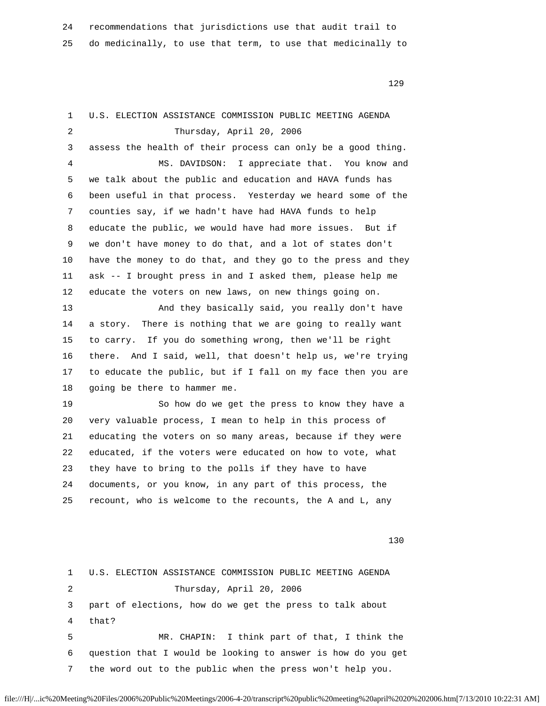129

 1 U.S. ELECTION ASSISTANCE COMMISSION PUBLIC MEETING AGENDA 2 Thursday, April 20, 2006 3 assess the health of their process can only be a good thing. 4 MS. DAVIDSON: I appreciate that. You know and 5 we talk about the public and education and HAVA funds has 6 been useful in that process. Yesterday we heard some of the 7 counties say, if we hadn't have had HAVA funds to help 8 educate the public, we would have had more issues. But if 9 we don't have money to do that, and a lot of states don't 10 have the money to do that, and they go to the press and they 11 ask -- I brought press in and I asked them, please help me 12 educate the voters on new laws, on new things going on. 13 And they basically said, you really don't have 14 a story. There is nothing that we are going to really want 15 to carry. If you do something wrong, then we'll be right 16 there. And I said, well, that doesn't help us, we're trying 17 to educate the public, but if I fall on my face then you are 18 going be there to hammer me. 19 So how do we get the press to know they have a 20 very valuable process, I mean to help in this process of 21 educating the voters on so many areas, because if they were 22 educated, if the voters were educated on how to vote, what 23 they have to bring to the polls if they have to have 24 documents, or you know, in any part of this process, the 25 recount, who is welcome to the recounts, the A and L, any 130 1 U.S. ELECTION ASSISTANCE COMMISSION PUBLIC MEETING AGENDA 2 Thursday, April 20, 2006

> 3 part of elections, how do we get the press to talk about 4 that?

 5 MR. CHAPIN: I think part of that, I think the 6 question that I would be looking to answer is how do you get 7 the word out to the public when the press won't help you.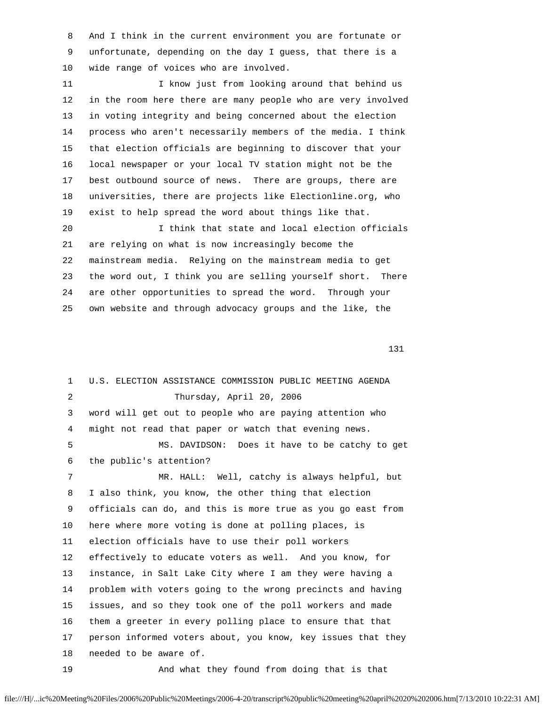8 And I think in the current environment you are fortunate or 9 unfortunate, depending on the day I guess, that there is a 10 wide range of voices who are involved.

 11 I know just from looking around that behind us 12 in the room here there are many people who are very involved 13 in voting integrity and being concerned about the election 14 process who aren't necessarily members of the media. I think 15 that election officials are beginning to discover that your 16 local newspaper or your local TV station might not be the 17 best outbound source of news. There are groups, there are 18 universities, there are projects like Electionline.org, who 19 exist to help spread the word about things like that.

 20 I think that state and local election officials 21 are relying on what is now increasingly become the 22 mainstream media. Relying on the mainstream media to get 23 the word out, I think you are selling yourself short. There 24 are other opportunities to spread the word. Through your 25 own website and through advocacy groups and the like, the

| 1  | U.S. ELECTION ASSISTANCE COMMISSION PUBLIC MEETING AGENDA    |
|----|--------------------------------------------------------------|
| 2  | Thursday, April 20, 2006                                     |
| 3  | word will get out to people who are paying attention who     |
| 4  | might not read that paper or watch that evening news.        |
| 5  | MS. DAVIDSON: Does it have to be catchy to get               |
| 6  | the public's attention?                                      |
| 7  | MR. HALL: Well, catchy is always helpful, but                |
| 8  | I also think, you know, the other thing that election        |
| 9  | officials can do, and this is more true as you go east from  |
| 10 | here where more voting is done at polling places, is         |
| 11 | election officials have to use their poll workers            |
| 12 | effectively to educate voters as well. And you know, for     |
| 13 | instance, in Salt Lake City where I am they were having a    |
| 14 | problem with voters going to the wrong precincts and having  |
| 15 | issues, and so they took one of the poll workers and made    |
| 16 | them a greeter in every polling place to ensure that that    |
| 17 | person informed voters about, you know, key issues that they |
| 18 | needed to be aware of.                                       |
| 19 | And what they found from doing that is that                  |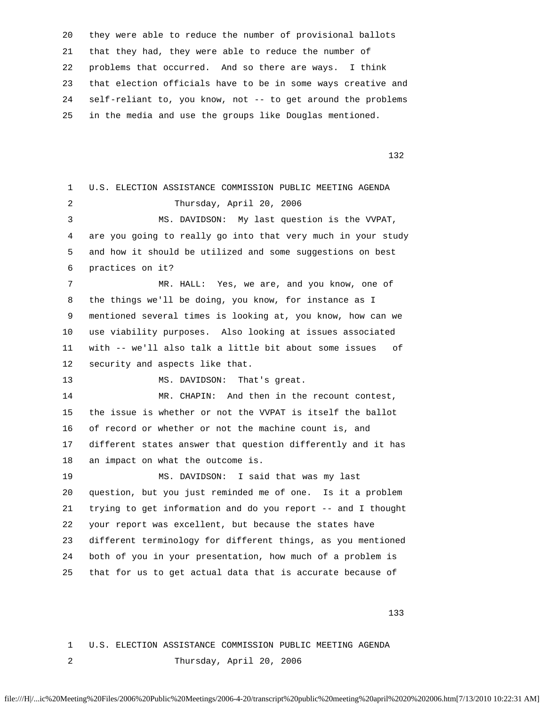20 they were able to reduce the number of provisional ballots 21 that they had, they were able to reduce the number of 22 problems that occurred. And so there are ways. I think 23 that election officials have to be in some ways creative and 24 self-reliant to, you know, not -- to get around the problems 25 in the media and use the groups like Douglas mentioned.

132

 1 U.S. ELECTION ASSISTANCE COMMISSION PUBLIC MEETING AGENDA 2 Thursday, April 20, 2006 3 MS. DAVIDSON: My last question is the VVPAT, 4 are you going to really go into that very much in your study 5 and how it should be utilized and some suggestions on best 6 practices on it? 7 MR. HALL: Yes, we are, and you know, one of 8 the things we'll be doing, you know, for instance as I 9 mentioned several times is looking at, you know, how can we 10 use viability purposes. Also looking at issues associated 11 with -- we'll also talk a little bit about some issues of 12 security and aspects like that. 13 MS. DAVIDSON: That's great. 14 MR. CHAPIN: And then in the recount contest, 15 the issue is whether or not the VVPAT is itself the ballot 16 of record or whether or not the machine count is, and 17 different states answer that question differently and it has 18 an impact on what the outcome is. 19 MS. DAVIDSON: I said that was my last 20 question, but you just reminded me of one. Is it a problem 21 trying to get information and do you report -- and I thought 22 your report was excellent, but because the states have 23 different terminology for different things, as you mentioned 24 both of you in your presentation, how much of a problem is 25 that for us to get actual data that is accurate because of

133

 1 U.S. ELECTION ASSISTANCE COMMISSION PUBLIC MEETING AGENDA 2 Thursday, April 20, 2006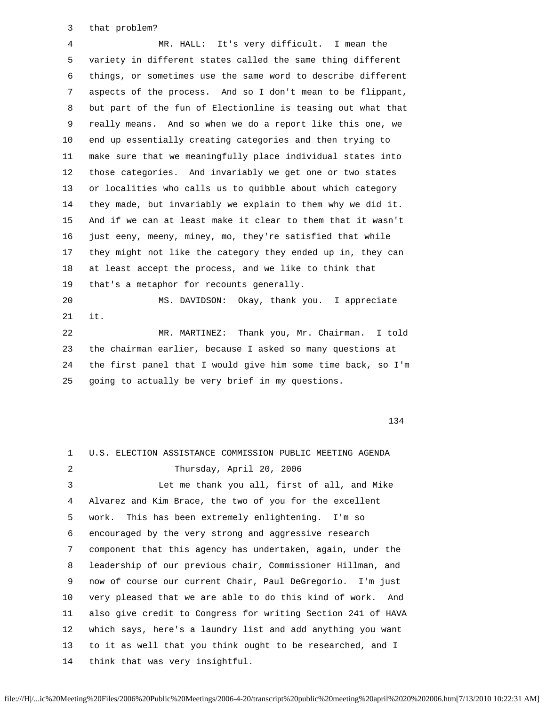3 that problem?

 4 MR. HALL: It's very difficult. I mean the 5 variety in different states called the same thing different 6 things, or sometimes use the same word to describe different 7 aspects of the process. And so I don't mean to be flippant, 8 but part of the fun of Electionline is teasing out what that 9 really means. And so when we do a report like this one, we 10 end up essentially creating categories and then trying to 11 make sure that we meaningfully place individual states into 12 those categories. And invariably we get one or two states 13 or localities who calls us to quibble about which category 14 they made, but invariably we explain to them why we did it. 15 And if we can at least make it clear to them that it wasn't 16 just eeny, meeny, miney, mo, they're satisfied that while 17 they might not like the category they ended up in, they can 18 at least accept the process, and we like to think that 19 that's a metaphor for recounts generally. 20 MS. DAVIDSON: Okay, thank you. I appreciate 21 it. 22 MR. MARTINEZ: Thank you, Mr. Chairman. I told

 23 the chairman earlier, because I asked so many questions at 24 the first panel that I would give him some time back, so I'm 25 going to actually be very brief in my questions.

134

 1 U.S. ELECTION ASSISTANCE COMMISSION PUBLIC MEETING AGENDA 2 Thursday, April 20, 2006 3 Let me thank you all, first of all, and Mike 4 Alvarez and Kim Brace, the two of you for the excellent 5 work. This has been extremely enlightening. I'm so 6 encouraged by the very strong and aggressive research 7 component that this agency has undertaken, again, under the 8 leadership of our previous chair, Commissioner Hillman, and 9 now of course our current Chair, Paul DeGregorio. I'm just 10 very pleased that we are able to do this kind of work. And 11 also give credit to Congress for writing Section 241 of HAVA 12 which says, here's a laundry list and add anything you want 13 to it as well that you think ought to be researched, and I 14 think that was very insightful.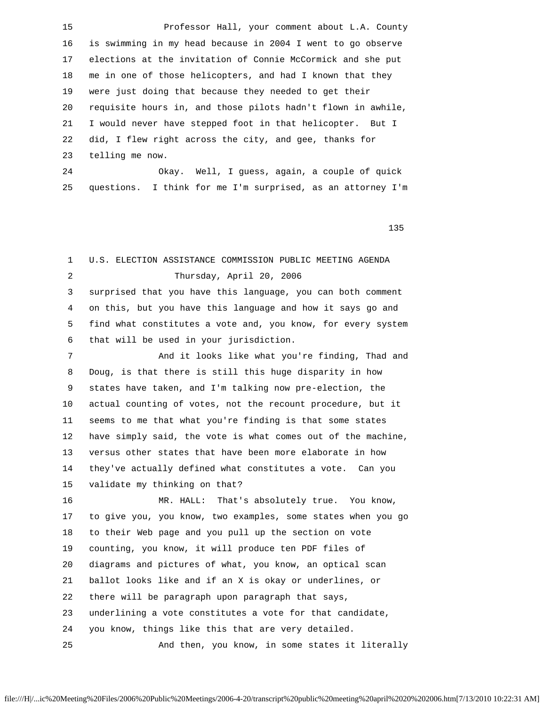15 Professor Hall, your comment about L.A. County 16 is swimming in my head because in 2004 I went to go observe 17 elections at the invitation of Connie McCormick and she put 18 me in one of those helicopters, and had I known that they 19 were just doing that because they needed to get their 20 requisite hours in, and those pilots hadn't flown in awhile, 21 I would never have stepped foot in that helicopter. But I 22 did, I flew right across the city, and gee, thanks for 23 telling me now.

 24 Okay. Well, I guess, again, a couple of quick 25 questions. I think for me I'm surprised, as an attorney I'm

| 1              | U.S. ELECTION ASSISTANCE COMMISSION PUBLIC MEETING AGENDA    |
|----------------|--------------------------------------------------------------|
| $\overline{a}$ | Thursday, April 20, 2006                                     |
| 3              | surprised that you have this language, you can both comment  |
| 4              | on this, but you have this language and how it says go and   |
| 5              | find what constitutes a vote and, you know, for every system |
| 6              | that will be used in your jurisdiction.                      |
| 7              | And it looks like what you're finding, Thad and              |
| 8              | Doug, is that there is still this huge disparity in how      |
| 9              | states have taken, and I'm talking now pre-election, the     |
| 10             | actual counting of votes, not the recount procedure, but it  |
| 11             | seems to me that what you're finding is that some states     |
| 12             | have simply said, the vote is what comes out of the machine, |
| 13             | versus other states that have been more elaborate in how     |
| 14             | they've actually defined what constitutes a vote. Can you    |
| 15             | validate my thinking on that?                                |
| 16             | MR. HALL: That's absolutely true. You know,                  |
| 17             | to give you, you know, two examples, some states when you go |
| 18             | to their Web page and you pull up the section on vote        |
| 19             | counting, you know, it will produce ten PDF files of         |
| 20             | diagrams and pictures of what, you know, an optical scan     |
| 21             | ballot looks like and if an X is okay or underlines, or      |
| 22             | there will be paragraph upon paragraph that says,            |
| 23             | underlining a vote constitutes a vote for that candidate,    |
| 24             | you know, things like this that are very detailed.           |
| 25             | And then, you know, in some states it literally              |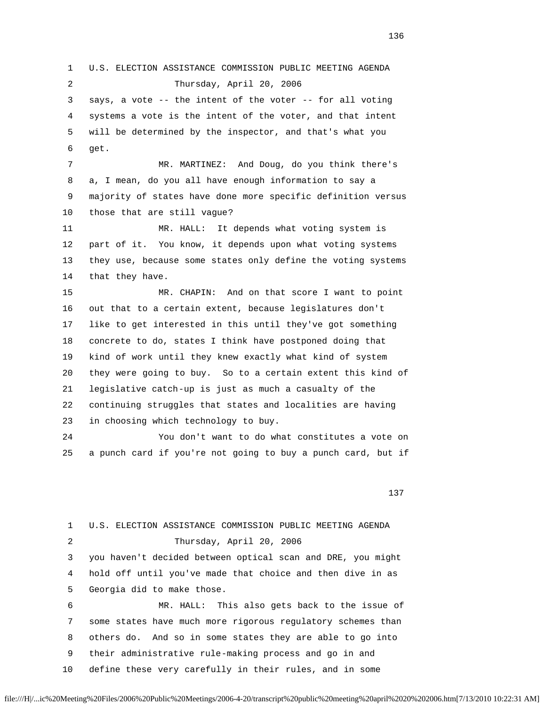1 U.S. ELECTION ASSISTANCE COMMISSION PUBLIC MEETING AGENDA 2 Thursday, April 20, 2006 3 says, a vote -- the intent of the voter -- for all voting 4 systems a vote is the intent of the voter, and that intent 5 will be determined by the inspector, and that's what you 6 get. 7 MR. MARTINEZ: And Doug, do you think there's 8 a, I mean, do you all have enough information to say a 9 majority of states have done more specific definition versus 10 those that are still vague? 11 MR. HALL: It depends what voting system is 12 part of it. You know, it depends upon what voting systems 13 they use, because some states only define the voting systems 14 that they have. 15 MR. CHAPIN: And on that score I want to point 16 out that to a certain extent, because legislatures don't 17 like to get interested in this until they've got something 18 concrete to do, states I think have postponed doing that 19 kind of work until they knew exactly what kind of system 20 they were going to buy. So to a certain extent this kind of 21 legislative catch-up is just as much a casualty of the 22 continuing struggles that states and localities are having 23 in choosing which technology to buy. 24 You don't want to do what constitutes a vote on 25 a punch card if you're not going to buy a punch card, but if

137

 1 U.S. ELECTION ASSISTANCE COMMISSION PUBLIC MEETING AGENDA 2 Thursday, April 20, 2006 3 you haven't decided between optical scan and DRE, you might 4 hold off until you've made that choice and then dive in as 5 Georgia did to make those. 6 MR. HALL: This also gets back to the issue of 7 some states have much more rigorous regulatory schemes than 8 others do. And so in some states they are able to go into 9 their administrative rule-making process and go in and 10 define these very carefully in their rules, and in some

file:///H|/...ic%20Meeting%20Files/2006%20Public%20Meetings/2006-4-20/transcript%20public%20meeting%20april%2020%202006.htm[7/13/2010 10:22:31 AM]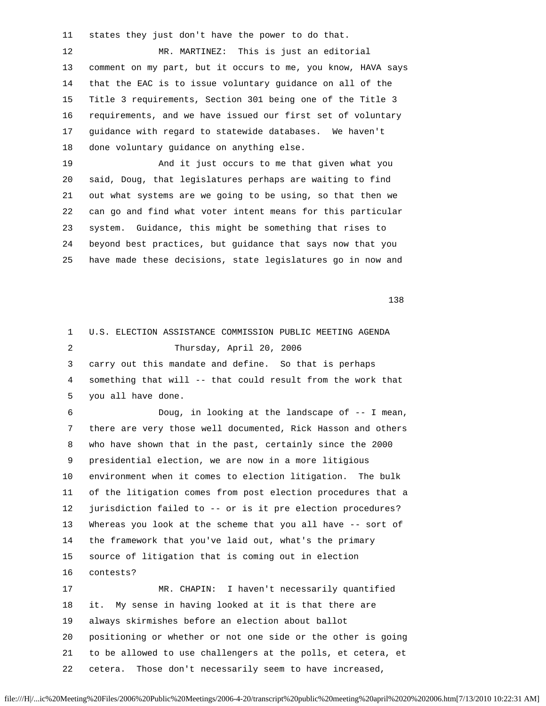11 states they just don't have the power to do that.

 12 MR. MARTINEZ: This is just an editorial 13 comment on my part, but it occurs to me, you know, HAVA says 14 that the EAC is to issue voluntary guidance on all of the 15 Title 3 requirements, Section 301 being one of the Title 3 16 requirements, and we have issued our first set of voluntary 17 guidance with regard to statewide databases. We haven't 18 done voluntary guidance on anything else.

 19 And it just occurs to me that given what you 20 said, Doug, that legislatures perhaps are waiting to find 21 out what systems are we going to be using, so that then we 22 can go and find what voter intent means for this particular 23 system. Guidance, this might be something that rises to 24 beyond best practices, but guidance that says now that you 25 have made these decisions, state legislatures go in now and

138

 1 U.S. ELECTION ASSISTANCE COMMISSION PUBLIC MEETING AGENDA 2 Thursday, April 20, 2006 3 carry out this mandate and define. So that is perhaps 4 something that will -- that could result from the work that 5 you all have done. 6 Doug, in looking at the landscape of -- I mean, 7 there are very those well documented, Rick Hasson and others 8 who have shown that in the past, certainly since the 2000 9 presidential election, we are now in a more litigious 10 environment when it comes to election litigation. The bulk 11 of the litigation comes from post election procedures that a 12 jurisdiction failed to -- or is it pre election procedures? 13 Whereas you look at the scheme that you all have -- sort of 14 the framework that you've laid out, what's the primary 15 source of litigation that is coming out in election 16 contests? 17 MR. CHAPIN: I haven't necessarily quantified 18 it. My sense in having looked at it is that there are 19 always skirmishes before an election about ballot 20 positioning or whether or not one side or the other is going 21 to be allowed to use challengers at the polls, et cetera, et 22 cetera. Those don't necessarily seem to have increased,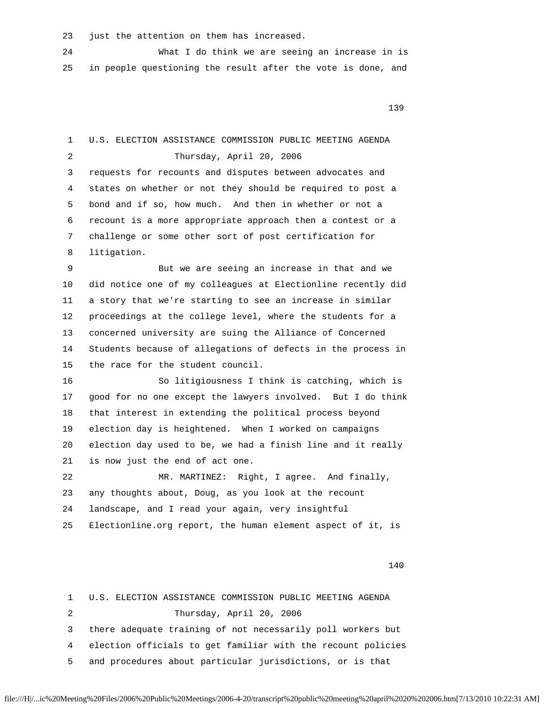23 just the attention on them has increased.

|                                                                 |  |  |  | What I do think we are seeing an increase in is |  |
|-----------------------------------------------------------------|--|--|--|-------------------------------------------------|--|
| 25 in people questioning the result after the vote is done, and |  |  |  |                                                 |  |

139

| 1  | U.S. ELECTION ASSISTANCE COMMISSION PUBLIC MEETING AGENDA    |
|----|--------------------------------------------------------------|
| 2  | Thursday, April 20, 2006                                     |
| 3  | requests for recounts and disputes between advocates and     |
| 4  | states on whether or not they should be required to post a   |
| 5  | bond and if so, how much. And then in whether or not a       |
| 6  | recount is a more appropriate approach then a contest or a   |
| 7  | challenge or some other sort of post certification for       |
| 8  | litigation.                                                  |
| 9  | But we are seeing an increase in that and we                 |
| 10 | did notice one of my colleagues at Electionline recently did |
| 11 | a story that we're starting to see an increase in similar    |
| 12 | proceedings at the college level, where the students for a   |
| 13 | concerned university are suing the Alliance of Concerned     |
| 14 | Students because of allegations of defects in the process in |
| 15 | the race for the student council.                            |
| 16 | So litigiousness I think is catching, which is               |
| 17 | good for no one except the lawyers involved. But I do think  |
| 18 | that interest in extending the political process beyond      |
| 19 | election day is heightened. When I worked on campaigns       |
| 20 | election day used to be, we had a finish line and it really  |
| 21 | is now just the end of act one.                              |
| 22 | MR. MARTINEZ: Right, I agree. And finally,                   |
| 23 | any thoughts about, Doug, as you look at the recount         |
| 24 | landscape, and I read your again, very insightful            |
| 25 | Electionline.org report, the human element aspect of it, is  |
|    |                                                              |

140

 1 U.S. ELECTION ASSISTANCE COMMISSION PUBLIC MEETING AGENDA 2 Thursday, April 20, 2006 3 there adequate training of not necessarily poll workers but 4 election officials to get familiar with the recount policies 5 and procedures about particular jurisdictions, or is that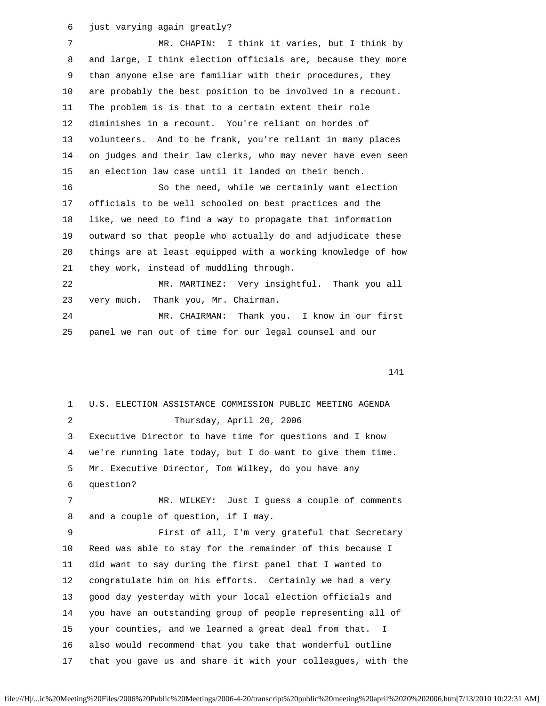6 just varying again greatly?

 7 MR. CHAPIN: I think it varies, but I think by 8 and large, I think election officials are, because they more 9 than anyone else are familiar with their procedures, they 10 are probably the best position to be involved in a recount. 11 The problem is is that to a certain extent their role 12 diminishes in a recount. You're reliant on hordes of 13 volunteers. And to be frank, you're reliant in many places 14 on judges and their law clerks, who may never have even seen 15 an election law case until it landed on their bench. 16 So the need, while we certainly want election 17 officials to be well schooled on best practices and the 18 like, we need to find a way to propagate that information 19 outward so that people who actually do and adjudicate these 20 things are at least equipped with a working knowledge of how 21 they work, instead of muddling through. 22 MR. MARTINEZ: Very insightful. Thank you all 23 very much. Thank you, Mr. Chairman. 24 MR. CHAIRMAN: Thank you. I know in our first 25 panel we ran out of time for our legal counsel and our

141

| 1  | U.S. ELECTION ASSISTANCE COMMISSION PUBLIC MEETING AGENDA    |
|----|--------------------------------------------------------------|
| 2  | Thursday, April 20, 2006                                     |
| 3  | Executive Director to have time for questions and I know     |
| 4  | we're running late today, but I do want to give them time.   |
| 5  | Mr. Executive Director, Tom Wilkey, do you have any          |
| 6  | question?                                                    |
| 7  | MR. WILKEY: Just I quess a couple of comments                |
| 8  | and a couple of question, if I may.                          |
| 9  | First of all, I'm very grateful that Secretary               |
| 10 | Reed was able to stay for the remainder of this because I    |
| 11 | did want to say during the first panel that I wanted to      |
| 12 | congratulate him on his efforts. Certainly we had a very     |
| 13 | good day yesterday with your local election officials and    |
| 14 | you have an outstanding group of people representing all of  |
| 15 | your counties, and we learned a great deal from that. I      |
| 16 | also would recommend that you take that wonderful outline    |
| 17 | that you gave us and share it with your colleagues, with the |

file:///H|/...ic%20Meeting%20Files/2006%20Public%20Meetings/2006-4-20/transcript%20public%20meeting%20april%2020%202006.htm[7/13/2010 10:22:31 AM]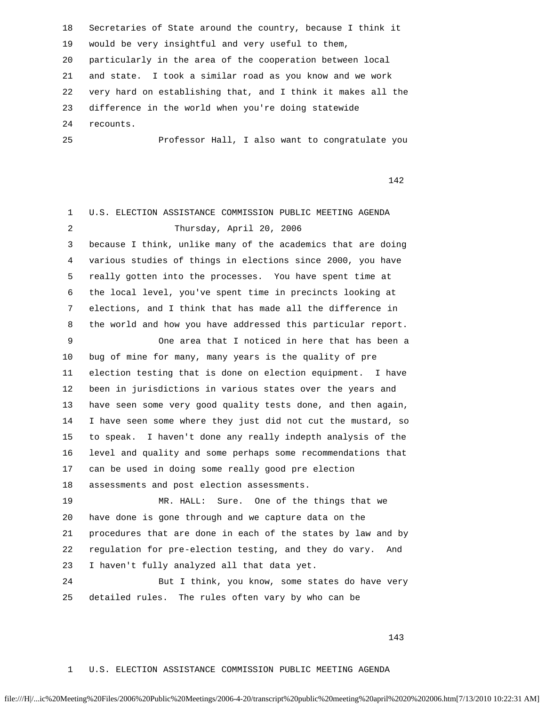18 Secretaries of State around the country, because I think it 19 would be very insightful and very useful to them, 20 particularly in the area of the cooperation between local 21 and state. I took a similar road as you know and we work 22 very hard on establishing that, and I think it makes all the 23 difference in the world when you're doing statewide 24 recounts. 25 Professor Hall, I also want to congratulate you

142

 1 U.S. ELECTION ASSISTANCE COMMISSION PUBLIC MEETING AGENDA 2 Thursday, April 20, 2006 3 because I think, unlike many of the academics that are doing 4 various studies of things in elections since 2000, you have 5 really gotten into the processes. You have spent time at 6 the local level, you've spent time in precincts looking at 7 elections, and I think that has made all the difference in 8 the world and how you have addressed this particular report. 9 One area that I noticed in here that has been a 10 bug of mine for many, many years is the quality of pre 11 election testing that is done on election equipment. I have 12 been in jurisdictions in various states over the years and 13 have seen some very good quality tests done, and then again, 14 I have seen some where they just did not cut the mustard, so 15 to speak. I haven't done any really indepth analysis of the 16 level and quality and some perhaps some recommendations that 17 can be used in doing some really good pre election 18 assessments and post election assessments. 19 MR. HALL: Sure. One of the things that we 20 have done is gone through and we capture data on the 21 procedures that are done in each of the states by law and by 22 regulation for pre-election testing, and they do vary. And 23 I haven't fully analyzed all that data yet. 24 But I think, you know, some states do have very 25 detailed rules. The rules often vary by who can be

143

## 1 U.S. ELECTION ASSISTANCE COMMISSION PUBLIC MEETING AGENDA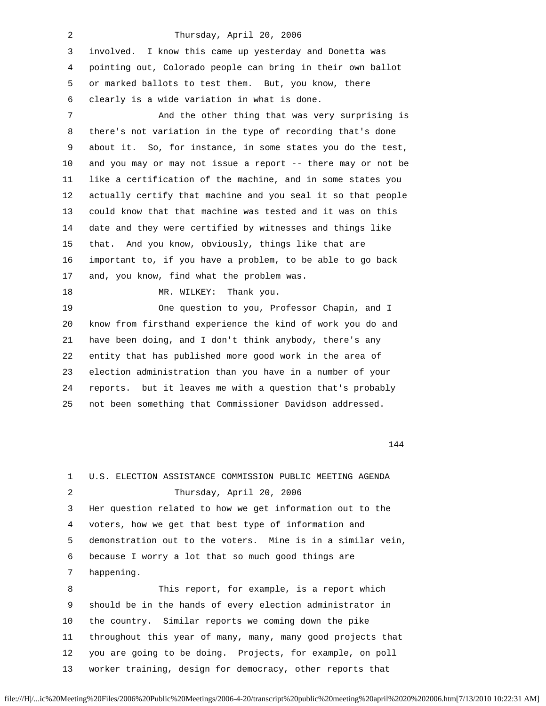| $\overline{2}$ | Thursday, April 20, 2006                                     |
|----------------|--------------------------------------------------------------|
| 3              | involved. I know this came up yesterday and Donetta was      |
| 4              | pointing out, Colorado people can bring in their own ballot  |
| 5              | or marked ballots to test them. But, you know, there         |
| 6              | clearly is a wide variation in what is done.                 |
| 7              | And the other thing that was very surprising is              |
| 8              | there's not variation in the type of recording that's done   |
| 9              | about it. So, for instance, in some states you do the test,  |
| 10             | and you may or may not issue a report -- there may or not be |
| 11             | like a certification of the machine, and in some states you  |
| 12             | actually certify that machine and you seal it so that people |
| 13             | could know that that machine was tested and it was on this   |
| 14             | date and they were certified by witnesses and things like    |
| 15             | that. And you know, obviously, things like that are          |
| 16             | important to, if you have a problem, to be able to go back   |
| 17             | and, you know, find what the problem was.                    |
| 18             | Thank you.<br>MR. WILKEY:                                    |
| 19             | One question to you, Professor Chapin, and I                 |
| 20             | know from firsthand experience the kind of work you do and   |
| 21             | have been doing, and I don't think anybody, there's any      |
| 22             | entity that has published more good work in the area of      |
| 23             | election administration than you have in a number of your    |
| 24             | reports. but it leaves me with a question that's probably    |
| 25             | not been something that Commissioner Davidson addressed.     |
|                |                                                              |
|                |                                                              |

 1 U.S. ELECTION ASSISTANCE COMMISSION PUBLIC MEETING AGENDA 2 Thursday, April 20, 2006 3 Her question related to how we get information out to the 4 voters, how we get that best type of information and 5 demonstration out to the voters. Mine is in a similar vein, 6 because I worry a lot that so much good things are 7 happening. 8 This report, for example, is a report which 9 should be in the hands of every election administrator in 10 the country. Similar reports we coming down the pike 11 throughout this year of many, many, many good projects that 12 you are going to be doing. Projects, for example, on poll 13 worker training, design for democracy, other reports that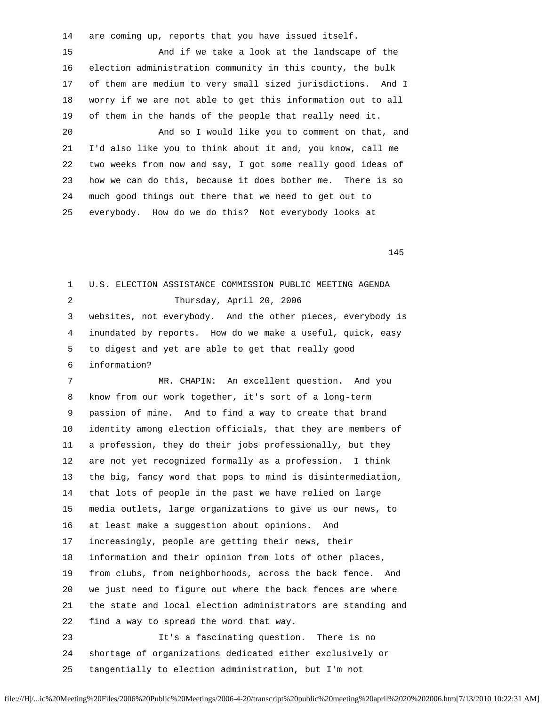14 are coming up, reports that you have issued itself.

 15 And if we take a look at the landscape of the 16 election administration community in this county, the bulk 17 of them are medium to very small sized jurisdictions. And I 18 worry if we are not able to get this information out to all 19 of them in the hands of the people that really need it. 20 And so I would like you to comment on that, and 21 I'd also like you to think about it and, you know, call me 22 two weeks from now and say, I got some really good ideas of 23 how we can do this, because it does bother me. There is so 24 much good things out there that we need to get out to 25 everybody. How do we do this? Not everybody looks at

145

 1 U.S. ELECTION ASSISTANCE COMMISSION PUBLIC MEETING AGENDA 2 Thursday, April 20, 2006 3 websites, not everybody. And the other pieces, everybody is 4 inundated by reports. How do we make a useful, quick, easy 5 to digest and yet are able to get that really good 6 information? 7 MR. CHAPIN: An excellent question. And you 8 know from our work together, it's sort of a long-term 9 passion of mine. And to find a way to create that brand 10 identity among election officials, that they are members of 11 a profession, they do their jobs professionally, but they 12 are not yet recognized formally as a profession. I think 13 the big, fancy word that pops to mind is disintermediation, 14 that lots of people in the past we have relied on large 15 media outlets, large organizations to give us our news, to 16 at least make a suggestion about opinions. And 17 increasingly, people are getting their news, their 18 information and their opinion from lots of other places, 19 from clubs, from neighborhoods, across the back fence. And 20 we just need to figure out where the back fences are where 21 the state and local election administrators are standing and 22 find a way to spread the word that way. 23 It's a fascinating question. There is no 24 shortage of organizations dedicated either exclusively or 25 tangentially to election administration, but I'm not

```
file:///H|/...ic%20Meeting%20Files/2006%20Public%20Meetings/2006-4-20/transcript%20public%20meeting%20april%2020%202006.htm[7/13/2010 10:22:31 AM]
```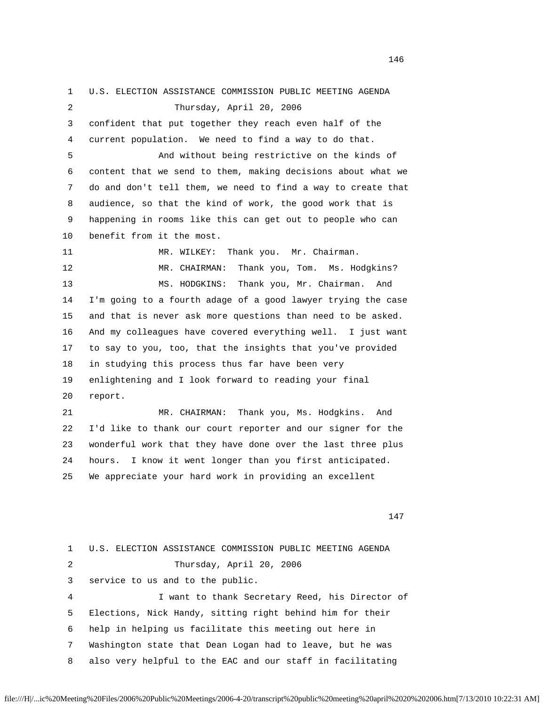3 confident that put together they reach even half of the 4 current population. We need to find a way to do that. 5 And without being restrictive on the kinds of 6 content that we send to them, making decisions about what we 7 do and don't tell them, we need to find a way to create that 8 audience, so that the kind of work, the good work that is 9 happening in rooms like this can get out to people who can 10 benefit from it the most. 11 MR. WILKEY: Thank you. Mr. Chairman. 12 MR. CHAIRMAN: Thank you, Tom. Ms. Hodgkins? 13 MS. HODGKINS: Thank you, Mr. Chairman. And 14 I'm going to a fourth adage of a good lawyer trying the case 15 and that is never ask more questions than need to be asked. 16 And my colleagues have covered everything well. I just want 17 to say to you, too, that the insights that you've provided 18 in studying this process thus far have been very 19 enlightening and I look forward to reading your final 20 report. 21 MR. CHAIRMAN: Thank you, Ms. Hodgkins. And 22 I'd like to thank our court reporter and our signer for the 23 wonderful work that they have done over the last three plus 24 hours. I know it went longer than you first anticipated. 25 We appreciate your hard work in providing an excellent 147 1 U.S. ELECTION ASSISTANCE COMMISSION PUBLIC MEETING AGENDA 2 Thursday, April 20, 2006 3 service to us and to the public. 4 I want to thank Secretary Reed, his Director of 5 Elections, Nick Handy, sitting right behind him for their 6 help in helping us facilitate this meeting out here in 7 Washington state that Dean Logan had to leave, but he was 8 also very helpful to the EAC and our staff in facilitating

1 U.S. ELECTION ASSISTANCE COMMISSION PUBLIC MEETING AGENDA

2 Thursday, April 20, 2006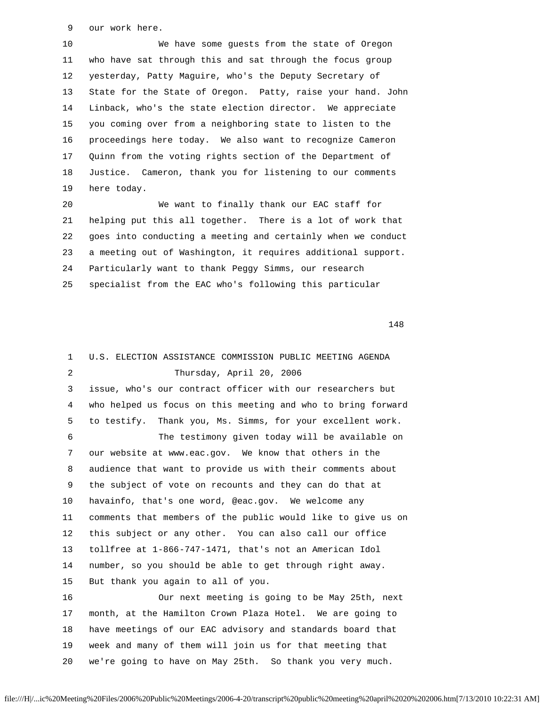9 our work here.

 10 We have some guests from the state of Oregon 11 who have sat through this and sat through the focus group 12 yesterday, Patty Maguire, who's the Deputy Secretary of 13 State for the State of Oregon. Patty, raise your hand. John 14 Linback, who's the state election director. We appreciate 15 you coming over from a neighboring state to listen to the 16 proceedings here today. We also want to recognize Cameron 17 Quinn from the voting rights section of the Department of 18 Justice. Cameron, thank you for listening to our comments 19 here today.

 20 We want to finally thank our EAC staff for 21 helping put this all together. There is a lot of work that 22 goes into conducting a meeting and certainly when we conduct 23 a meeting out of Washington, it requires additional support. 24 Particularly want to thank Peggy Simms, our research 25 specialist from the EAC who's following this particular

148

 1 U.S. ELECTION ASSISTANCE COMMISSION PUBLIC MEETING AGENDA 2 Thursday, April 20, 2006 3 issue, who's our contract officer with our researchers but 4 who helped us focus on this meeting and who to bring forward 5 to testify. Thank you, Ms. Simms, for your excellent work. 6 The testimony given today will be available on 7 our website at www.eac.gov. We know that others in the 8 audience that want to provide us with their comments about 9 the subject of vote on recounts and they can do that at 10 havainfo, that's one word, @eac.gov. We welcome any 11 comments that members of the public would like to give us on 12 this subject or any other. You can also call our office 13 tollfree at 1-866-747-1471, that's not an American Idol 14 number, so you should be able to get through right away. 15 But thank you again to all of you. 16 Our next meeting is going to be May 25th, next 17 month, at the Hamilton Crown Plaza Hotel. We are going to 18 have meetings of our EAC advisory and standards board that 19 week and many of them will join us for that meeting that 20 we're going to have on May 25th. So thank you very much.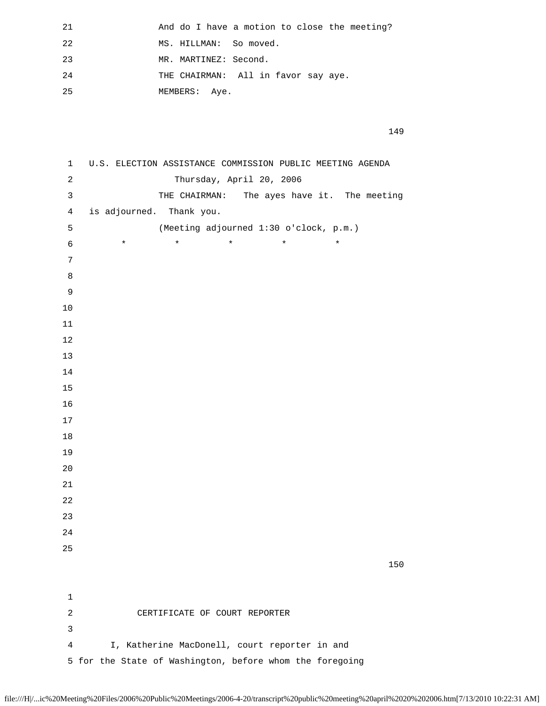| 21 | And do I have a motion to close the meeting? |
|----|----------------------------------------------|
| 22 | MS. HILLMAN: So moved.                       |
| 23 | MR. MARTINEZ: Second.                        |
| 24 | THE CHAIRMAN: All in favor say aye.          |
| 25 | MEMBERS: Aye.                                |

149

 1 U.S. ELECTION ASSISTANCE COMMISSION PUBLIC MEETING AGENDA 2 Thursday, April 20, 2006 3 THE CHAIRMAN: The ayes have it. The meeting 4 is adjourned. Thank you. 5 (Meeting adjourned 1:30 o'clock, p.m.) 6 \* \* \* \* \* 7 8 9 10 11 12 13 14 15 16 17 18 19 20 21 22 23 24 25 150 minutes and the state of the state of the state of the state of the state of the state of the state of the state of the state of the state of the state of the state of the state of the state of the state of the state o 1 2 CERTIFICATE OF COURT REPORTER 3 4 I, Katherine MacDonell, court reporter in and 5 for the State of Washington, before whom the foregoing

```
file:///H|/...ic%20Meeting%20Files/2006%20Public%20Meetings/2006-4-20/transcript%20public%20meeting%20april%2020%202006.htm[7/13/2010 10:22:31 AM]
```